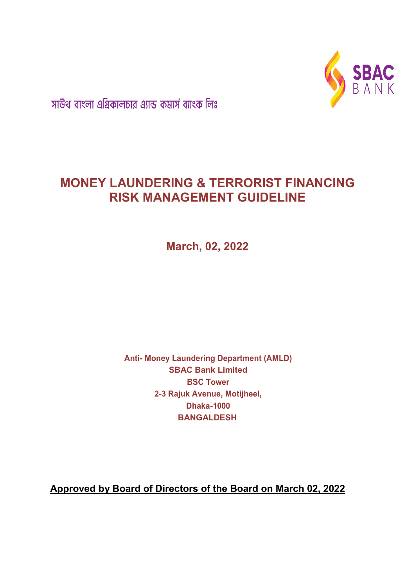

সাউথ বাংলা এগ্রিকালচার এ্যান্ড কমার্স ব্যাংক লিঃ

# MONEY LAUNDERING & TERRORIST FINANCING RISK MANAGEMENT GUIDELINE

March, 02, 2022

Anti- Money Laundering Department (AMLD) SBAC Bank Limited BSC Tower 2-3 Rajuk Avenue, Motijheel, Dhaka-1000 BANGALDESH

Approved by Board of Directors of the Board on March 02, 2022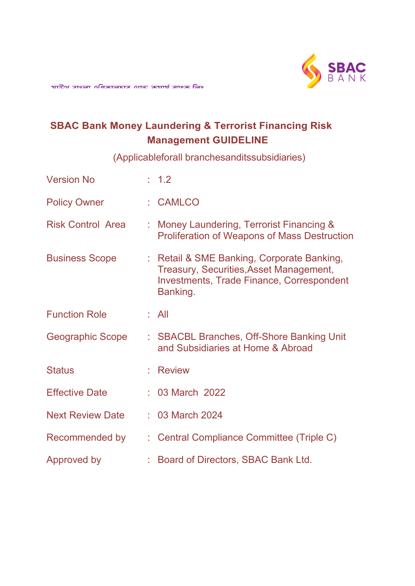

# SBAC Bank Money Laundering & Terrorist Financing Risk Management GUIDELINE

(Applicableforall branchesanditssubsidiaries)

| <b>Version No</b>        | : 1.2                                                                                                                                                 |
|--------------------------|-------------------------------------------------------------------------------------------------------------------------------------------------------|
| <b>Policy Owner</b>      | : CAMLCO                                                                                                                                              |
| <b>Risk Control Area</b> | : Money Laundering, Terrorist Financing &<br><b>Proliferation of Weapons of Mass Destruction</b>                                                      |
| <b>Business Scope</b>    | : Retail & SME Banking, Corporate Banking,<br>Treasury, Securities, Asset Management,<br><b>Investments, Trade Finance, Correspondent</b><br>Banking. |
| <b>Function Role</b>     | : All                                                                                                                                                 |
| Geographic Scope         | : SBACBL Branches, Off-Shore Banking Unit<br>and Subsidiaries at Home & Abroad                                                                        |
| <b>Status</b>            | : Review                                                                                                                                              |
| <b>Effective Date</b>    | : 03 March 2022                                                                                                                                       |
| <b>Next Review Date</b>  | : 03 March 2024                                                                                                                                       |
| Recommended by           | : Central Compliance Committee (Triple C)                                                                                                             |
| Approved by              | : Board of Directors, SBAC Bank Ltd.                                                                                                                  |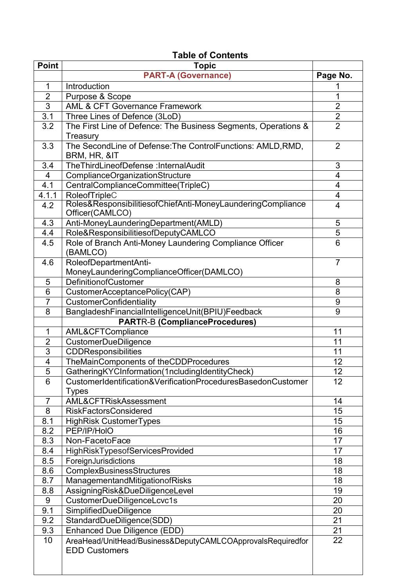# Table of Contents

| <b>Point</b>   | <b>Topic</b>                                                                        |                         |
|----------------|-------------------------------------------------------------------------------------|-------------------------|
|                | <b>PART-A (Governance)</b>                                                          | Page No.                |
| 1              | Introduction                                                                        |                         |
| $\overline{2}$ | Purpose & Scope                                                                     | 1                       |
| $\overline{3}$ | <b>AML &amp; CFT Governance Framework</b>                                           | $\overline{2}$          |
| 3.1            | Three Lines of Defence (3LoD)                                                       | $\overline{2}$          |
| 3.2            | The First Line of Defence: The Business Segments, Operations &                      | $\overline{2}$          |
|                | Treasury                                                                            |                         |
| 3.3            | The SecondLine of Defense: The ControlFunctions: AMLD, RMD,                         | $\overline{2}$          |
|                | BRM, HR, &IT                                                                        |                         |
| 3.4            | TheThirdLineofDefense :InternalAudit                                                | 3                       |
| 4              | ComplianceOrganizationStructure                                                     | 4                       |
| 4.1            | CentralComplianceCommittee(TripleC)                                                 | $\overline{4}$          |
| 4.1.1          | RoleofTripleC                                                                       | $\overline{\mathbf{4}}$ |
| 4.2            | Roles&ResponsibilitiesofChiefAnti-MoneyLaunderingCompliance                         | 4                       |
|                | Officer(CAMLCO)                                                                     |                         |
| 4.3            | Anti-MoneyLaunderingDepartment(AMLD)                                                | 5                       |
| 4.4            | Role&ResponsibilitiesofDeputyCAMLCO                                                 | $\overline{5}$          |
| 4.5            | Role of Branch Anti-Money Laundering Compliance Officer                             | 6                       |
|                | (BAMLCO)                                                                            |                         |
| 4.6            | RoleofDepartmentAnti-                                                               | $\overline{7}$          |
|                | MoneyLaunderingComplianceOfficer(DAMLCO)                                            |                         |
| 5              | DefinitionofCustomer                                                                | 8                       |
| 6              | CustomerAcceptancePolicy(CAP)                                                       | 8                       |
| $\overline{7}$ | CustomerConfidentiality                                                             | 9                       |
| 8              | BangladeshFinancialIntelligenceUnit(BPIU)Feedback                                   | 9                       |
|                | <b>PARTR-B (ComplianceProcedures)</b>                                               |                         |
| 1              | AML&CFTCompliance                                                                   | 11                      |
| $\overline{2}$ | <b>CustomerDueDiligence</b>                                                         | 11                      |
| $\overline{3}$ | <b>CDDResponsibilities</b>                                                          | 11                      |
| 4              | TheMainComponents of theCDDProcedures                                               | 12                      |
| $\overline{5}$ | GatheringKYCInformation(1ncludingIdentityCheck)                                     | 12                      |
| 6              | CustomerIdentification&VerificationProceduresBasedonCustomer                        | 12                      |
|                | <b>Types</b>                                                                        |                         |
| 7              | AML&CFTRiskAssessment                                                               | 14                      |
| 8              | <b>RiskFactorsConsidered</b>                                                        | 15                      |
| 8.1            | <b>HighRisk CustomerTypes</b>                                                       | 15                      |
| 8.2            | PEP/IP/HolO                                                                         | 16                      |
| 8.3            | Non-FacetoFace                                                                      | 17                      |
| 8.4            | <b>HighRiskTypesofServicesProvided</b>                                              | 17                      |
| 8.5            | ForeignJurisdictions                                                                | 18                      |
| 8.6            | ComplexBusinessStructures                                                           | 18                      |
| 8.7            | ManagementandMitigationofRisks                                                      | 18                      |
| 8.8            | AssigningRisk&DueDiligenceLevel                                                     | 19                      |
| $9\,$          | CustomerDueDiligenceLcvc1s                                                          | 20                      |
| 9.1            | SimplifiedDueDiligence                                                              | 20                      |
| 9.2            | StandardDueDiligence(SDD)                                                           | 21                      |
| 9.3            | Enhanced Due Diligence (EDD)                                                        | 21                      |
| 10             | AreaHead/UnitHead/Business&DeputyCAMLCOApprovalsRequiredfor<br><b>EDD Customers</b> | 22                      |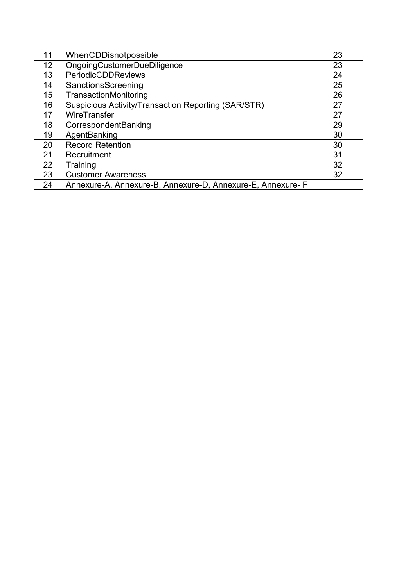| 11 | WhenCDDisnotpossible                                       | 23 |
|----|------------------------------------------------------------|----|
| 12 | <b>OngoingCustomerDueDiligence</b>                         | 23 |
| 13 | PeriodicCDDReviews                                         | 24 |
| 14 | SanctionsScreening                                         | 25 |
| 15 | TransactionMonitoring                                      | 26 |
| 16 | Suspicious Activity/Transaction Reporting (SAR/STR)        | 27 |
| 17 | WireTransfer                                               | 27 |
| 18 | CorrespondentBanking                                       | 29 |
| 19 | AgentBanking                                               | 30 |
| 20 | <b>Record Retention</b>                                    | 30 |
| 21 | Recruitment                                                | 31 |
| 22 | Training                                                   | 32 |
| 23 | <b>Customer Awareness</b>                                  | 32 |
| 24 | Annexure-A, Annexure-B, Annexure-D, Annexure-E, Annexure-F |    |
|    |                                                            |    |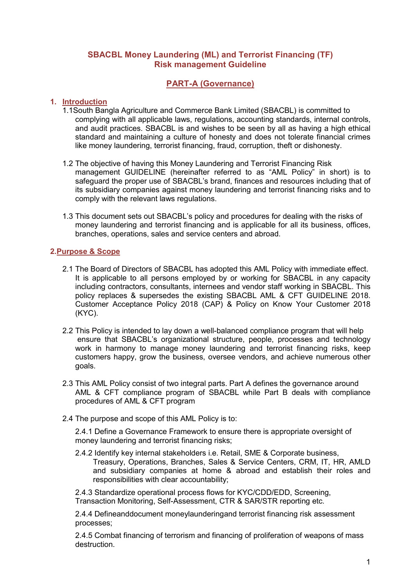# SBACBL Money Laundering (ML) and Terrorist Financing (TF) Risk management Guideline

# PART-A (Governance)

## 1. Introduction

- 1.1South Bangla Agriculture and Commerce Bank Limited (SBACBL) is committed to complying with all applicable laws, regulations, accounting standards, internal controls, and audit practices. SBACBL is and wishes to be seen by all as having a high ethical standard and maintaining a culture of honesty and does not tolerate financial crimes like money laundering, terrorist financing, fraud, corruption, theft or dishonesty.
- 1.2 The objective of having this Money Laundering and Terrorist Financing Risk management GUIDELINE (hereinafter referred to as "AML Policy" in short) is to safeguard the proper use of SBACBL's brand, finances and resources including that of its subsidiary companies against money laundering and terrorist financing risks and to comply with the relevant laws regulations.
- 1.3 This document sets out SBACBL's policy and procedures for dealing with the risks of money laundering and terrorist financing and is applicable for all its business, offices, branches, operations, sales and service centers and abroad.

## 2.Purpose & Scope

- 2.1 The Board of Directors of SBACBL has adopted this AML Policy with immediate effect. It is applicable to all persons employed by or working for SBACBL in any capacity including contractors, consultants, internees and vendor staff working in SBACBL. This policy replaces & supersedes the existing SBACBL AML & CFT GUIDELINE 2018. Customer Acceptance Policy 2018 (CAP) & Policy on Know Your Customer 2018 (KYC).
- 2.2 This Policy is intended to lay down a well-balanced compliance program that will help ensure that SBACBL's organizational structure, people, processes and technology work in harmony to manage money laundering and terrorist financing risks, keep customers happy, grow the business, oversee vendors, and achieve numerous other goals.
- 2.3 This AML Policy consist of two integral parts. Part A defines the governance around AML & CFT compliance program of SBACBL while Part B deals with compliance procedures of AML & CFT program
- 2.4 The purpose and scope of this AML Policy is to:

2.4.1 Define a Governance Framework to ensure there is appropriate oversight of money laundering and terrorist financing risks;

2.4.2 Identify key internal stakeholders i.e. Retail, SME & Corporate business, Treasury, Operations, Branches, Sales & Service Centers, CRM, IT, HR, AMLD and subsidiary companies at home & abroad and establish their roles and responsibilities with clear accountability;

2.4.3 Standardize operational process flows for KYC/CDD/EDD, Screening, Transaction Monitoring, Self-Assessment, CTR & SAR/STR reporting etc.

2.4.4 Defineanddocument moneylaunderingand terrorist financing risk assessment processes;

2.4.5 Combat financing of terrorism and financing of proliferation of weapons of mass destruction.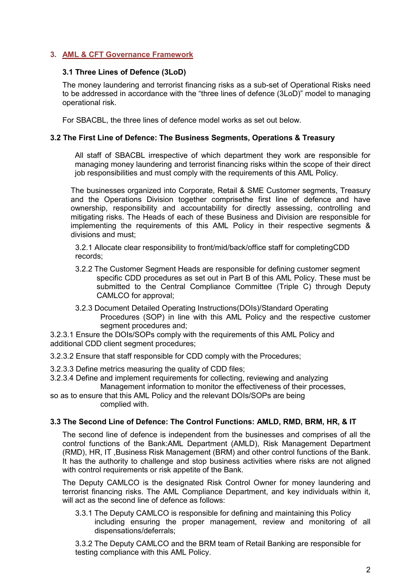# 3. AML & CFT Governance Framework

### 3.1 Three Lines of Defence (3LoD)

The money laundering and terrorist financing risks as a sub-set of Operational Risks need to be addressed in accordance with the "three lines of defence (3LoD)" model to managing operational risk.

For SBACBL, the three lines of defence model works as set out below.

#### 3.2 The First Line of Defence: The Business Segments, Operations & Treasury

All staff of SBACBL irrespective of which department they work are responsible for managing money laundering and terrorist financing risks within the scope of their direct job responsibilities and must comply with the requirements of this AML Policy.

The businesses organized into Corporate, Retail & SME Customer segments, Treasury and the Operations Division together comprisethe first line of defence and have ownership, responsibility and accountability for directly assessing, controlling and mitigating risks. The Heads of each of these Business and Division are responsible for implementing the requirements of this AML Policy in their respective segments & divisions and must;

3.2.1 Allocate clear responsibility to front/mid/back/office staff for completingCDD records;

- 3.2.2 The Customer Segment Heads are responsible for defining customer segment specific CDD procedures as set out in Part B of this AML Policy. These must be submitted to the Central Compliance Committee (Triple C) through Deputy CAMLCO for approval;
- 3.2.3 Document Detailed Operating Instructions(DOIs)/Standard Operating Procedures (SOP) in line with this AML Policy and the respective customer segment procedures and:

3.2.3.1 Ensure the DOIs/SOPs comply with the requirements of this AML Policy and additional CDD client segment procedures;

3.2.3.2 Ensure that staff responsible for CDD comply with the Procedures;

- 3.2.3.3 Define metrics measuring the quality of CDD files;
- 3.2.3.4 Define and implement requirements for collecting, reviewing and analyzing Management information to monitor the effectiveness of their processes,
- so as to ensure that this AML Policy and the relevant DOIs/SOPs are being complied with.

#### 3.3 The Second Line of Defence: The Control Functions: AMLD, RMD, BRM, HR, & IT

The second line of defence is independent from the businesses and comprises of all the control functions of the Bank:AML Department (AMLD), Risk Management Department (RMD), HR, IT ,Business Risk Management (BRM) and other control functions of the Bank. It has the authority to challenge and stop business activities where risks are not aligned with control requirements or risk appetite of the Bank.

The Deputy CAMLCO is the designated Risk Control Owner for money laundering and terrorist financing risks. The AML Compliance Department, and key individuals within it, will act as the second line of defence as follows:

3.3.1 The Deputy CAMLCO is responsible for defining and maintaining this Policy including ensuring the proper management, review and monitoring of all dispensations/deferrals;

3.3.2 The Deputy CAMLCO and the BRM team of Retail Banking are responsible for testing compliance with this AML Policy.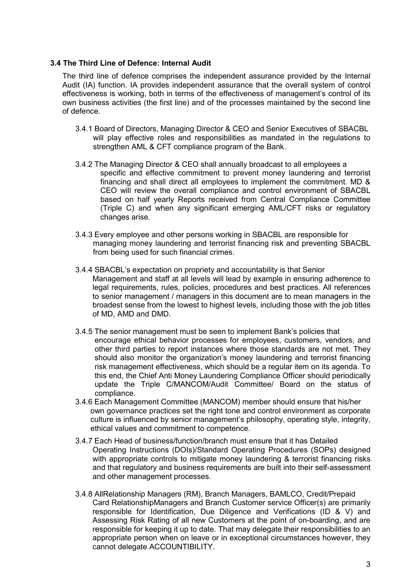#### 3.4 The Third Line of Defence: Internal Audit

The third line of defence comprises the independent assurance provided by the Internal Audit (IA) function. IA provides independent assurance that the overall system of control effectiveness is working, both in terms of the effectiveness of management's control of its own business activities (the first line) and of the processes maintained by the second line of defence.

- 3.4.1 Board of Directors, Managing Director & CEO and Senior Executives of SBACBL will play effective roles and responsibilities as mandated in the regulations to strengthen AML & CFT compliance program of the Bank.
- 3.4.2 The Managing Director & CEO shall annually broadcast to all employees a specific and effective commitment to prevent money laundering and terrorist financing and shall direct all employees to implement the commitment. MD & CEO will review the overall compliance and control environment of SBACBL based on half yearly Reports received from Central Compliance Committee (Triple C) and when any significant emerging AML/CFT risks or regulatory changes arise.
- 3.4.3 Every employee and other persons working in SBACBL are responsible for managing money laundering and terrorist financing risk and preventing SBACBL from being used for such financial crimes.
- 3.4.4 SBACBL's expectation on propriety and accountability is that Senior Management and staff at all levels will lead by example in ensuring adherence to legal requirements, rules, policies, procedures and best practices. All references to senior management / managers in this document are to mean managers in the broadest sense from the lowest to highest levels, including those with the job titles of MD, AMD and DMD.
- 3.4.5 The senior management must be seen to implement Bank's policies that encourage ethical behavior processes for employees, customers, vendors, and other third parties to report instances where those standards are not met. They should also monitor the organization's money laundering and terrorist financing risk management effectiveness, which should be a regular item on its agenda. To this end, the Chief Anti Money Laundering Compliance Officer should periodically update the Triple C/MANCOM/Audit Committee/ Board on the status of compliance.
- 3.4.6 Each Management Committee (MANCOM) member should ensure that his/her own governance practices set the right tone and control environment as corporate culture is influenced by senior management's philosophy, operating style, integrity, ethical values and commitment to competence.
- 3.4.7 Each Head of business/function/branch must ensure that it has Detailed Operating Instructions (DOIs)/Standard Operating Procedures (SOPs) designed with appropriate controls to mitigate money laundering & terrorist financing risks and that regulatory and business requirements are built into their self-assessment and other management processes.
- 3.4.8 AllRelationship Managers (RM), Branch Managers, BAMLCO, Credit/Prepaid Card RelationshipManagers and Branch Customer service Officer(s) are primarily responsible for Identification, Due Diligence and Verifications (ID & V) and Assessing Risk Rating of all new Customers at the point of on-boarding, and are responsible for keeping it up to date. That may delegate their responsibilities to an appropriate person when on leave or in exceptional circumstances however, they cannot delegate ACCOUNTIBILITY.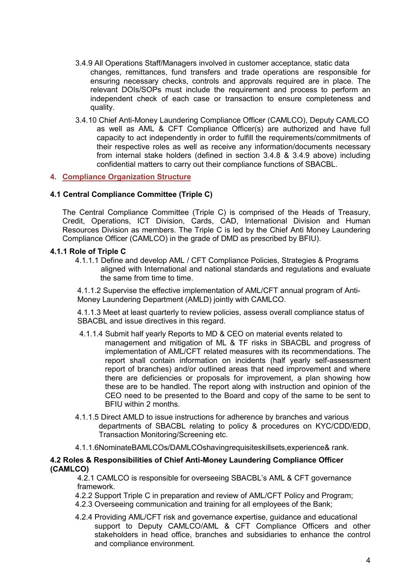- 3.4.9 All Operations Staff/Managers involved in customer acceptance, static data changes, remittances, fund transfers and trade operations are responsible for ensuring necessary checks, controls and approvals required are in place. The relevant DOIs/SOPs must include the requirement and process to perform an independent check of each case or transaction to ensure completeness and quality.
- 3.4.10 Chief Anti-Money Laundering Compliance Officer (CAMLCO), Deputy CAMLCO as well as AML & CFT Compliance Officer(s) are authorized and have full capacity to act independently in order to fulfill the requirements/commitments of their respective roles as well as receive any information/documents necessary from internal stake holders (defined in section 3.4.8 & 3.4.9 above) including confidential matters to carry out their compliance functions of SBACBL.

#### 4. Compliance Organization Structure

#### 4.1 Central Compliance Committee (Triple C)

The Central Compliance Committee (Triple C) is comprised of the Heads of Treasury, Credit, Operations, ICT Division, Cards, CAD, International Division and Human Resources Division as members. The Triple C is led by the Chief Anti Money Laundering Compliance Officer (CAMLCO) in the grade of DMD as prescribed by BFIU).

#### 4.1.1 Role of Triple C

4.1.1.1 Define and develop AML / CFT Compliance Policies, Strategies & Programs aligned with International and national standards and regulations and evaluate the same from time to time.

4.1.1.2 Supervise the effective implementation of AML/CFT annual program of Anti-Money Laundering Department (AMLD) jointly with CAMLCO.

4.1.1.3 Meet at least quarterly to review policies, assess overall compliance status of SBACBL and issue directives in this regard.

- 4.1.1.4 Submit half yearly Reports to MD & CEO on material events related to management and mitigation of ML & TF risks in SBACBL and progress of implementation of AML/CFT related measures with its recommendations. The report shall contain information on incidents (half yearly self-assessment report of branches) and/or outlined areas that need improvement and where there are deficiencies or proposals for improvement, a plan showing how these are to be handled. The report along with instruction and opinion of the CEO need to be presented to the Board and copy of the same to be sent to BFIU within 2 months.
- 4.1.1.5 Direct AMLD to issue instructions for adherence by branches and various departments of SBACBL relating to policy & procedures on KYC/CDD/EDD, Transaction Monitoring/Screening etc.
- 4.1.1.6NominateBAMLCOs/DAMLCOshavingrequisiteskillsets,experience& rank.

#### 4.2 Roles & Responsibilities of Chief Anti-Money Laundering Compliance Officer (CAMLCO)

4.2.1 CAMLCO is responsible for overseeing SBACBL's AML & CFT governance framework.

4.2.2 Support Triple C in preparation and review of AML/CFT Policy and Program;

- 4.2.3 Overseeing communication and training for all employees of the Bank;
- 4.2.4 Providing AML/CFT risk and governance expertise, guidance and educational support to Deputy CAMLCO/AML & CFT Compliance Officers and other stakeholders in head office, branches and subsidiaries to enhance the control and compliance environment.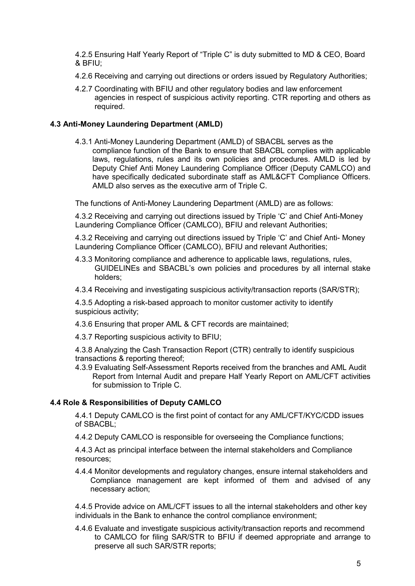4.2.5 Ensuring Half Yearly Report of "Triple C" is duty submitted to MD & CEO, Board & BFIU;

- 4.2.6 Receiving and carrying out directions or orders issued by Regulatory Authorities;
- 4.2.7 Coordinating with BFIU and other regulatory bodies and law enforcement agencies in respect of suspicious activity reporting. CTR reporting and others as required.

#### 4.3 Anti-Money Laundering Department (AMLD)

4.3.1 Anti-Money Laundering Department (AMLD) of SBACBL serves as the compliance function of the Bank to ensure that SBACBL complies with applicable laws, regulations, rules and its own policies and procedures. AMLD is led by Deputy Chief Anti Money Laundering Compliance Officer (Deputy CAMLCO) and have specifically dedicated subordinate staff as AML&CFT Compliance Officers. AMLD also serves as the executive arm of Triple C.

The functions of Anti-Money Laundering Department (AMLD) are as follows:

4.3.2 Receiving and carrying out directions issued by Triple 'C' and Chief Anti-Money Laundering Compliance Officer (CAMLCO), BFIU and relevant Authorities;

4.3.2 Receiving and carrying out directions issued by Triple 'C' and Chief Anti- Money Laundering Compliance Officer (CAMLCO), BFIU and relevant Authorities;

- 4.3.3 Monitoring compliance and adherence to applicable laws, regulations, rules, GUIDELINEs and SBACBL's own policies and procedures by all internal stake holders;
- 4.3.4 Receiving and investigating suspicious activity/transaction reports (SAR/STR);

4.3.5 Adopting a risk-based approach to monitor customer activity to identify suspicious activity;

4.3.6 Ensuring that proper AML & CFT records are maintained;

4.3.7 Reporting suspicious activity to BFIU;

4.3.8 Analyzing the Cash Transaction Report (CTR) centrally to identify suspicious transactions & reporting thereof;

4.3.9 Evaluating Self-Assessment Reports received from the branches and AML Audit Report from Internal Audit and prepare Half Yearly Report on AML/CFT activities for submission to Triple C.

#### 4.4 Role & Responsibilities of Deputy CAMLCO

4.4.1 Deputy CAMLCO is the first point of contact for any AML/CFT/KYC/CDD issues of  $SBACH$ 

4.4.2 Deputy CAMLCO is responsible for overseeing the Compliance functions;

4.4.3 Act as principal interface between the internal stakeholders and Compliance resources;

4.4.4 Monitor developments and regulatory changes, ensure internal stakeholders and Compliance management are kept informed of them and advised of any necessary action;

4.4.5 Provide advice on AML/CFT issues to all the internal stakeholders and other key individuals in the Bank to enhance the control compliance environment;

4.4.6 Evaluate and investigate suspicious activity/transaction reports and recommend to CAMLCO for filing SAR/STR to BFIU if deemed appropriate and arrange to preserve all such SAR/STR reports;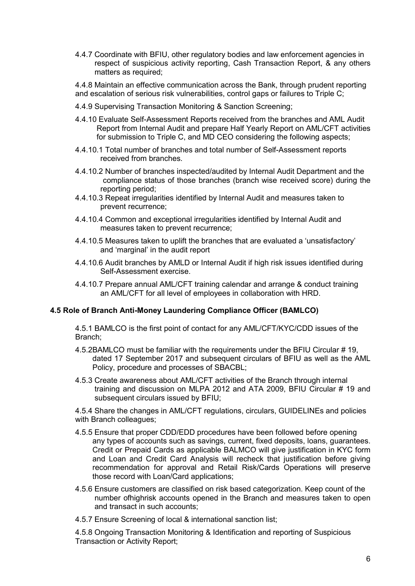4.4.7 Coordinate with BFIU, other regulatory bodies and law enforcement agencies in respect of suspicious activity reporting, Cash Transaction Report, & any others matters as required;

4.4.8 Maintain an effective communication across the Bank, through prudent reporting and escalation of serious risk vulnerabilities, control gaps or failures to Triple C;

- 4.4.9 Supervising Transaction Monitoring & Sanction Screening;
- 4.4.10 Evaluate Self-Assessment Reports received from the branches and AML Audit Report from Internal Audit and prepare Half Yearly Report on AML/CFT activities for submission to Triple C, and MD CEO considering the following aspects;
- 4.4.10.1 Total number of branches and total number of Self-Assessment reports received from branches.
- 4.4.10.2 Number of branches inspected/audited by Internal Audit Department and the compliance status of those branches (branch wise received score) during the reporting period;
- 4.4.10.3 Repeat irregularities identified by Internal Audit and measures taken to prevent recurrence;
- 4.4.10.4 Common and exceptional irregularities identified by Internal Audit and measures taken to prevent recurrence;
- 4.4.10.5 Measures taken to uplift the branches that are evaluated a 'unsatisfactory' and 'marginal' in the audit report
- 4.4.10.6 Audit branches by AMLD or Internal Audit if high risk issues identified during Self-Assessment exercise.
- 4.4.10.7 Prepare annual AML/CFT training calendar and arrange & conduct training an AML/CFT for all level of employees in collaboration with HRD.

#### 4.5 Role of Branch Anti-Money Laundering Compliance Officer (BAMLCO)

4.5.1 BAMLCO is the first point of contact for any AML/CFT/KYC/CDD issues of the Branch;

- 4.5.2BAMLCO must be familiar with the requirements under the BFIU Circular # 19, dated 17 September 2017 and subsequent circulars of BFIU as well as the AML Policy, procedure and processes of SBACBL;
- 4.5.3 Create awareness about AML/CFT activities of the Branch through internal training and discussion on MLPA 2012 and ATA 2009, BFIU Circular # 19 and subsequent circulars issued by BFIU;

4.5.4 Share the changes in AML/CFT regulations, circulars, GUIDELINEs and policies with Branch colleagues;

- 4.5.5 Ensure that proper CDD/EDD procedures have been followed before opening any types of accounts such as savings, current, fixed deposits, loans, guarantees. Credit or Prepaid Cards as applicable BALMCO will give justification in KYC form and Loan and Credit Card Analysis will recheck that justification before giving recommendation for approval and Retail Risk/Cards Operations will preserve those record with Loan/Card applications;
- 4.5.6 Ensure customers are classified on risk based categorization. Keep count of the number ofhighrisk accounts opened in the Branch and measures taken to open and transact in such accounts;
- 4.5.7 Ensure Screening of local & international sanction list;

4.5.8 Ongoing Transaction Monitoring & Identification and reporting of Suspicious Transaction or Activity Report;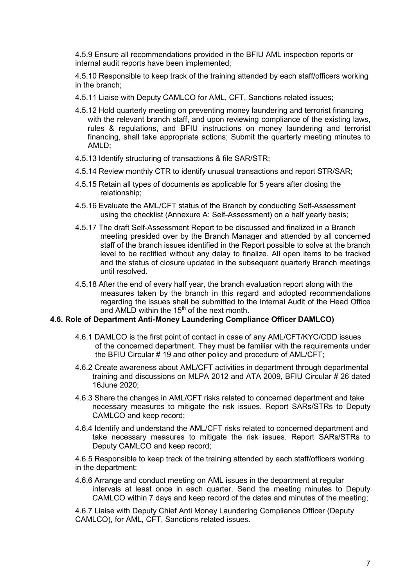4.5.9 Ensure all recommendations provided in the BFIU AML inspection reports or internal audit reports have been implemented;

4.5.10 Responsible to keep track of the training attended by each staff/officers working in the branch;

- 4.5.11 Liaise with Deputy CAMLCO for AML, CFT, Sanctions related issues;
- 4.5.12 Hold quarterly meeting on preventing money laundering and terrorist financing with the relevant branch staff, and upon reviewing compliance of the existing laws, rules & regulations, and BFIU instructions on money laundering and terrorist financing, shall take appropriate actions; Submit the quarterly meeting minutes to AMLD;
- 4.5.13 Identify structuring of transactions & file SAR/STR;
- 4.5.14 Review monthly CTR to identify unusual transactions and report STR/SAR;
- 4.5.15 Retain all types of documents as applicable for 5 years after closing the relationship;
- 4.5.16 Evaluate the AML/CFT status of the Branch by conducting Self-Assessment using the checklist (Annexure A: Self-Assessment) on a half yearly basis;
- 4.5.17 The draft Self-Assessment Report to be discussed and finalized in a Branch meeting presided over by the Branch Manager and attended by all concerned staff of the branch issues identified in the Report possible to solve at the branch level to be rectified without any delay to finalize. All open items to be tracked and the status of closure updated in the subsequent quarterly Branch meetings until resolved.
- 4.5.18 After the end of every half year, the branch evaluation report along with the measures taken by the branch in this regard and adopted recommendations regarding the issues shall be submitted to the Internal Audit of the Head Office and AMLD within the  $15<sup>th</sup>$  of the next month.

#### 4.6. Role of Department Anti-Money Laundering Compliance Officer DAMLCO)

- 4.6.1 DAMLCO is the first point of contact in case of any AML/CFT/KYC/CDD issues of the concerned department. They must be familiar with the requirements under the BFIU Circular # 19 and other policy and procedure of AML/CFT;
- 4.6.2 Create awareness about AML/CFT activities in department through departmental training and discussions on MLPA 2012 and ATA 2009, BFIU Circular # 26 dated 16June 2020;
- 4.6.3 Share the changes in AML/CFT risks related to concerned department and take necessary measures to mitigate the risk issues. Report SARs/STRs to Deputy CAMLCO and keep record;
- 4.6.4 Identify and understand the AML/CFT risks related to concerned department and take necessary measures to mitigate the risk issues. Report SARs/STRs to Deputy CAMLCO and keep record;

4.6.5 Responsible to keep track of the training attended by each staff/officers working in the department;

4.6.6 Arrange and conduct meeting on AML issues in the department at regular intervals at least once in each quarter. Send the meeting minutes to Deputy CAMLCO within 7 days and keep record of the dates and minutes of the meeting;

4.6.7 Liaise with Deputy Chief Anti Money Laundering Compliance Officer (Deputy CAMLCO), for AML, CFT, Sanctions related issues.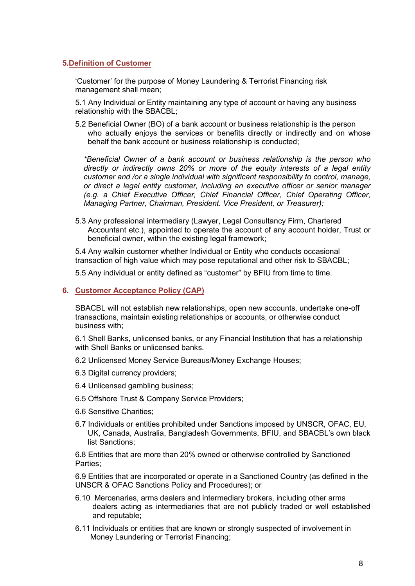### 5.Definition of Customer

'Customer' for the purpose of Money Laundering & Terrorist Financing risk management shall mean;

5.1 Any Individual or Entity maintaining any type of account or having any business relationship with the SBACBL;

5.2 Beneficial Owner (BO) of a bank account or business relationship is the person who actually enjoys the services or benefits directly or indirectly and on whose behalf the bank account or business relationship is conducted;

*\*Beneficial Owner of a bank account or business relationship is the person who directly or indirectly owns 20% or more of the equity interests of a legal entity customer and /or a single individual with significant responsibility to control, manage, or direct a legal entity customer, including an executive officer or senior manager (e.g. a Chief Executive Officer, Chief Financial Officer, Chief Operating Officer, Managing Partner, Chairman, President. Vice President, or Treasurer);*

5.3 Any professional intermediary (Lawyer, Legal Consultancy Firm, Chartered Accountant etc.), appointed to operate the account of any account holder, Trust or beneficial owner, within the existing legal framework;

5.4 Any walkin customer whether Individual or Entity who conducts occasional transaction of high value which may pose reputational and other risk to SBACBL;

5.5 Any individual or entity defined as "customer" by BFIU from time to time.

#### 6. Customer Acceptance Policy (CAP)

SBACBL will not establish new relationships, open new accounts, undertake one-off transactions, maintain existing relationships or accounts, or otherwise conduct business with;

6.1 Shell Banks, unlicensed banks, or any Financial Institution that has a relationship with Shell Banks or unlicensed banks.

- 6.2 Unlicensed Money Service Bureaus/Money Exchange Houses;
- 6.3 Digital currency providers;
- 6.4 Unlicensed gambling business;
- 6.5 Offshore Trust & Company Service Providers;
- 6.6 Sensitive Charities;
- 6.7 Individuals or entities prohibited under Sanctions imposed by UNSCR, OFAC, EU, UK, Canada, Australia, Bangladesh Governments, BFIU, and SBACBL's own black list Sanctions;

6.8 Entities that are more than 20% owned or otherwise controlled by Sanctioned Parties;

6.9 Entities that are incorporated or operate in a Sanctioned Country (as defined in the UNSCR & OFAC Sanctions Policy and Procedures); or

- 6.10 Mercenaries, arms dealers and intermediary brokers, including other arms dealers acting as intermediaries that are not publicly traded or well established and reputable;
- 6.11 Individuals or entities that are known or strongly suspected of involvement in Money Laundering or Terrorist Financing;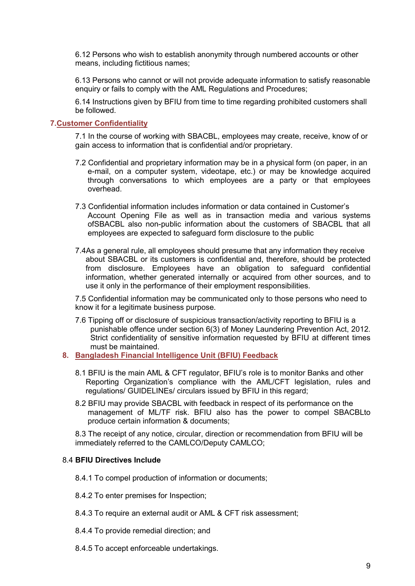6.12 Persons who wish to establish anonymity through numbered accounts or other means, including fictitious names;

6.13 Persons who cannot or will not provide adequate information to satisfy reasonable enquiry or fails to comply with the AML Regulations and Procedures;

6.14 Instructions given by BFIU from time to time regarding prohibited customers shall be followed.

#### 7.Customer Confidentiality

7.1 In the course of working with SBACBL, employees may create, receive, know of or gain access to information that is confidential and/or proprietary.

- 7.2 Confidential and proprietary information may be in a physical form (on paper, in an e-mail, on a computer system, videotape, etc.) or may be knowledge acquired through conversations to which employees are a party or that employees overhead.
- 7.3 Confidential information includes information or data contained in Customer's Account Opening File as well as in transaction media and various systems ofSBACBL also non-public information about the customers of SBACBL that all employees are expected to safeguard form disclosure to the public
- 7.4As a general rule, all employees should presume that any information they receive about SBACBL or its customers is confidential and, therefore, should be protected from disclosure. Employees have an obligation to safeguard confidential information, whether generated internally or acquired from other sources, and to use it only in the performance of their employment responsibilities.

7.5 Confidential information may be communicated only to those persons who need to know it for a legitimate business purpose.

- 7.6 Tipping off or disclosure of suspicious transaction/activity reporting to BFIU is a punishable offence under section 6(3) of Money Laundering Prevention Act, 2012. Strict confidentiality of sensitive information requested by BFIU at different times must be maintained.
- 8. Bangladesh Financial Intelligence Unit (BFIU) Feedback
	- 8.1 BFIU is the main AML & CFT regulator, BFIU's role is to monitor Banks and other Reporting Organization's compliance with the AML/CFT legislation, rules and regulations/ GUIDELINEs/ circulars issued by BFIU in this regard;
	- 8.2 BFIU may provide SBACBL with feedback in respect of its performance on the management of ML/TF risk. BFIU also has the power to compel SBACBLto produce certain information & documents;

8.3 The receipt of any notice, circular, direction or recommendation from BFIU will be immediately referred to the CAMLCO/Deputy CAMLCO;

#### 8.4 BFIU Directives Include

8.4.1 To compel production of information or documents;

- 8.4.2 To enter premises for Inspection;
- 8.4.3 To require an external audit or AML & CFT risk assessment;
- 8.4.4 To provide remedial direction; and
- 8.4.5 To accept enforceable undertakings.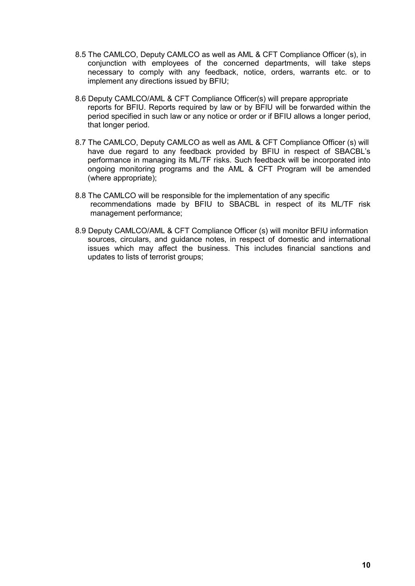- 8.5 The CAMLCO, Deputy CAMLCO as well as AML & CFT Compliance Officer (s), in conjunction with employees of the concerned departments, will take steps necessary to comply with any feedback, notice, orders, warrants etc. or to implement any directions issued by BFIU;
- 8.6 Deputy CAMLCO/AML & CFT Compliance Officer(s) will prepare appropriate reports for BFIU. Reports required by law or by BFIU will be forwarded within the period specified in such law or any notice or order or if BFIU allows a longer period, that longer period.
- 8.7 The CAMLCO, Deputy CAMLCO as well as AML & CFT Compliance Officer (s) will have due regard to any feedback provided by BFIU in respect of SBACBL's performance in managing its ML/TF risks. Such feedback will be incorporated into ongoing monitoring programs and the AML & CFT Program will be amended (where appropriate);
- 8.8 The CAMLCO will be responsible for the implementation of any specific recommendations made by BFIU to SBACBL in respect of its ML/TF risk management performance;
- 8.9 Deputy CAMLCO/AML & CFT Compliance Officer (s) will monitor BFIU information sources, circulars, and guidance notes, in respect of domestic and international issues which may affect the business. This includes financial sanctions and updates to lists of terrorist groups;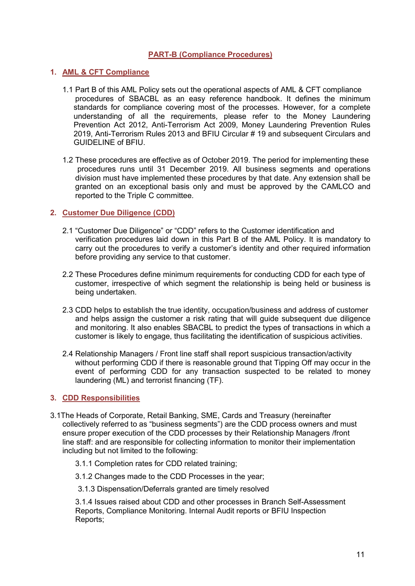# PART-B (Compliance Procedures)

#### 1. AML & CFT Compliance

- 1.1 Part B of this AML Policy sets out the operational aspects of AML & CFT compliance procedures of SBACBL as an easy reference handbook. It defines the minimum standards for compliance covering most of the processes. However, for a complete understanding of all the requirements, please refer to the Money Laundering Prevention Act 2012, Anti-Terrorism Act 2009, Money Laundering Prevention Rules 2019, Anti-Terrorism Rules 2013 and BFIU Circular # 19 and subsequent Circulars and GUIDELINE of BFIU.
- 1.2 These procedures are effective as of October 2019. The period for implementing these procedures runs until 31 December 2019. All business segments and operations division must have implemented these procedures by that date. Any extension shall be granted on an exceptional basis only and must be approved by the CAMLCO and reported to the Triple C committee.

#### 2. Customer Due Diligence (CDD)

- 2.1 "Customer Due Diligence" or "CDD" refers to the Customer identification and verification procedures laid down in this Part B of the AML Policy. It is mandatory to carry out the procedures to verify a customer's identity and other required information before providing any service to that customer.
- 2.2 These Procedures define minimum requirements for conducting CDD for each type of customer, irrespective of which segment the relationship is being held or business is being undertaken.
- 2.3 CDD helps to establish the true identity, occupation/business and address of customer and helps assign the customer a risk rating that will guide subsequent due diligence and monitoring. It also enables SBACBL to predict the types of transactions in which a customer is likely to engage, thus facilitating the identification of suspicious activities.
- 2.4 Relationship Managers / Front line staff shall report suspicious transaction/activity without performing CDD if there is reasonable ground that Tipping Off may occur in the event of performing CDD for any transaction suspected to be related to money laundering (ML) and terrorist financing (TF).

#### 3. CDD Responsibilities

- 3.1The Heads of Corporate, Retail Banking, SME, Cards and Treasury (hereinafter collectively referred to as "business segments") are the CDD process owners and must ensure proper execution of the CDD processes by their Relationship Managers /front line staff: and are responsible for collecting information to monitor their implementation including but not limited to the following:
	- 3.1.1 Completion rates for CDD related training;

3.1.2 Changes made to the CDD Processes in the year;

3.1.3 Dispensation/Deferrals granted are timely resolved

3.1.4 Issues raised about CDD and other processes in Branch Self-Assessment Reports, Compliance Monitoring. Internal Audit reports or BFIU Inspection Reports;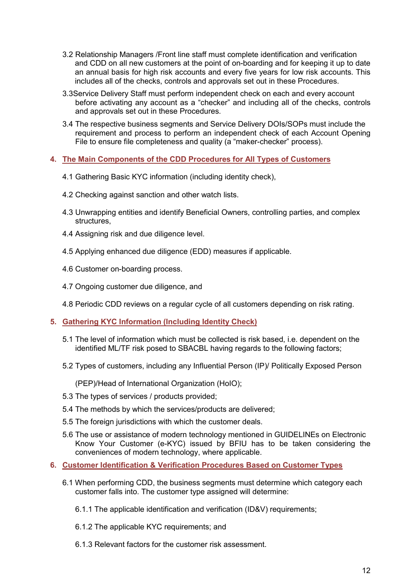- 3.2 Relationship Managers /Front line staff must complete identification and verification and CDD on all new customers at the point of on-boarding and for keeping it up to date an annual basis for high risk accounts and every five years for low risk accounts. This includes all of the checks, controls and approvals set out in these Procedures.
- 3.3Service Delivery Staff must perform independent check on each and every account before activating any account as a "checker" and including all of the checks, controls and approvals set out in these Procedures.
- 3.4 The respective business segments and Service Delivery DOIs/SOPs must include the requirement and process to perform an independent check of each Account Opening File to ensure file completeness and quality (a "maker-checker" process).

## 4. The Main Components of the CDD Procedures for All Types of Customers

- 4.1 Gathering Basic KYC information (including identity check),
- 4.2 Checking against sanction and other watch lists.
- 4.3 Unwrapping entities and identify Beneficial Owners, controlling parties, and complex structures,
- 4.4 Assigning risk and due diligence level.
- 4.5 Applying enhanced due diligence (EDD) measures if applicable.
- 4.6 Customer on-boarding process.
- 4.7 Ongoing customer due diligence, and
- 4.8 Periodic CDD reviews on a regular cycle of all customers depending on risk rating.
- 5. Gathering KYC Information (Including Identity Check)
	- 5.1 The level of information which must be collected is risk based, i.e. dependent on the identified ML/TF risk posed to SBACBL having regards to the following factors;
	- 5.2 Types of customers, including any Influential Person (IP)/ Politically Exposed Person

(PEP)/Head of International Organization (HoIO);

- 5.3 The types of services / products provided;
- 5.4 The methods by which the services/products are delivered;
- 5.5 The foreign jurisdictions with which the customer deals.
- 5.6 The use or assistance of modern technology mentioned in GUIDELINEs on Electronic Know Your Customer (e-KYC) issued by BFIU has to be taken considering the conveniences of modern technology, where applicable.
- 6. Customer Identification & Verification Procedures Based on Customer Types
	- 6.1 When performing CDD, the business segments must determine which category each customer falls into. The customer type assigned will determine:
		- 6.1.1 The applicable identification and verification (ID&V) requirements;
		- 6.1.2 The applicable KYC requirements; and
		- 6.1.3 Relevant factors for the customer risk assessment.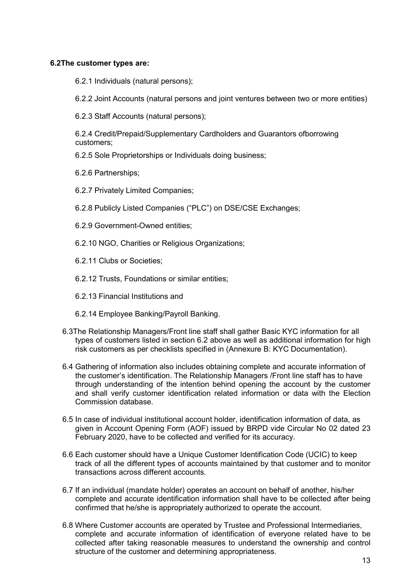### 6.2The customer types are:

6.2.1 Individuals (natural persons);

6.2.2 Joint Accounts (natural persons and joint ventures between two or more entities)

6.2.3 Staff Accounts (natural persons);

6.2.4 Credit/Prepaid/Supplementary Cardholders and Guarantors ofborrowing customers;

- 6.2.5 Sole Proprietorships or Individuals doing business;
- 6.2.6 Partnerships;
- 6.2.7 Privately Limited Companies;
- 6.2.8 Publicly Listed Companies ("PLC") on DSE/CSE Exchanges;
- 6.2.9 Government-Owned entities;
- 6.2.10 NGO, Charities or Religious Organizations;
- 6.2.11 Clubs or Societies;
- 6.2.12 Trusts, Foundations or similar entities;
- 6.2.13 Financial Institutions and
- 6.2.14 Employee Banking/Payroll Banking.
- 6.3The Relationship Managers/Front line staff shall gather Basic KYC information for all types of customers listed in section 6.2 above as well as additional information for high risk customers as per checklists specified in (Annexure B: KYC Documentation).
- 6.4 Gathering of information also includes obtaining complete and accurate information of the customer's identification. The Relationship Managers /Front line staff has to have through understanding of the intention behind opening the account by the customer and shall verify customer identification related information or data with the Election Commission database.
- 6.5 In case of individual institutional account holder, identification information of data, as given in Account Opening Form (AOF) issued by BRPD vide Circular No 02 dated 23 February 2020, have to be collected and verified for its accuracy.
- 6.6 Each customer should have a Unique Customer Identification Code (UCIC) to keep track of all the different types of accounts maintained by that customer and to monitor transactions across different accounts.
- 6.7 If an individual (mandate holder) operates an account on behalf of another, his/her complete and accurate identification information shall have to be collected after being confirmed that he/she is appropriately authorized to operate the account.
- 6.8 Where Customer accounts are operated by Trustee and Professional Intermediaries, complete and accurate information of identification of everyone related have to be collected after taking reasonable measures to understand the ownership and control structure of the customer and determining appropriateness.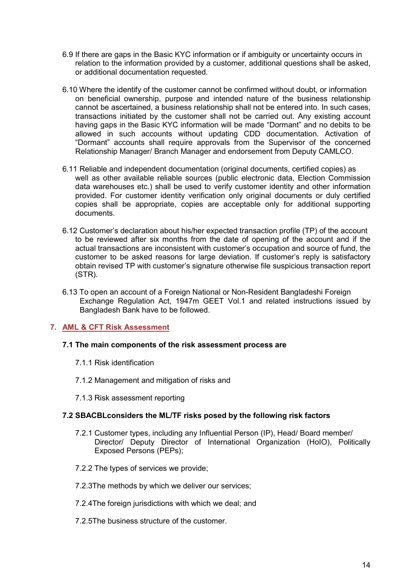- 6.9 If there are gaps in the Basic KYC information or if ambiguity or uncertainty occurs in relation to the information provided by a customer, additional questions shall be asked, or additional documentation requested.
- 6.10 Where the identify of the customer cannot be confirmed without doubt, or information on beneficial ownership, purpose and intended nature of the business relationship cannot be ascertained, a business relationship shall not be entered into. In such cases, transactions initiated by the customer shall not be carried out. Any existing account having gaps in the Basic KYC information will be made "Dormant" and no debits to be allowed in such accounts without updating CDD documentation. Activation of "Dormant" accounts shall require approvals from the Supervisor of the concerned Relationship Manager/ Branch Manager and endorsement from Deputy CAMLCO.
- 6.11 Reliable and independent documentation (original documents, certified copies) as well as other available reliable sources (public electronic data, Election Commission data warehouses etc.) shall be used to verify customer identity and other information provided. For customer identity verification only original documents or duly certified copies shall be appropriate, copies are acceptable only for additional supporting documents.
- 6.12 Customer's declaration about his/her expected transaction profile (TP) of the account to be reviewed after six months from the date of opening of the account and if the actual transactions are inconsistent with customer's occupation and source of fund, the customer to be asked reasons for large deviation. If customer's reply is satisfactory obtain revised TP with customer's signature otherwise file suspicious transaction report (STR).
- 6.13 To open an account of a Foreign National or Non-Resident Bangladeshi Foreign Exchange Regulation Act, 1947m GEET Vol.1 and related instructions issued by Bangladesh Bank have to be followed.

# 7. AML & CFT Risk Assessment

#### 7.1 The main components of the risk assessment process are

- 7.1.1 Risk identification
- 7.1.2 Management and mitigation of risks and
- 7.1.3 Risk assessment reporting

#### 7.2 SBACBLconsiders the ML/TF risks posed by the following risk factors

- 7.2.1 Customer types, including any Influential Person (IP), Head/ Board member/ Director/ Deputy Director of International Organization (HoIO), Politically Exposed Persons (PEPs);
- 7.2.2 The types of services we provide;
- 7.2.3The methods by which we deliver our services;
- 7.2.4The foreign jurisdictions with which we deal; and
- 7.2.5The business structure of the customer.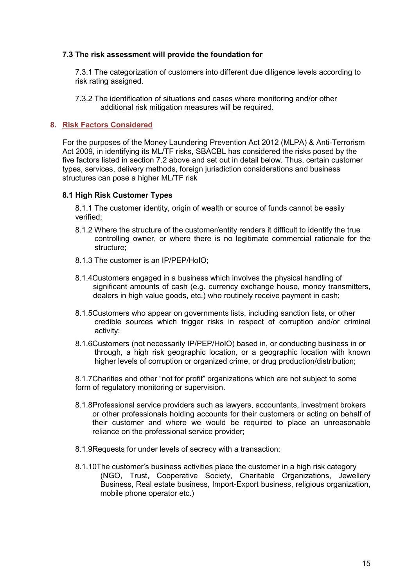#### 7.3 The risk assessment will provide the foundation for

7.3.1 The categorization of customers into different due diligence levels according to risk rating assigned.

7.3.2 The identification of situations and cases where monitoring and/or other additional risk mitigation measures will be required.

# 8. Risk Factors Considered

For the purposes of the Money Laundering Prevention Act 2012 (MLPA) & Anti-Terrorism Act 2009, in identifying its ML/TF risks, SBACBL has considered the risks posed by the five factors listed in section 7.2 above and set out in detail below. Thus, certain customer types, services, delivery methods, foreign jurisdiction considerations and business structures can pose a higher ML/TF risk

#### 8.1 High Risk Customer Types

8.1.1 The customer identity, origin of wealth or source of funds cannot be easily verified;

- 8.1.2 Where the structure of the customer/entity renders it difficult to identify the true controlling owner, or where there is no legitimate commercial rationale for the structure;
- 8.1.3 The customer is an IP/PEP/HoIO;
- 8.1.4Customers engaged in a business which involves the physical handling of significant amounts of cash (e.g. currency exchange house, money transmitters, dealers in high value goods, etc.) who routinely receive payment in cash;
- 8.1.5Customers who appear on governments lists, including sanction lists, or other credible sources which trigger risks in respect of corruption and/or criminal activity;
- 8.1.6Customers (not necessarily IP/PEP/HoIO) based in, or conducting business in or through, a high risk geographic location, or a geographic location with known higher levels of corruption or organized crime, or drug production/distribution;

8.1.7Charities and other "not for profit" organizations which are not subject to some form of regulatory monitoring or supervision.

- 8.1.8Professional service providers such as lawyers, accountants, investment brokers or other professionals holding accounts for their customers or acting on behalf of their customer and where we would be required to place an unreasonable reliance on the professional service provider;
- 8.1.9Requests for under levels of secrecy with a transaction;
- 8.1.10The customer's business activities place the customer in a high risk category (NGO, Trust, Cooperative Society, Charitable Organizations, Jewellery Business, Real estate business, Import-Export business, religious organization, mobile phone operator etc.)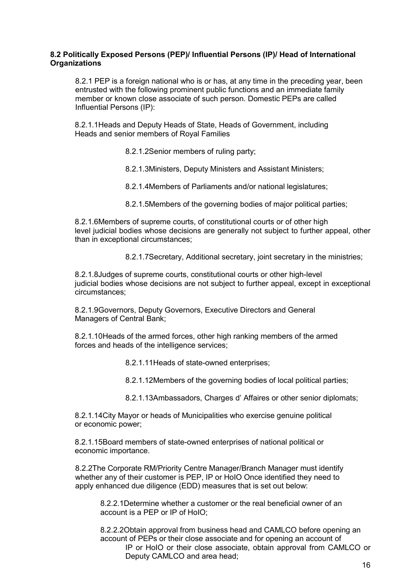#### 8.2 Politically Exposed Persons (PEP)/ Influential Persons (IP)/ Head of International **Organizations**

8.2.1 PEP is a foreign national who is or has, at any time in the preceding year, been entrusted with the following prominent public functions and an immediate family member or known close associate of such person. Domestic PEPs are called Influential Persons (IP):

8.2.1.1Heads and Deputy Heads of State, Heads of Government, including Heads and senior members of Royal Families

- 8.2.1.2Senior members of ruling party;
- 8.2.1.3Ministers, Deputy Ministers and Assistant Ministers;
- 8.2.1.4Members of Parliaments and/or national legislatures;
- 8.2.1.5Members of the governing bodies of major political parties;

8.2.1.6Members of supreme courts, of constitutional courts or of other high level judicial bodies whose decisions are generally not subject to further appeal, other than in exceptional circumstances;

8.2.1.7Secretary, Additional secretary, joint secretary in the ministries;

8.2.1.8Judges of supreme courts, constitutional courts or other high-level judicial bodies whose decisions are not subject to further appeal, except in exceptional circumstances;

8.2.1.9Governors, Deputy Governors, Executive Directors and General Managers of Central Bank;

8.2.1.10Heads of the armed forces, other high ranking members of the armed forces and heads of the intelligence services;

8.2.1.11Heads of state-owned enterprises;

8.2.1.12Members of the governing bodies of local political parties;

8.2.1.13Ambassadors, Charges d' Affaires or other senior diplomats;

8.2.1.14City Mayor or heads of Municipalities who exercise genuine political or economic power;

8.2.1.15Board members of state-owned enterprises of national political or economic importance.

8.2.2The Corporate RM/Priority Centre Manager/Branch Manager must identify whether any of their customer is PEP, IP or HoIO Once identified they need to apply enhanced due diligence (EDD) measures that is set out below:

8.2.2.1Determine whether a customer or the real beneficial owner of an account is a PEP or IP of HoIO;

8.2.2.2Obtain approval from business head and CAMLCO before opening an account of PEPs or their close associate and for opening an account of IP or HoIO or their close associate, obtain approval from CAMLCO or Deputy CAMLCO and area head;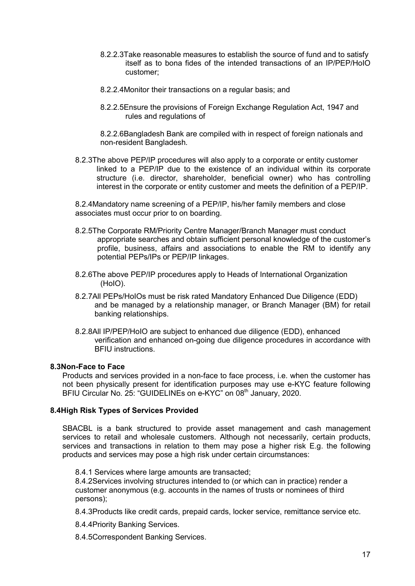- 8.2.2.3Take reasonable measures to establish the source of fund and to satisfy itself as to bona fides of the intended transactions of an IP/PEP/HoIO customer;
- 8.2.2.4Monitor their transactions on a regular basis; and
- 8.2.2.5Ensure the provisions of Foreign Exchange Regulation Act, 1947 and rules and regulations of

8.2.2.6Bangladesh Bank are compiled with in respect of foreign nationals and non-resident Bangladesh.

8.2.3The above PEP/IP procedures will also apply to a corporate or entity customer linked to a PEP/IP due to the existence of an individual within its corporate structure (i.e. director, shareholder, beneficial owner) who has controlling interest in the corporate or entity customer and meets the definition of a PEP/IP.

8.2.4Mandatory name screening of a PEP/IP, his/her family members and close associates must occur prior to on boarding.

- 8.2.5The Corporate RM/Priority Centre Manager/Branch Manager must conduct appropriate searches and obtain sufficient personal knowledge of the customer's profile, business, affairs and associations to enable the RM to identify any potential PEPs/IPs or PEP/IP linkages.
- 8.2.6The above PEP/IP procedures apply to Heads of International Organization (HoIO).
- 8.2.7All PEPs/HoIOs must be risk rated Mandatory Enhanced Due Diligence (EDD) and be managed by a relationship manager, or Branch Manager (BM) for retail banking relationships.
- 8.2.8All IP/PEP/HoIO are subject to enhanced due diligence (EDD), enhanced verification and enhanced on-going due diligence procedures in accordance with BFIU instructions.

#### 8.3Non-Face to Face

Products and services provided in a non-face to face process, i.e. when the customer has not been physically present for identification purposes may use e-KYC feature following BFIU Circular No. 25: "GUIDELINEs on e-KYC" on 08<sup>th</sup> January, 2020.

#### 8.4High Risk Types of Services Provided

SBACBL is a bank structured to provide asset management and cash management services to retail and wholesale customers. Although not necessarily, certain products, services and transactions in relation to them may pose a higher risk E.g. the following products and services may pose a high risk under certain circumstances:

8.4.1 Services where large amounts are transacted:

8.4.2Services involving structures intended to (or which can in practice) render a customer anonymous (e.g. accounts in the names of trusts or nominees of third persons);

8.4.3Products like credit cards, prepaid cards, locker service, remittance service etc.

8.4.4Priority Banking Services.

8.4.5Correspondent Banking Services.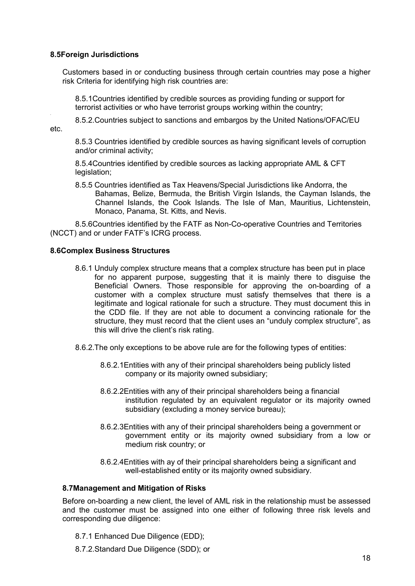#### 8.5Foreign Jurisdictions

Customers based in or conducting business through certain countries may pose a higher risk Criteria for identifying high risk countries are:

8.5.1Countries identified by credible sources as providing funding or support for terrorist activities or who have terrorist groups working within the country;

8.5.2.Countries subject to sanctions and embargos by the United Nations/OFAC/EU

etc.

.

8.5.3 Countries identified by credible sources as having significant levels of corruption and/or criminal activity;

8.5.4Countries identified by credible sources as lacking appropriate AML & CFT legislation;

8.5.5 Countries identified as Tax Heavens/Special Jurisdictions like Andorra, the Bahamas, Belize, Bermuda, the British Virgin Islands, the Cayman Islands, the Channel Islands, the Cook Islands. The Isle of Man, Mauritius, Lichtenstein, Monaco, Panama, St. Kitts, and Nevis.

8.5.6Countries identified by the FATF as Non-Co-operative Countries and Territories (NCCT) and or under FATF's ICRG process.

#### 8.6Complex Business Structures

- 8.6.1 Unduly complex structure means that a complex structure has been put in place for no apparent purpose, suggesting that it is mainly there to disguise the Beneficial Owners. Those responsible for approving the on-boarding of a customer with a complex structure must satisfy themselves that there is a legitimate and logical rationale for such a structure. They must document this in the CDD file. If they are not able to document a convincing rationale for the structure, they must record that the client uses an "unduly complex structure", as this will drive the client's risk rating.
- 8.6.2.The only exceptions to be above rule are for the following types of entities:
	- 8.6.2.1Entities with any of their principal shareholders being publicly listed company or its majority owned subsidiary;
	- 8.6.2.2Entities with any of their principal shareholders being a financial institution regulated by an equivalent regulator or its majority owned subsidiary (excluding a money service bureau);
	- 8.6.2.3Entities with any of their principal shareholders being a government or government entity or its majority owned subsidiary from a low or medium risk country; or
	- 8.6.2.4Entities with ay of their principal shareholders being a significant and well-established entity or its majority owned subsidiary.

#### 8.7Management and Mitigation of Risks

Before on-boarding a new client, the level of AML risk in the relationship must be assessed and the customer must be assigned into one either of following three risk levels and corresponding due diligence:

- 8.7.1 Enhanced Due Diligence (EDD);
- 8.7.2.Standard Due Diligence (SDD); or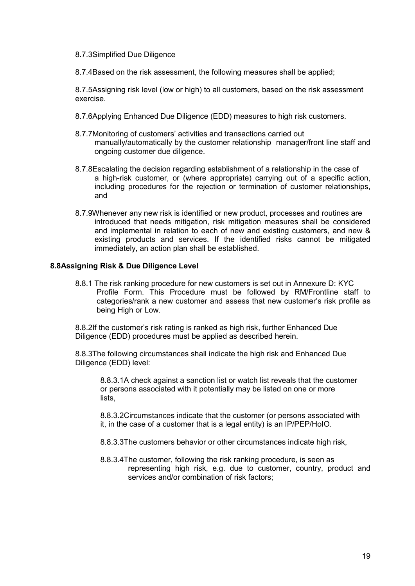#### 8.7.3Simplified Due Diligence

8.7.4Based on the risk assessment, the following measures shall be applied;

8.7.5Assigning risk level (low or high) to all customers, based on the risk assessment exercise.

- 8.7.6Applying Enhanced Due Diligence (EDD) measures to high risk customers.
- 8.7.7Monitoring of customers' activities and transactions carried out manually/automatically by the customer relationship manager/front line staff and ongoing customer due diligence.
- 8.7.8Escalating the decision regarding establishment of a relationship in the case of a high-risk customer, or (where appropriate) carrying out of a specific action, including procedures for the rejection or termination of customer relationships, and
- 8.7.9Whenever any new risk is identified or new product, processes and routines are introduced that needs mitigation, risk mitigation measures shall be considered and implemental in relation to each of new and existing customers, and new & existing products and services. If the identified risks cannot be mitigated immediately, an action plan shall be established.

#### 8.8Assigning Risk & Due Diligence Level

8.8.1 The risk ranking procedure for new customers is set out in Annexure D: KYC Profile Form. This Procedure must be followed by RM/Frontline staff to categories/rank a new customer and assess that new customer's risk profile as being High or Low.

8.8.2If the customer's risk rating is ranked as high risk, further Enhanced Due Diligence (EDD) procedures must be applied as described herein.

8.8.3The following circumstances shall indicate the high risk and Enhanced Due Diligence (EDD) level:

8.8.3.1A check against a sanction list or watch list reveals that the customer or persons associated with it potentially may be listed on one or more lists,

8.8.3.2Circumstances indicate that the customer (or persons associated with it, in the case of a customer that is a legal entity) is an IP/PEP/HoIO.

- 8.8.3.3The customers behavior or other circumstances indicate high risk,
- 8.8.3.4The customer, following the risk ranking procedure, is seen as representing high risk, e.g. due to customer, country, product and services and/or combination of risk factors;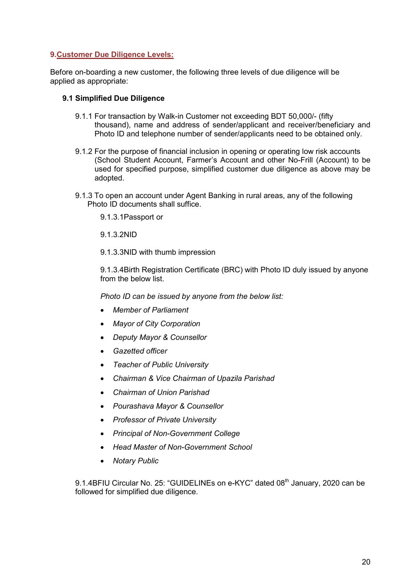## 9.Customer Due Diligence Levels:

Before on-boarding a new customer, the following three levels of due diligence will be applied as appropriate:

#### 9.1 Simplified Due Diligence

- 9.1.1 For transaction by Walk-in Customer not exceeding BDT 50,000/- (fifty thousand), name and address of sender/applicant and receiver/beneficiary and Photo ID and telephone number of sender/applicants need to be obtained only.
- 9.1.2 For the purpose of financial inclusion in opening or operating low risk accounts (School Student Account, Farmer's Account and other No-Frill (Account) to be used for specified purpose, simplified customer due diligence as above may be adopted.
- 9.1.3 To open an account under Agent Banking in rural areas, any of the following Photo ID documents shall suffice.

9.1.3.1Passport or

9.1.3.2NID

9.1.3.3NID with thumb impression

9.1.3.4Birth Registration Certificate (BRC) with Photo ID duly issued by anyone from the below list.

*Photo ID can be issued by anyone from the below list:*

- *Member of Parliament*
- *Mayor of City Corporation*
- *Deputy Mayor & Counsellor*
- *Gazetted officer*
- *Teacher of Public University*
- *Chairman & Vice Chairman of Upazila Parishad*
- *Chairman of Union Parishad*
- *Pourashava Mayor & Counsellor*
- *Professor of Private University*
- *Principal of Non-Government College*
- *Head Master of Non-Government School*
- *Notary Public*

9.1.4BFIU Circular No. 25: "GUIDELINEs on e-KYC" dated 08<sup>th</sup> January, 2020 can be followed for simplified due diligence.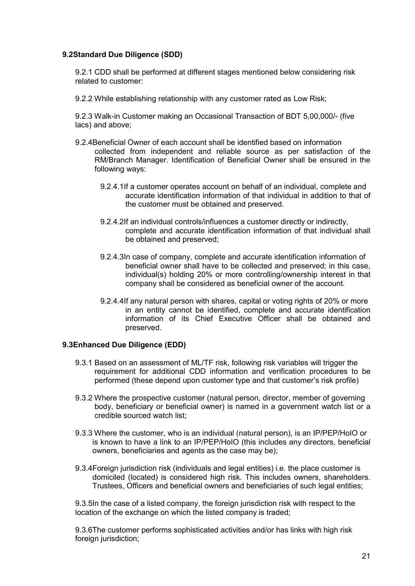### 9.2Standard Due Diligence (SDD)

9.2.1 CDD shall be performed at different stages mentioned below considering risk related to customer:

9.2.2 While establishing relationship with any customer rated as Low Risk;

9.2.3 Walk-in Customer making an Occasional Transaction of BDT 5,00,000/- (five lacs) and above;

- 9.2.4Beneficial Owner of each account shall be identified based on information collected from independent and reliable source as per satisfaction of the RM/Branch Manager. Identification of Beneficial Owner shall be ensured in the following ways:
	- 9.2.4.1If a customer operates account on behalf of an individual, complete and accurate identification information of that individual in addition to that of the customer must be obtained and preserved.
	- 9.2.4.2If an individual controls/influences a customer directly or indirectly, complete and accurate identification information of that individual shall be obtained and preserved;
	- 9.2.4.3In case of company, complete and accurate identification information of beneficial owner shall have to be collected and preserved; in this case, individual(s) holding 20% or more controlling/ownership interest in that company shall be considered as beneficial owner of the account.
	- 9.2.4.4If any natural person with shares, capital or voting rights of 20% or more in an entity cannot be identified, complete and accurate identification information of its Chief Executive Officer shall be obtained and preserved.

#### 9.3Enhanced Due Diligence (EDD)

- 9.3.1 Based on an assessment of ML/TF risk, following risk variables will trigger the requirement for additional CDD information and verification procedures to be performed (these depend upon customer type and that customer's risk profile)
- 9.3.2 Where the prospective customer (natural person, director, member of governing body, beneficiary or beneficial owner) is named in a government watch list or a credible sourced watch list;
- 9.3.3 Where the customer, who is an individual (natural person), is an IP/PEP/HoIO or is known to have a link to an IP/PEP/HoIO (this includes any directors, beneficial owners, beneficiaries and agents as the case may be);
- 9.3.4Foreign jurisdiction risk (individuals and legal entities) i.e. the place customer is domiciled (located) is considered high risk. This includes owners, shareholders. Trustees, Officers and beneficial owners and beneficiaries of such legal entities;

9.3.5In the case of a listed company, the foreign jurisdiction risk with respect to the location of the exchange on which the listed company is traded;

9.3.6The customer performs sophisticated activities and/or has links with high risk foreign jurisdiction;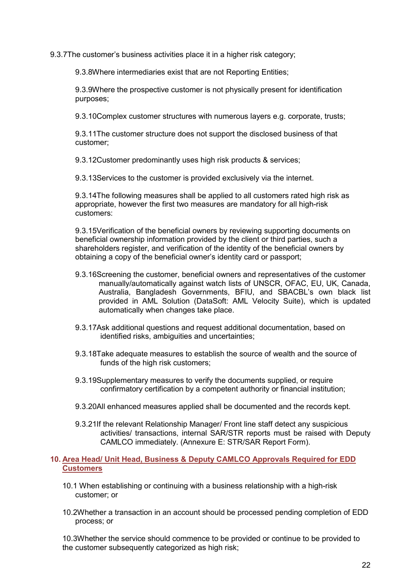9.3.7The customer's business activities place it in a higher risk category;

9.3.8Where intermediaries exist that are not Reporting Entities;

9.3.9Where the prospective customer is not physically present for identification purposes;

9.3.10Complex customer structures with numerous layers e.g. corporate, trusts;

9.3.11The customer structure does not support the disclosed business of that customer;

9.3.12Customer predominantly uses high risk products & services;

9.3.13Services to the customer is provided exclusively via the internet.

9.3.14The following measures shall be applied to all customers rated high risk as appropriate, however the first two measures are mandatory for all high-risk customers:

9.3.15Verification of the beneficial owners by reviewing supporting documents on beneficial ownership information provided by the client or third parties, such a shareholders register, and verification of the identity of the beneficial owners by obtaining a copy of the beneficial owner's identity card or passport;

- 9.3.16Screening the customer, beneficial owners and representatives of the customer manually/automatically against watch lists of UNSCR, OFAC, EU, UK, Canada, Australia, Bangladesh Governments, BFIU, and SBACBL's own black list provided in AML Solution (DataSoft: AML Velocity Suite), which is updated automatically when changes take place.
- 9.3.17Ask additional questions and request additional documentation, based on identified risks, ambiguities and uncertainties;
- 9.3.18Take adequate measures to establish the source of wealth and the source of funds of the high risk customers;
- 9.3.19Supplementary measures to verify the documents supplied, or require confirmatory certification by a competent authority or financial institution;
- 9.3.20All enhanced measures applied shall be documented and the records kept.
- 9.3.21If the relevant Relationship Manager/ Front line staff detect any suspicious activities/ transactions, internal SAR/STR reports must be raised with Deputy CAMLCO immediately. (Annexure E: STR/SAR Report Form).

#### 10. Area Head/ Unit Head, Business & Deputy CAMLCO Approvals Required for EDD **Customers**

- 10.1 When establishing or continuing with a business relationship with a high-risk customer; or
- 10.2Whether a transaction in an account should be processed pending completion of EDD process; or

10.3Whether the service should commence to be provided or continue to be provided to the customer subsequently categorized as high risk;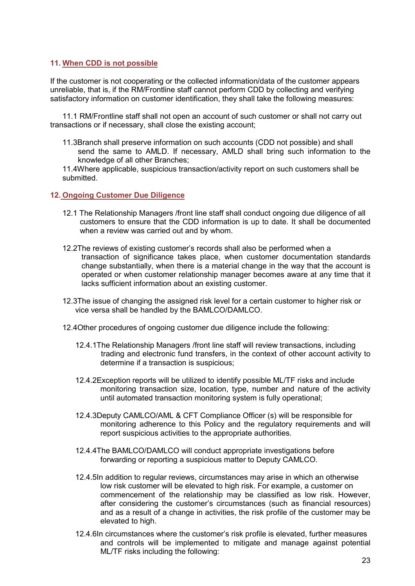#### 11. When CDD is not possible

If the customer is not cooperating or the collected information/data of the customer appears unreliable, that is, if the RM/Frontline staff cannot perform CDD by collecting and verifying satisfactory information on customer identification, they shall take the following measures:

11.1 RM/Frontline staff shall not open an account of such customer or shall not carry out transactions or if necessary, shall close the existing account;

11.3Branch shall preserve information on such accounts (CDD not possible) and shall send the same to AMLD. If necessary, AMLD shall bring such information to the knowledge of all other Branches;

11.4Where applicable, suspicious transaction/activity report on such customers shall be submitted.

#### 12. Ongoing Customer Due Diligence

- 12.1 The Relationship Managers /front line staff shall conduct ongoing due diligence of all customers to ensure that the CDD information is up to date. It shall be documented when a review was carried out and by whom.
- 12.2The reviews of existing customer's records shall also be performed when a transaction of significance takes place, when customer documentation standards change substantially, when there is a material change in the way that the account is operated or when customer relationship manager becomes aware at any time that it lacks sufficient information about an existing customer.
- 12.3The issue of changing the assigned risk level for a certain customer to higher risk or vice versa shall be handled by the BAMLCO/DAMLCO.
- 12.4Other procedures of ongoing customer due diligence include the following:
	- 12.4.1The Relationship Managers /front line staff will review transactions, including trading and electronic fund transfers, in the context of other account activity to determine if a transaction is suspicious;
	- 12.4.2Exception reports will be utilized to identify possible ML/TF risks and include monitoring transaction size, location, type, number and nature of the activity until automated transaction monitoring system is fully operational;
	- 12.4.3Deputy CAMLCO/AML & CFT Compliance Officer (s) will be responsible for monitoring adherence to this Policy and the regulatory requirements and will report suspicious activities to the appropriate authorities.
	- 12.4.4The BAMLCO/DAMLCO will conduct appropriate investigations before forwarding or reporting a suspicious matter to Deputy CAMLCO.
	- 12.4.5In addition to regular reviews, circumstances may arise in which an otherwise low risk customer will be elevated to high risk. For example, a customer on commencement of the relationship may be classified as low risk. However, after considering the customer's circumstances (such as financial resources) and as a result of a change in activities, the risk profile of the customer may be elevated to high.
	- 12.4.6In circumstances where the customer's risk profile is elevated, further measures and controls will be implemented to mitigate and manage against potential ML/TF risks including the following: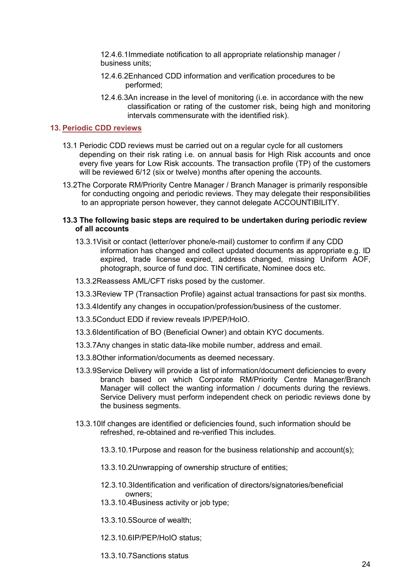12.4.6.1Immediate notification to all appropriate relationship manager / business units;

- 12.4.6.2Enhanced CDD information and verification procedures to be performed;
- 12.4.6.3An increase in the level of monitoring (i.e. in accordance with the new classification or rating of the customer risk, being high and monitoring intervals commensurate with the identified risk).

#### 13. Periodic CDD reviews

- 13.1 Periodic CDD reviews must be carried out on a regular cycle for all customers depending on their risk rating i.e. on annual basis for High Risk accounts and once every five years for Low Risk accounts. The transaction profile (TP) of the customers will be reviewed 6/12 (six or twelve) months after opening the accounts.
- 13.2The Corporate RM/Priority Centre Manager / Branch Manager is primarily responsible for conducting ongoing and periodic reviews. They may delegate their responsibilities to an appropriate person however, they cannot delegate ACCOUNTIBILITY.

#### 13.3 The following basic steps are required to be undertaken during periodic review of all accounts

- 13.3.1Visit or contact (letter/over phone/e-mail) customer to confirm if any CDD information has changed and collect updated documents as appropriate e.g. ID expired, trade license expired, address changed, missing Uniform AOF, photograph, source of fund doc. TIN certificate, Nominee docs etc.
- 13.3.2Reassess AML/CFT risks posed by the customer.
- 13.3.3Review TP (Transaction Profile) against actual transactions for past six months.
- 13.3.4Identify any changes in occupation/profession/business of the customer.
- 13.3.5Conduct EDD if review reveals IP/PEP/HoIO.
- 13.3.6Identification of BO (Beneficial Owner) and obtain KYC documents.
- 13.3.7Any changes in static data-like mobile number, address and email.
- 13.3.8Other information/documents as deemed necessary.
- 13.3.9Service Delivery will provide a list of information/document deficiencies to every branch based on which Corporate RM/Priority Centre Manager/Branch Manager will collect the wanting information / documents during the reviews. Service Delivery must perform independent check on periodic reviews done by the business segments.
- 13.3.10If changes are identified or deficiencies found, such information should be refreshed, re-obtained and re-verified This includes.
	- 13.3.10.1Purpose and reason for the business relationship and account(s);
	- 13.3.10.2Unwrapping of ownership structure of entities;
	- 12.3.10.3Identification and verification of directors/signatories/beneficial owners;
	- 13.3.10.4Business activity or job type;
	- 13.3.10.5Source of wealth;
	- 12.3.10.6IP/PEP/HoIO status;

13.3.10.7Sanctions status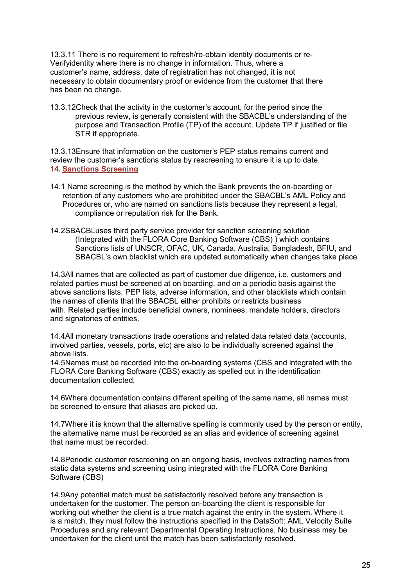13.3.11 There is no requirement to refresh/re-obtain identity documents or re-Verifyidentity where there is no change in information. Thus, where a customer's name, address, date of registration has not changed, it is not necessary to obtain documentary proof or evidence from the customer that there has been no change.

13.3.12Check that the activity in the customer's account, for the period since the previous review, is generally consistent with the SBACBL's understanding of the purpose and Transaction Profile (TP) of the account. Update TP if justified or file STR if appropriate.

13.3.13Ensure that information on the customer's PEP status remains current and review the customer's sanctions status by rescreening to ensure it is up to date. 14. Sanctions Screening

- 14.1 Name screening is the method by which the Bank prevents the on-boarding or retention of any customers who are prohibited under the SBACBL's AML Policy and Procedures or, who are named on sanctions lists because they represent a legal, compliance or reputation risk for the Bank.
- 14.2SBACBLuses third party service provider for sanction screening solution (Integrated with the FLORA Core Banking Software (CBS) ) which contains Sanctions lists of UNSCR, OFAC, UK, Canada, Australia, Bangladesh, BFIU, and SBACBL's own blacklist which are updated automatically when changes take place.

14.3All names that are collected as part of customer due diligence, i.e. customers and related parties must be screened at on boarding, and on a periodic basis against the above sanctions lists, PEP lists, adverse information, and other blacklists which contain the names of clients that the SBACBL either prohibits or restricts business with. Related parties include beneficial owners, nominees, mandate holders, directors and signatories of entities.

14.4All monetary transactions trade operations and related data related data (accounts, involved parties, vessels, ports, etc) are also to be individually screened against the above lists.

14.5Names must be recorded into the on-boarding systems (CBS and integrated with the FLORA Core Banking Software (CBS) exactly as spelled out in the identification documentation collected.

14.6Where documentation contains different spelling of the same name, all names must be screened to ensure that aliases are picked up.

14.7Where it is known that the alternative spelling is commonly used by the person or entity, the alternative name must be recorded as an alias and evidence of screening against that name must be recorded.

14.8Periodic customer rescreening on an ongoing basis, involves extracting names from static data systems and screening using integrated with the FLORA Core Banking Software (CBS)

14.9Any potential match must be satisfactorily resolved before any transaction is undertaken for the customer. The person on-boarding the client is responsible for working out whether the client is a true match against the entry in the system. Where it is a match, they must follow the instructions specified in the DataSoft: AML Velocity Suite Procedures and any relevant Departmental Operating Instructions. No business may be undertaken for the client until the match has been satisfactorily resolved.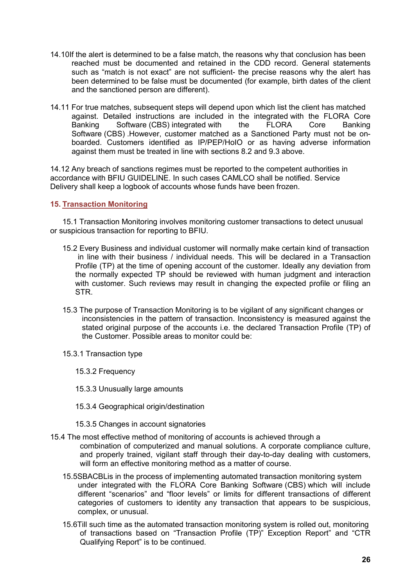- 14.10If the alert is determined to be a false match, the reasons why that conclusion has been reached must be documented and retained in the CDD record. General statements such as "match is not exact" are not sufficient- the precise reasons why the alert has been determined to be false must be documented (for example, birth dates of the client and the sanctioned person are different).
- 14.11 For true matches, subsequent steps will depend upon which list the client has matched against. Detailed instructions are included in the integrated with the FLORA Core Banking Software (CBS) integrated with the FLORA Core Banking Software (CBS) .However, customer matched as a Sanctioned Party must not be onboarded. Customers identified as IP/PEP/HoIO or as having adverse information against them must be treated in line with sections 8.2 and 9.3 above.

14.12 Any breach of sanctions regimes must be reported to the competent authorities in accordance with BFIU GUIDELINE. In such cases CAMLCO shall be notified. Service Delivery shall keep a logbook of accounts whose funds have been frozen.

#### 15. Transaction Monitoring

15.1 Transaction Monitoring involves monitoring customer transactions to detect unusual or suspicious transaction for reporting to BFIU.

- 15.2 Every Business and individual customer will normally make certain kind of transaction in line with their business / individual needs. This will be declared in a Transaction Profile (TP) at the time of opening account of the customer. Ideally any deviation from the normally expected TP should be reviewed with human judgment and interaction with customer. Such reviews may result in changing the expected profile or filing an STR.
- 15.3 The purpose of Transaction Monitoring is to be vigilant of any significant changes or inconsistencies in the pattern of transaction. Inconsistency is measured against the stated original purpose of the accounts i.e. the declared Transaction Profile (TP) of the Customer. Possible areas to monitor could be:
- 15.3.1 Transaction type
	- 15.3.2 Frequency
	- 15.3.3 Unusually large amounts
	- 15.3.4 Geographical origin/destination
	- 15.3.5 Changes in account signatories
- 15.4 The most effective method of monitoring of accounts is achieved through a combination of computerized and manual solutions. A corporate compliance culture, and properly trained, vigilant staff through their day-to-day dealing with customers, will form an effective monitoring method as a matter of course.
	- 15.5SBACBLis in the process of implementing automated transaction monitoring system under integrated with the FLORA Core Banking Software (CBS) which will include different "scenarios" and "floor levels" or limits for different transactions of different categories of customers to identity any transaction that appears to be suspicious, complex, or unusual.
	- 15.6Till such time as the automated transaction monitoring system is rolled out, monitoring of transactions based on "Transaction Profile (TP)" Exception Report" and "CTR Qualifying Report" is to be continued.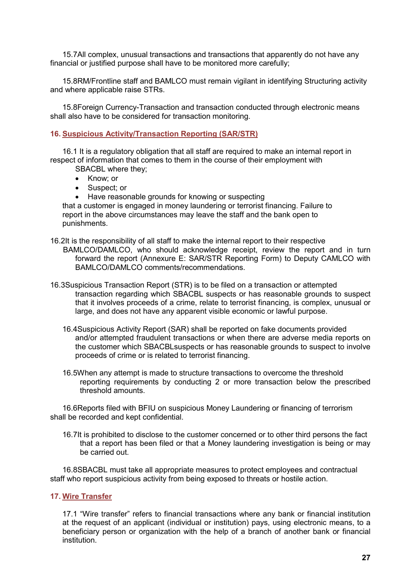15.7All complex, unusual transactions and transactions that apparently do not have any financial or justified purpose shall have to be monitored more carefully;

15.8RM/Frontline staff and BAMLCO must remain vigilant in identifying Structuring activity and where applicable raise STRs.

15.8Foreign Currency-Transaction and transaction conducted through electronic means shall also have to be considered for transaction monitoring.

#### 16. Suspicious Activity/Transaction Reporting (SAR/STR)

16.1 It is a regulatory obligation that all staff are required to make an internal report in respect of information that comes to them in the course of their employment with

- SBACBL where they;
- Know; or
- Suspect; or
- Have reasonable grounds for knowing or suspecting

that a customer is engaged in money laundering or terrorist financing. Failure to report in the above circumstances may leave the staff and the bank open to punishments.

- 16.2It is the responsibility of all staff to make the internal report to their respective BAMLCO/DAMLCO, who should acknowledge receipt, review the report and in turn forward the report (Annexure E: SAR/STR Reporting Form) to Deputy CAMLCO with BAMLCO/DAMLCO comments/recommendations.
- 16.3Suspicious Transaction Report (STR) is to be filed on a transaction or attempted transaction regarding which SBACBL suspects or has reasonable grounds to suspect that it involves proceeds of a crime, relate to terrorist financing, is complex, unusual or large, and does not have any apparent visible economic or lawful purpose.
	- 16.4Suspicious Activity Report (SAR) shall be reported on fake documents provided and/or attempted fraudulent transactions or when there are adverse media reports on the customer which SBACBLsuspects or has reasonable grounds to suspect to involve proceeds of crime or is related to terrorist financing.
	- 16.5When any attempt is made to structure transactions to overcome the threshold reporting requirements by conducting 2 or more transaction below the prescribed threshold amounts.

16.6Reports filed with BFIU on suspicious Money Laundering or financing of terrorism shall be recorded and kept confidential.

16.7It is prohibited to disclose to the customer concerned or to other third persons the fact that a report has been filed or that a Money laundering investigation is being or may be carried out.

16.8SBACBL must take all appropriate measures to protect employees and contractual staff who report suspicious activity from being exposed to threats or hostile action.

#### 17. Wire Transfer

17.1 "Wire transfer" refers to financial transactions where any bank or financial institution at the request of an applicant (individual or institution) pays, using electronic means, to a beneficiary person or organization with the help of a branch of another bank or financial institution.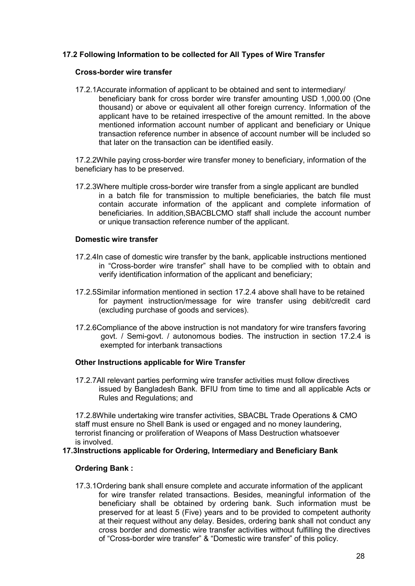# 17.2 Following Information to be collected for All Types of Wire Transfer

#### Cross-border wire transfer

17.2.1Accurate information of applicant to be obtained and sent to intermediary/ beneficiary bank for cross border wire transfer amounting USD 1,000.00 (One thousand) or above or equivalent all other foreign currency. Information of the applicant have to be retained irrespective of the amount remitted. In the above mentioned information account number of applicant and beneficiary or Unique transaction reference number in absence of account number will be included so that later on the transaction can be identified easily.

17.2.2While paying cross-border wire transfer money to beneficiary, information of the beneficiary has to be preserved.

17.2.3Where multiple cross-border wire transfer from a single applicant are bundled in a batch file for transmission to multiple beneficiaries, the batch file must contain accurate information of the applicant and complete information of beneficiaries. In addition,SBACBLCMO staff shall include the account number or unique transaction reference number of the applicant.

#### Domestic wire transfer

- 17.2.4In case of domestic wire transfer by the bank, applicable instructions mentioned in "Cross-border wire transfer" shall have to be complied with to obtain and verify identification information of the applicant and beneficiary;
- 17.2.5Similar information mentioned in section 17.2.4 above shall have to be retained for payment instruction/message for wire transfer using debit/credit card (excluding purchase of goods and services).
- 17.2.6Compliance of the above instruction is not mandatory for wire transfers favoring govt. / Semi-govt. / autonomous bodies. The instruction in section 17.2.4 is exempted for interbank transactions

#### Other Instructions applicable for Wire Transfer

17.2.7All relevant parties performing wire transfer activities must follow directives issued by Bangladesh Bank. BFIU from time to time and all applicable Acts or Rules and Regulations; and

17.2.8While undertaking wire transfer activities, SBACBL Trade Operations & CMO staff must ensure no Shell Bank is used or engaged and no money laundering, terrorist financing or proliferation of Weapons of Mass Destruction whatsoever is involved.

#### 17.3Instructions applicable for Ordering, Intermediary and Beneficiary Bank

#### Ordering Bank :

17.3.1Ordering bank shall ensure complete and accurate information of the applicant for wire transfer related transactions. Besides, meaningful information of the beneficiary shall be obtained by ordering bank. Such information must be preserved for at least 5 (Five) years and to be provided to competent authority at their request without any delay. Besides, ordering bank shall not conduct any cross border and domestic wire transfer activities without fulfilling the directives of "Cross-border wire transfer" & "Domestic wire transfer" of this policy.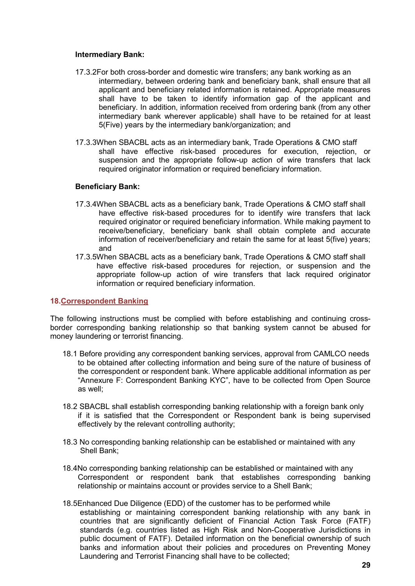#### Intermediary Bank:

- 17.3.2For both cross-border and domestic wire transfers; any bank working as an intermediary, between ordering bank and beneficiary bank, shall ensure that all applicant and beneficiary related information is retained. Appropriate measures shall have to be taken to identify information gap of the applicant and beneficiary. In addition, information received from ordering bank (from any other intermediary bank wherever applicable) shall have to be retained for at least 5(Five) years by the intermediary bank/organization; and
- 17.3.3When SBACBL acts as an intermediary bank, Trade Operations & CMO staff shall have effective risk-based procedures for execution, rejection, or suspension and the appropriate follow-up action of wire transfers that lack required originator information or required beneficiary information.

#### Beneficiary Bank:

- 17.3.4When SBACBL acts as a beneficiary bank, Trade Operations & CMO staff shall have effective risk-based procedures for to identify wire transfers that lack required originator or required beneficiary information. While making payment to receive/beneficiary, beneficiary bank shall obtain complete and accurate information of receiver/beneficiary and retain the same for at least 5(five) years; and
- 17.3.5When SBACBL acts as a beneficiary bank, Trade Operations & CMO staff shall have effective risk-based procedures for rejection, or suspension and the appropriate follow-up action of wire transfers that lack required originator information or required beneficiary information.

#### 18.Correspondent Banking

The following instructions must be complied with before establishing and continuing crossborder corresponding banking relationship so that banking system cannot be abused for money laundering or terrorist financing.

- 18.1 Before providing any correspondent banking services, approval from CAMLCO needs to be obtained after collecting information and being sure of the nature of business of the correspondent or respondent bank. Where applicable additional information as per "Annexure F: Correspondent Banking KYC", have to be collected from Open Source as well;
- 18.2 SBACBL shall establish corresponding banking relationship with a foreign bank only if it is satisfied that the Correspondent or Respondent bank is being supervised effectively by the relevant controlling authority;
- 18.3 No corresponding banking relationship can be established or maintained with any Shell Bank;
- 18.4No corresponding banking relationship can be established or maintained with any Correspondent or respondent bank that establishes corresponding banking relationship or maintains account or provides service to a Shell Bank;
- 18.5Enhanced Due Diligence (EDD) of the customer has to be performed while establishing or maintaining correspondent banking relationship with any bank in countries that are significantly deficient of Financial Action Task Force (FATF) standards (e.g. countries listed as High Risk and Non-Cooperative Jurisdictions in public document of FATF). Detailed information on the beneficial ownership of such banks and information about their policies and procedures on Preventing Money Laundering and Terrorist Financing shall have to be collected;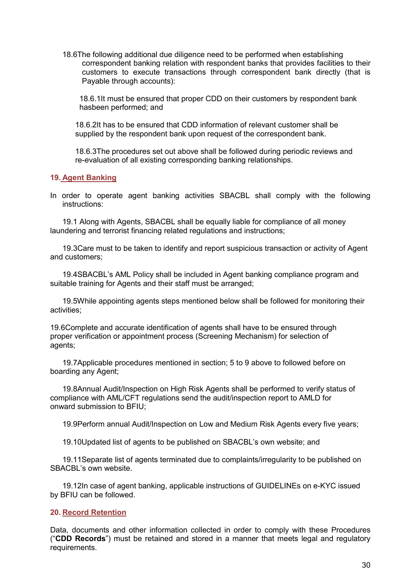18.6The following additional due diligence need to be performed when establishing correspondent banking relation with respondent banks that provides facilities to their customers to execute transactions through correspondent bank directly (that is Payable through accounts):

18.6.1It must be ensured that proper CDD on their customers by respondent bank hasbeen performed; and

18.6.2It has to be ensured that CDD information of relevant customer shall be supplied by the respondent bank upon request of the correspondent bank.

18.6.3The procedures set out above shall be followed during periodic reviews and re-evaluation of all existing corresponding banking relationships.

#### 19. Agent Banking

In order to operate agent banking activities SBACBL shall comply with the following instructions:

19.1 Along with Agents, SBACBL shall be equally liable for compliance of all money laundering and terrorist financing related regulations and instructions;

19.3Care must to be taken to identify and report suspicious transaction or activity of Agent and customers;

19.4SBACBL's AML Policy shall be included in Agent banking compliance program and suitable training for Agents and their staff must be arranged;

19.5While appointing agents steps mentioned below shall be followed for monitoring their activities;

19.6Complete and accurate identification of agents shall have to be ensured through proper verification or appointment process (Screening Mechanism) for selection of agents;

19.7Applicable procedures mentioned in section; 5 to 9 above to followed before on boarding any Agent;

19.8Annual Audit/Inspection on High Risk Agents shall be performed to verify status of compliance with AML/CFT regulations send the audit/inspection report to AMLD for onward submission to BFIU;

19.9Perform annual Audit/Inspection on Low and Medium Risk Agents every five years;

19.10Updated list of agents to be published on SBACBL's own website; and

19.11Separate list of agents terminated due to complaints/irregularity to be published on SBACBL's own website.

19.12In case of agent banking, applicable instructions of GUIDELINEs on e-KYC issued by BFIU can be followed.

#### 20. Record Retention

Data, documents and other information collected in order to comply with these Procedures ("CDD Records") must be retained and stored in a manner that meets legal and regulatory requirements.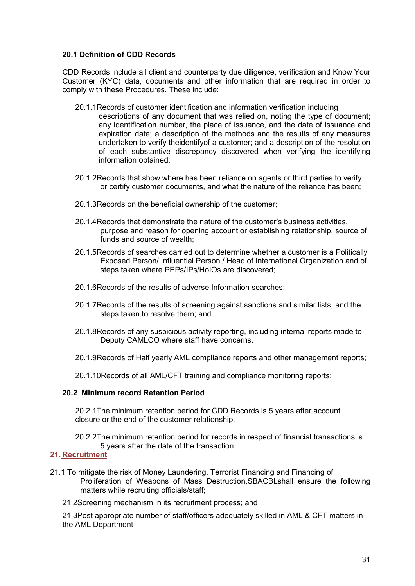### 20.1 Definition of CDD Records

CDD Records include all client and counterparty due diligence, verification and Know Your Customer (KYC) data, documents and other information that are required in order to comply with these Procedures. These include:

- 20.1.1Records of customer identification and information verification including descriptions of any document that was relied on, noting the type of document; any identification number, the place of issuance, and the date of issuance and expiration date; a description of the methods and the results of any measures undertaken to verify theidentifyof a customer; and a description of the resolution of each substantive discrepancy discovered when verifying the identifying information obtained;
- 20.1.2Records that show where has been reliance on agents or third parties to verify or certify customer documents, and what the nature of the reliance has been;
- 20.1.3Records on the beneficial ownership of the customer;
- 20.1.4Records that demonstrate the nature of the customer's business activities, purpose and reason for opening account or establishing relationship, source of funds and source of wealth;
- 20.1.5Records of searches carried out to determine whether a customer is a Politically Exposed Person/ Influential Person / Head of International Organization and of steps taken where PEPs/IPs/HoIOs are discovered;
- 20.1.6Records of the results of adverse Information searches;
- 20.1.7Records of the results of screening against sanctions and similar lists, and the steps taken to resolve them; and
- 20.1.8Records of any suspicious activity reporting, including internal reports made to Deputy CAMLCO where staff have concerns.
- 20.1.9Records of Half yearly AML compliance reports and other management reports;
- 20.1.10Records of all AML/CFT training and compliance monitoring reports;

#### 20.2 Minimum record Retention Period

20.2.1The minimum retention period for CDD Records is 5 years after account closure or the end of the customer relationship.

20.2.2The minimum retention period for records in respect of financial transactions is 5 years after the date of the transaction.

# 21. Recruitment

- 21.1 To mitigate the risk of Money Laundering, Terrorist Financing and Financing of Proliferation of Weapons of Mass Destruction,SBACBLshall ensure the following matters while recruiting officials/staff;
	- 21.2Screening mechanism in its recruitment process; and

21.3Post appropriate number of staff/officers adequately skilled in AML & CFT matters in the AML Department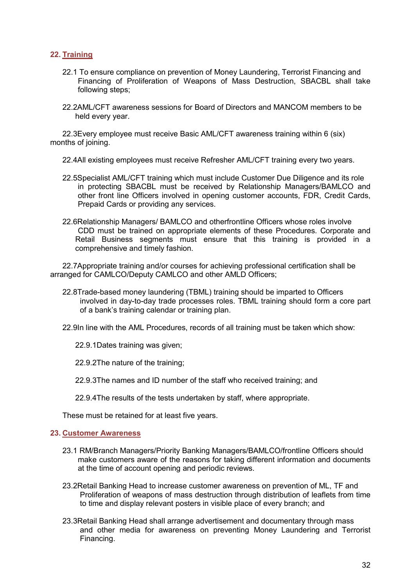# 22. Training

- 22.1 To ensure compliance on prevention of Money Laundering, Terrorist Financing and Financing of Proliferation of Weapons of Mass Destruction, SBACBL shall take following steps;
- 22.2AML/CFT awareness sessions for Board of Directors and MANCOM members to be held every year.

22.3Every employee must receive Basic AML/CFT awareness training within 6 (six) months of joining.

- 22.4All existing employees must receive Refresher AML/CFT training every two years.
- 22.5Specialist AML/CFT training which must include Customer Due Diligence and its role in protecting SBACBL must be received by Relationship Managers/BAMLCO and other front line Officers involved in opening customer accounts, FDR, Credit Cards, Prepaid Cards or providing any services.
- 22.6Relationship Managers/ BAMLCO and otherfrontline Officers whose roles involve CDD must be trained on appropriate elements of these Procedures. Corporate and Retail Business segments must ensure that this training is provided in a comprehensive and timely fashion.

22.7Appropriate training and/or courses for achieving professional certification shall be arranged for CAMLCO/Deputy CAMLCO and other AMLD Officers;

- 22.8Trade-based money laundering (TBML) training should be imparted to Officers involved in day-to-day trade processes roles. TBML training should form a core part of a bank's training calendar or training plan.
- 22.9In line with the AML Procedures, records of all training must be taken which show:
	- 22.9.1Dates training was given;
	- 22.9.2The nature of the training;
	- 22.9.3The names and ID number of the staff who received training; and
	- 22.9.4The results of the tests undertaken by staff, where appropriate.

These must be retained for at least five years.

#### 23. Customer Awareness

- 23.1 RM/Branch Managers/Priority Banking Managers/BAMLCO/frontline Officers should make customers aware of the reasons for taking different information and documents at the time of account opening and periodic reviews.
- 23.2Retail Banking Head to increase customer awareness on prevention of ML, TF and Proliferation of weapons of mass destruction through distribution of leaflets from time to time and display relevant posters in visible place of every branch; and
- 23.3Retail Banking Head shall arrange advertisement and documentary through mass and other media for awareness on preventing Money Laundering and Terrorist Financing.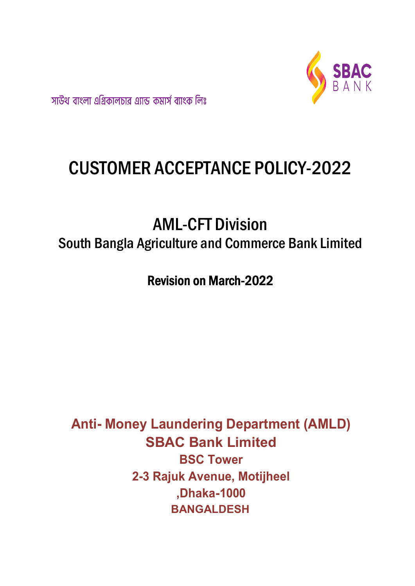

সাউথ বাংলা এগ্রিকালচার এ্যান্ড কমার্স ব্যাংক লিঃ

# CUSTOMER ACCEPTANCE POLICY-2022

# AML-CFT Division South Bangla Agriculture and Commerce Bank Limited

Revision on March-2022

Anti- Money Laundering Department (AMLD) SBAC Bank Limited BSC Tower 2-3 Rajuk Avenue, Motijheel ,Dhaka-1000 BANGALDESH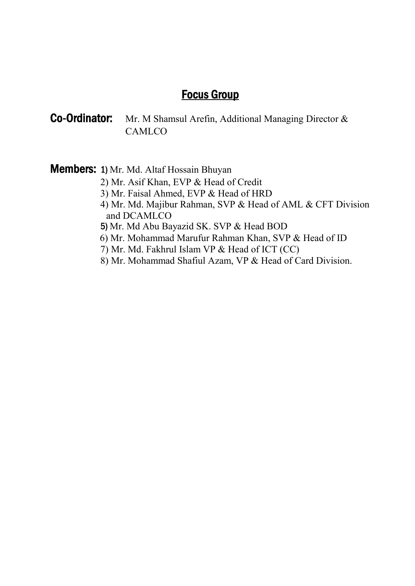# Focus Group

# Co-Ordinator: Mr. M Shamsul Arefin, Additional Managing Director & **CAMLCO**

Members: 1) Mr. Md. Altaf Hossain Bhuyan

- 2) Mr. Asif Khan, EVP & Head of Credit
- 3) Mr. Faisal Ahmed, EVP & Head of HRD
- 4) Mr. Md. Majibur Rahman, SVP & Head of AML & CFT Division and DCAMLCO
- 5) Mr. Md Abu Bayazid SK. SVP & Head BOD
- 6) Mr. Mohammad Marufur Rahman Khan, SVP & Head of ID
- 7) Mr. Md. Fakhrul Islam VP & Head of ICT (CC)
- 8) Mr. Mohammad Shafiul Azam, VP & Head of Card Division.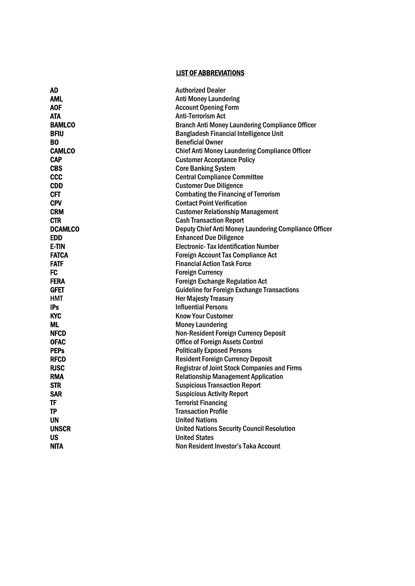# LIST OF ABBREVIATIONS

| <b>AD</b>      | <b>Authorized Dealer</b>                               |
|----------------|--------------------------------------------------------|
| AML            | <b>Anti Money Laundering</b>                           |
| <b>AOF</b>     | <b>Account Opening Form</b>                            |
| <b>ATA</b>     | <b>Anti-Terrorism Act</b>                              |
| <b>BAMLCO</b>  | <b>Branch Anti Money Laundering Compliance Officer</b> |
| <b>BFIU</b>    | <b>Bangladesh Financial Intelligence Unit</b>          |
| BO             | <b>Beneficial Owner</b>                                |
| <b>CAMLCO</b>  | <b>Chief Anti Money Laundering Compliance Officer</b>  |
| <b>CAP</b>     | <b>Customer Acceptance Policy</b>                      |
| <b>CBS</b>     | <b>Core Banking System</b>                             |
| <b>CCC</b>     | <b>Central Compliance Committee</b>                    |
| <b>CDD</b>     | <b>Customer Due Diligence</b>                          |
| <b>CFT</b>     | <b>Combating the Financing of Terrorism</b>            |
| <b>CPV</b>     | <b>Contact Point Verification</b>                      |
| <b>CRM</b>     | <b>Customer Relationship Management</b>                |
| <b>CTR</b>     | <b>Cash Transaction Report</b>                         |
| <b>DCAMLCO</b> | Deputy Chief Anti Money Laundering Compliance Officer  |
| <b>EDD</b>     | <b>Enhanced Due Diligence</b>                          |
| <b>E-TIN</b>   | <b>Electronic- Tax Identification Number</b>           |
| <b>FATCA</b>   | <b>Foreign Account Tax Compliance Act</b>              |
| <b>FATF</b>    | <b>Financial Action Task Force</b>                     |
| <b>FC</b>      | <b>Foreign Currency</b>                                |
| <b>FERA</b>    | <b>Foreign Exchange Regulation Act</b>                 |
| <b>GFET</b>    | <b>Guideline for Foreign Exchange Transactions</b>     |
| <b>HMT</b>     | <b>Her Majesty Treasury</b>                            |
| <b>IPs</b>     | <b>Influential Persons</b>                             |
| <b>KYC</b>     | <b>Know Your Customer</b>                              |
| ML             | <b>Money Laundering</b>                                |
| <b>NFCD</b>    | <b>Non-Resident Foreign Currency Deposit</b>           |
| <b>OFAC</b>    | <b>Office of Foreign Assets Control</b>                |
| <b>PEPs</b>    | <b>Politically Exposed Persons</b>                     |
| <b>RFCD</b>    | <b>Resident Foreign Currency Deposit</b>               |
| <b>RJSC</b>    | <b>Registrar of Joint Stock Companies and Firms</b>    |
| <b>RMA</b>     | <b>Relationship Management Application</b>             |
| <b>STR</b>     | <b>Suspicious Transaction Report</b>                   |
| <b>SAR</b>     | <b>Suspicious Activity Report</b>                      |
| <b>TF</b>      | <b>Terrorist Financing</b>                             |
| <b>TP</b>      | <b>Transaction Profile</b>                             |
| UN             | <b>United Nations</b>                                  |
| <b>UNSCR</b>   | <b>United Nations Security Council Resolution</b>      |
| US             | <b>United States</b>                                   |
| <b>NITA</b>    | Non Resident Investor's Taka Account                   |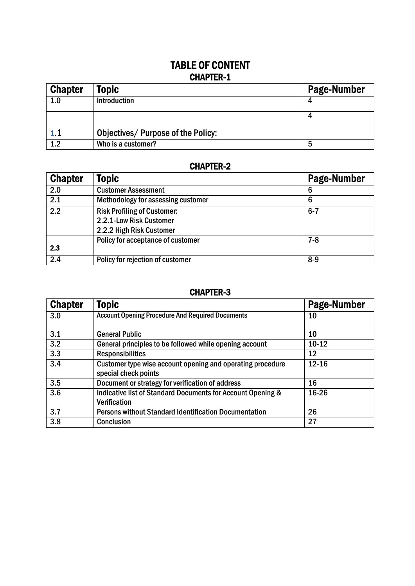# TABLE OF CONTENT CHAPTER-1

| <b>Chapter</b> | <b>Topic</b>                       | <b>Page-Number</b> |
|----------------|------------------------------------|--------------------|
| 1.0            | Introduction                       |                    |
|                |                                    |                    |
| 1.1            | Objectives/ Purpose of the Policy: |                    |
| 1.2            | Who is a customer?                 | 5                  |

# CHAPTER-2

| <b>Chapter</b>   | Topic                                                                                     | <b>Page-Number</b> |
|------------------|-------------------------------------------------------------------------------------------|--------------------|
| 2.0              | <b>Customer Assessment</b>                                                                | 6                  |
| 2.1              | Methodology for assessing customer                                                        | 6                  |
| $\overline{2.2}$ | <b>Risk Profiling of Customer:</b><br>2.2.1-Low Risk Customer<br>2.2.2 High Risk Customer | $6 - 7$            |
| 2.3              | Policy for acceptance of customer                                                         | $7 - 8$            |
| 2.4              | Policy for rejection of customer                                                          | $8-9$              |

# CHAPTER-3

| <b>Chapter</b>   | <b>Topic</b>                                                                       | <b>Page-Number</b> |
|------------------|------------------------------------------------------------------------------------|--------------------|
| 3.0              | <b>Account Opening Procedure And Required Documents</b>                            | 10                 |
| 3.1              | <b>General Public</b>                                                              | 10                 |
| $\overline{3.2}$ | General principles to be followed while opening account                            | $10 - 12$          |
| $\overline{3.3}$ | <b>Responsibilities</b>                                                            | 12                 |
| $\overline{3.4}$ | Customer type wise account opening and operating procedure<br>special check points | $12 - 16$          |
| 3.5              | Document or strategy for verification of address                                   | 16                 |
| 3.6              | Indicative list of Standard Documents for Account Opening &<br>Verification        | 16-26              |
| 3.7              | <b>Persons without Standard Identification Documentation</b>                       | 26                 |
| 3.8              | Conclusion                                                                         | 27                 |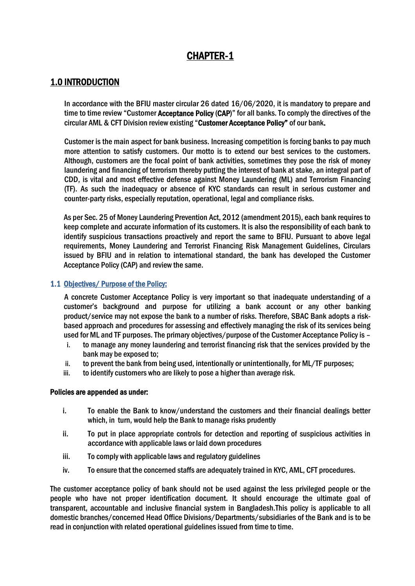# CHAPTER-1

# 1.0 INTRODUCTION

In accordance with the BFIU master circular 26 dated 16/06/2020, it is mandatory to prepare and time to time review "Customer Acceptance Policy (CAP)" for all banks. To comply the directives of the circular AML & CFT Division review existing "Customer Acceptance Policy" of our bank.

Customer is the main aspect for bank business. Increasing competition is forcing banks to pay much more attention to satisfy customers. Our motto is to extend our best services to the customers. Although, customers are the focal point of bank activities, sometimes they pose the risk of money laundering and financing of terrorism thereby putting the interest of bank at stake, an integral part of CDD, is vital and most effective defense against Money Laundering (ML) and Terrorism Financing (TF). As such the inadequacy or absence of KYC standards can result in serious customer and counter-party risks, especially reputation, operational, legal and compliance risks.

As per Sec. 25 of Money Laundering Prevention Act, 2012 (amendment 2015), each bank requires to keep complete and accurate information of its customers. It is also the responsibility of each bank to identify suspicious transactions proactively and report the same to BFIU. Pursuant to above legal requirements, Money Laundering and Terrorist Financing Risk Management Guidelines, Circulars issued by BFIU and in relation to international standard, the bank has developed the Customer Acceptance Policy (CAP) and review the same.

# 1.1 Objectives/ Purpose of the Policy:

A concrete Customer Acceptance Policy is very important so that inadequate understanding of a customer's background and purpose for utilizing a bank account or any other banking product/service may not expose the bank to a number of risks. Therefore, SBAC Bank adopts a riskbased approach and procedures for assessing and effectively managing the risk of its services being used for ML and TF purposes. The primary objectives/purpose of the Customer Acceptance Policy is -

- i. to manage any money laundering and terrorist financing risk that the services provided by the bank may be exposed to;
- ii. to prevent the bank from being used, intentionally or unintentionally, for ML/TF purposes;
- iii. to identify customers who are likely to pose a higher than average risk.

#### Policies are appended as under:

- i. To enable the Bank to know/understand the customers and their financial dealings better which, in turn, would help the Bank to manage risks prudently
- ii. To put in place appropriate controls for detection and reporting of suspicious activities in accordance with applicable laws or laid down procedures
- iii. To comply with applicable laws and regulatory guidelines
- iv. To ensure that the concerned staffs are adequately trained in KYC, AML, CFT procedures.

The customer acceptance policy of bank should not be used against the less privileged people or the people who have not proper identification document. It should encourage the ultimate goal of transparent, accountable and inclusive financial system in Bangladesh.This policy is applicable to all domestic branches/concerned Head Office Divisions/Departments/subsidiaries of the Bank and is to be read in conjunction with related operational guidelines issued from time to time.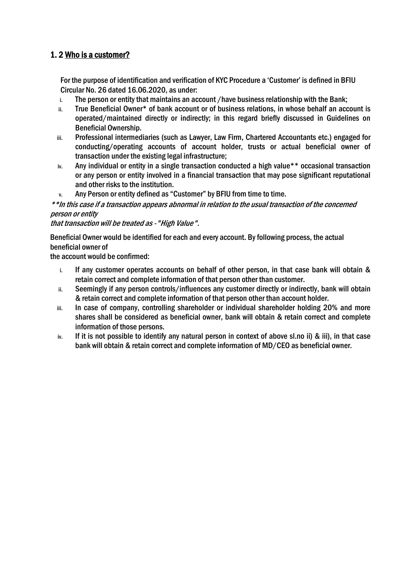# 1. 2 Who is a customer?

For the purpose of identification and verification of KYC Procedure a 'Customer' is defined in BFIU Circular No. 26 dated 16.06.2020, as under:

- i. The person or entity that maintains an account /have business relationship with the Bank;
- ii. True Beneficial Owner\* of bank account or of business relations, in whose behalf an account is operated/maintained directly or indirectly; in this regard briefly discussed in Guidelines on Beneficial Ownership.
- iii. Professional intermediaries (such as Lawyer, Law Firm, Chartered Accountants etc.) engaged for conducting/operating accounts of account holder, trusts or actual beneficial owner of transaction under the existing legal infrastructure;
- iv. Any individual or entity in a single transaction conducted a high value\*\* occasional transaction or any person or entity involved in a financial transaction that may pose significant reputational and other risks to the institution.
- v. Any Person or entity defined as "Customer" by BFIU from time to time.

# \*\*In this case if a transaction appears abnormal in relation to the usual transaction of the concerned person or entity

that transaction will be treated as -"High Value".

Beneficial Owner would be identified for each and every account. By following process, the actual beneficial owner of

the account would be confirmed:

- i. If any customer operates accounts on behalf of other person, in that case bank will obtain & retain correct and complete information of that person other than customer.
- ii. Seemingly if any person controls/influences any customer directly or indirectly, bank will obtain & retain correct and complete information of that person other than account holder.
- iii. In case of company, controlling shareholder or individual shareholder holding 20% and more shares shall be considered as beneficial owner, bank will obtain & retain correct and complete information of those persons.
- iv. If it is not possible to identify any natural person in context of above sl.no ii) & iii), in that case bank will obtain & retain correct and complete information of MD/CEO as beneficial owner.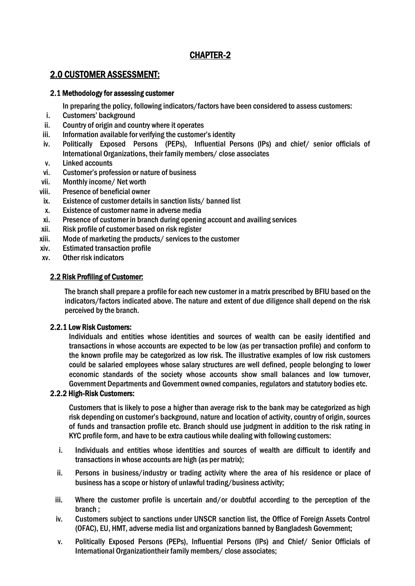# CHAPTER-2

# 2.0 CUSTOMER ASSESSMENT:

## 2.1 Methodology for assessing customer

In preparing the policy, following indicators/factors have been considered to assess customers:

- i. Customers' background
- ii. Country of origin and country where it operates
- iii. Information available for verifying the customer's identity
- iv. Politically Exposed Persons (PEPs), Influential Persons (IPs) and chief/ senior officials of International Organizations, their family members/ close associates
- v. Linked accounts
- vi. Customer's profession or nature of business
- vii. Monthly income/ Net worth
- viii. Presence of beneficial owner
- ix. Existence of customer details in sanction lists/ banned list
- x. Existence of customer name in adverse media
- xi. Presence of customer in branch during opening account and availing services
- xii. Risk profile of customer based on risk register
- xiii. Mode of marketing the products/ services to the customer
- xiv. Estimated transaction profile
- xv. Other risk indicators

# 2.2 Risk Profiling of Customer:

The branch shall prepare a profile for each new customer in a matrix prescribed by BFIU based on the indicators/factors indicated above. The nature and extent of due diligence shall depend on the risk perceived by the branch.

#### 2.2.1 Low Risk Customers:

Individuals and entities whose identities and sources of wealth can be easily identified and transactions in whose accounts are expected to be low (as per transaction profile) and conform to the known profile may be categorized as low risk. The illustrative examples of low risk customers could be salaried employees whose salary structures are well defined, people belonging to lower economic standards of the society whose accounts show small balances and low turnover, Government Departments and Government owned companies, regulators and statutory bodies etc.

#### 2.2.2 High-Risk Customers:

Customers that is likely to pose a higher than average risk to the bank may be categorized as high risk depending on customer's background, nature and location of activity, country of origin, sources of funds and transaction profile etc. Branch should use judgment in addition to the risk rating in KYC profile form, and have to be extra cautious while dealing with following customers:

- i. Individuals and entities whose identities and sources of wealth are difficult to identify and transactions in whose accounts are high (as per matrix);
- ii. Persons in business/industry or trading activity where the area of his residence or place of business has a scope or history of unlawful trading/business activity;
- iii. Where the customer profile is uncertain and/or doubtful according to the perception of the branch ;
- iv. Customers subject to sanctions under UNSCR sanction list, the Office of Foreign Assets Control (OFAC), EU, HMT, adverse media list and organizations banned by Bangladesh Government;
- v. Politically Exposed Persons (PEPs), Influential Persons (IPs) and Chief/ Senior Officials of International Organizationtheir family members/ close associates;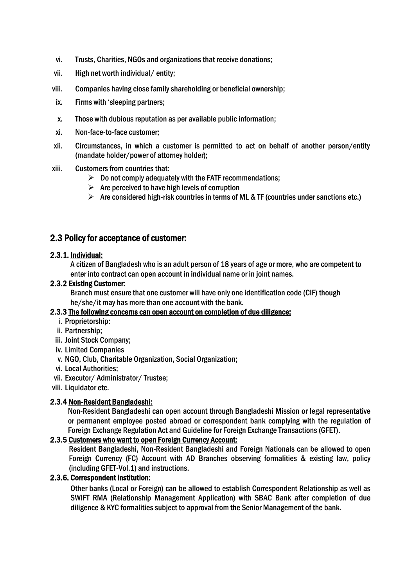- vi. Trusts, Charities, NGOs and organizations that receive donations;
- vii. High net worth individual/ entity;
- viii. Companies having close family shareholding or beneficial ownership;
- ix. Firms with 'sleeping partners;
- x. Those with dubious reputation as per available public information;
- xi. Non-face-to-face customer;
- xii. Circumstances, in which a customer is permitted to act on behalf of another person/entity (mandate holder/power of attorney holder);
- xiii. Customers from countries that:
	- $\triangleright$  Do not comply adequately with the FATF recommendations;
	- $\triangleright$  Are perceived to have high levels of corruption
	- $\triangleright$  Are considered high-risk countries in terms of ML & TF (countries under sanctions etc.)

# 2.3 Policy for acceptance of customer:

## 2.3.1. Individual:

A citizen of Bangladesh who is an adult person of 18 years of age or more, who are competent to enter into contract can open account in individual name or in joint names.

## 2.3.2 Existing Customer:

Branch must ensure that one customer will have only one identification code (CIF) though he/she/it may has more than one account with the bank.

# 2.3.3 The following concerns can open account on completion of due diligence:

- i. Proprietorship:
- ii. Partnership;
- iii. Joint Stock Company;
- iv. Limited Companies
- v. NGO, Club, Charitable Organization, Social Organization;
- vi. Local Authorities;
- vii. Executor/ Administrator/ Trustee;
- viii. Liquidator etc.

# 2.3.4 Non-Resident Bangladeshi:

Non-Resident Bangladeshi can open account through Bangladeshi Mission or legal representative or permanent employee posted abroad or correspondent bank complying with the regulation of Foreign Exchange Regulation Act and Guideline for Foreign Exchange Transactions (GFET).

#### 2.3.5 Customers who want to open Foreign Currency Account:

Resident Bangladeshi, Non-Resident Bangladeshi and Foreign Nationals can be allowed to open Foreign Currency (FC) Account with AD Branches observing formalities & existing law, policy (including GFET-Vol.1) and instructions.

### 2.3.6. Correspondent institution:

Other banks (Local or Foreign) can be allowed to establish Correspondent Relationship as well as SWIFT RMA (Relationship Management Application) with SBAC Bank after completion of due diligence & KYC formalities subject to approval from the Senior Management of the bank.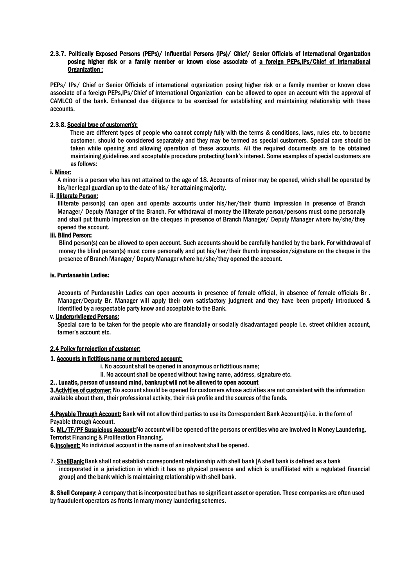#### 2.3.7. Politically Exposed Persons (PEPs)/ Influential Persons (IPs)/ Chief/ Senior Officials of International Organization posing higher risk or a family member or known close associate of a foreign PEPs, IPs/Chief of International Organization :

PEPs/ IPs/ Chief or Senior Officials of international organization posing higher risk or a family member or known close associate of a foreign PEPs,IPs/Chief of International Organization can be allowed to open an account with the approval of CAMLCO of the bank. Enhanced due diligence to be exercised for establishing and maintaining relationship with these accounts.

#### 2.3.8. Special type of customer(s):

There are different types of people who cannot comply fully with the terms & conditions, laws, rules etc. to become customer, should be considered separately and they may be termed as special customers. Special care should be taken while opening and allowing operation of these accounts. All the required documents are to be obtained maintaining guidelines and acceptable procedure protecting bank's interest. Some examples of special customers are as follows:

#### i. Minor:

A minor is a person who has not attained to the age of 18. Accounts of minor may be opened, which shall be operated by his/her legal guardian up to the date of his/ her attaining majority.

#### ii. Illiterate Person:

Illiterate person(s) can open and operate accounts under his/her/their thumb impression in presence of Branch Manager/ Deputy Manager of the Branch. For withdrawal of money the illiterate person/persons must come personally and shall put thumb impression on the cheques in presence of Branch Manager/ Deputy Manager where he/she/they opened the account.

#### iii. Blind Person:

Blind person(s) can be allowed to open account. Such accounts should be carefully handled by the bank. For withdrawal of money the blind person(s) must come personally and put his/her/their thumb impression/signature on the cheque in the presence of Branch Manager/ Deputy Manager where he/she/they opened the account.

#### iv. Purdanashin Ladies:

Accounts of Purdanashin Ladies can open accounts in presence of female official, in absence of female officials Br . Manager/Deputy Br. Manager will apply their own satisfactory judgment and they have been properly introduced & identified by a respectable party know and acceptable to the Bank.

#### v. Underprivileged Persons:

Special care to be taken for the people who are financially or socially disadvantaged people i.e. street children account, farmer's account etc.

#### 2.4 Policy for rejection of customer:

#### 1. Accounts in fictitious name or numbered account:

- i. No account shall be opened in anonymous or fictitious name;
- ii. No account shall be opened without having name, address, signature etc.

2.. Lunatic, person of unsound mind, bankrupt will not be allowed to open account

**3.Activities of customer:** No account should be opened for customers whose activities are not consistent with the information available about them, their professional activity, their risk profile and the sources of the funds.

4. Payable Through Account: Bank will not allow third parties to use its Correspondent Bank Account(s) i.e. in the form of Payable through Account.

5. ML/TF/PF Suspicious Account:No account will be opened of the persons or entities who are involved in Money Laundering, Terrorist Financing & Proliferation Financing.

6.Insolvent: No individual account in the name of an insolvent shall be opened.

7. ShellBank: Bank shall not establish correspondent relationship with shell bank [A shell bank is defined as a bank incorporated in a jurisdiction in which it has no physical presence and which is unaffiliated with a regulated financial group] and the bank which is maintaining relationship with shell bank.

8. Shell Company: A company that is incorporated but has no significant asset or operation. These companies are often used by fraudulent operators as fronts in many money laundering schemes.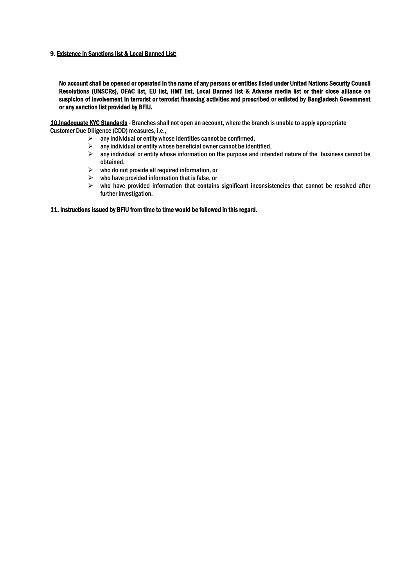#### 9. Existence in Sanctions list & Local Banned List:

No account shall be opened or operated in the name of any persons or entities listed under United Nations Security Council Resolutions (UNSCRs), OFAC list, EU list, HMT list, Local Banned list & Adverse media list or their close alliance on suspicion of involvement in terrorist or terrorist financing activities and proscribed or enlisted by Bangladesh Government or any sanction list provided by BFIU.

10.Inadequate KYC Standards - Branches shall not open an account, where the branch is unable to apply appropriate Customer Due Diligence (CDD) measures, i.e.,

- $\geq$  any individual or entity whose identities cannot be confirmed,
- $\triangleright$  any individual or entity whose beneficial owner cannot be identified,
- $\triangleright$  any individual or entity whose information on the purpose and intended nature of the business cannot be obtained,
- $\triangleright$  who do not provide all required information, or
- $\triangleright$  who have provided information that is false, or
- $\triangleright$  who have provided information that contains significant inconsistencies that cannot be resolved after further investigation.

#### 11. Instructions issued by BFIU from time to time would be followed in this regard.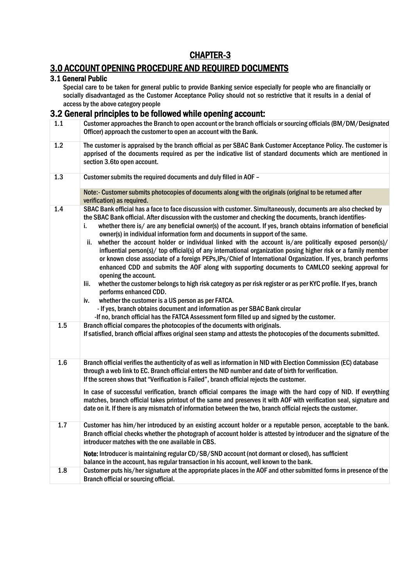# CHAPTER-3

# 3.0 ACCOUNT OPENING PROCEDURE AND REQUIRED DOCUMENTS

#### 3.1 General Public

Special care to be taken for general public to provide Banking service especially for people who are financially or socially disadvantaged as the Customer Acceptance Policy should not so restrictive that it results in a denial of access by the above category people

# 3.2 General principles to be followed while opening account:

| 1.1 | Customer approaches the Branch to open account or the branch officials or sourcing officials (BM/DM/Designated<br>Officer) approach the customer to open an account with the Bank.                                                                                                                                                                                                                                                                                                                                                                                                                                                                                                                                                                                                                                                                                                                                                                                                                                                                                                                                                                                                                                                                                                                             |
|-----|----------------------------------------------------------------------------------------------------------------------------------------------------------------------------------------------------------------------------------------------------------------------------------------------------------------------------------------------------------------------------------------------------------------------------------------------------------------------------------------------------------------------------------------------------------------------------------------------------------------------------------------------------------------------------------------------------------------------------------------------------------------------------------------------------------------------------------------------------------------------------------------------------------------------------------------------------------------------------------------------------------------------------------------------------------------------------------------------------------------------------------------------------------------------------------------------------------------------------------------------------------------------------------------------------------------|
| 1.2 | The customer is appraised by the branch official as per SBAC Bank Customer Acceptance Policy. The customer is<br>apprised of the documents required as per the indicative list of standard documents which are mentioned in<br>section 3.6to open account.                                                                                                                                                                                                                                                                                                                                                                                                                                                                                                                                                                                                                                                                                                                                                                                                                                                                                                                                                                                                                                                     |
| 1.3 | Customer submits the required documents and duly filled in AOF -                                                                                                                                                                                                                                                                                                                                                                                                                                                                                                                                                                                                                                                                                                                                                                                                                                                                                                                                                                                                                                                                                                                                                                                                                                               |
|     | Note:- Customer submits photocopies of documents along with the originals (original to be returned after<br>verification) as required.                                                                                                                                                                                                                                                                                                                                                                                                                                                                                                                                                                                                                                                                                                                                                                                                                                                                                                                                                                                                                                                                                                                                                                         |
| 1.4 | SBAC Bank official has a face to face discussion with customer. Simultaneously, documents are also checked by<br>the SBAC Bank official. After discussion with the customer and checking the documents, branch identifies-<br>whether there is/ are any beneficial owner(s) of the account. If yes, branch obtains information of beneficial<br>i.<br>owner(s) in individual information form and documents in support of the same.<br>whether the account holder or individual linked with the account is/are politically exposed person(s)/<br>ii.<br>influential person(s)/ top official(s) of any international organization posing higher risk or a family member<br>or known close associate of a foreign PEPs, IPs/Chief of International Organization. If yes, branch performs<br>enhanced CDD and submits the AOF along with supporting documents to CAMLCO seeking approval for<br>opening the account.<br>whether the customer belongs to high risk category as per risk register or as per KYC profile. If yes, branch<br>lii.<br>performs enhanced CDD.<br>whether the customer is a US person as per FATCA.<br>iv.<br>- If yes, branch obtains document and information as per SBAC Bank circular<br>-If no, branch official has the FATCA Assessment form filled up and signed by the customer. |
| 1.5 | Branch official compares the photocopies of the documents with originals.<br>If satisfied, branch official affixes original seen stamp and attests the photocopies of the documents submitted.                                                                                                                                                                                                                                                                                                                                                                                                                                                                                                                                                                                                                                                                                                                                                                                                                                                                                                                                                                                                                                                                                                                 |
| 1.6 | Branch official verifies the authenticity of as well as information in NID with Election Commission (EC) database<br>through a web link to EC. Branch official enters the NID number and date of birth for verification.<br>If the screen shows that "Verification is Failed", branch official rejects the customer.<br>In case of successful verification, branch official compares the image with the hard copy of NID. If everything<br>matches, branch official takes printout of the same and preserves it with AOF with verification seal, signature and<br>date on it. If there is any mismatch of information between the two, branch official rejects the customer.                                                                                                                                                                                                                                                                                                                                                                                                                                                                                                                                                                                                                                   |
| 1.7 | Customer has him/her introduced by an existing account holder or a reputable person, acceptable to the bank.<br>Branch official checks whether the photograph of account holder is attested by introducer and the signature of the<br>introducer matches with the one available in CBS.<br>Note: Introducer is maintaining regular CD/SB/SND account (not dormant or closed), has sufficient<br>balance in the account, has regular transaction in his account, well known to the bank.                                                                                                                                                                                                                                                                                                                                                                                                                                                                                                                                                                                                                                                                                                                                                                                                                        |
| 1.8 | Customer puts his/her signature at the appropriate places in the AOF and other submitted forms in presence of the<br>Branch official or sourcing official.                                                                                                                                                                                                                                                                                                                                                                                                                                                                                                                                                                                                                                                                                                                                                                                                                                                                                                                                                                                                                                                                                                                                                     |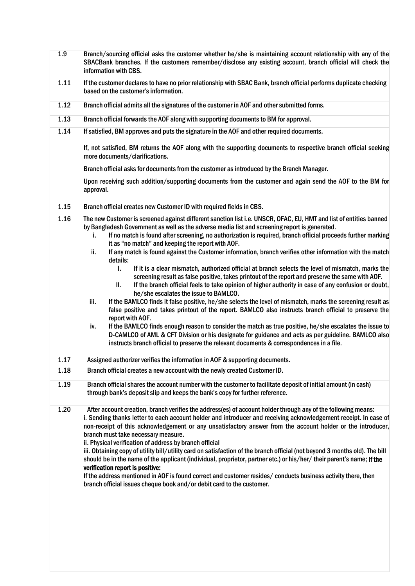| 1.9  | Branch/sourcing official asks the customer whether he/she is maintaining account relationship with any of the<br>SBACBank branches. If the customers remember/disclose any existing account, branch official will check the<br>information with CBS.                                                                                                                                                                                                                                                                                                                                                                                                                                                                                                                                                                                                           |
|------|----------------------------------------------------------------------------------------------------------------------------------------------------------------------------------------------------------------------------------------------------------------------------------------------------------------------------------------------------------------------------------------------------------------------------------------------------------------------------------------------------------------------------------------------------------------------------------------------------------------------------------------------------------------------------------------------------------------------------------------------------------------------------------------------------------------------------------------------------------------|
| 1.11 | If the customer declares to have no prior relationship with SBAC Bank, branch official performs duplicate checking<br>based on the customer's information.                                                                                                                                                                                                                                                                                                                                                                                                                                                                                                                                                                                                                                                                                                     |
| 1.12 | Branch official admits all the signatures of the customer in AOF and other submitted forms.                                                                                                                                                                                                                                                                                                                                                                                                                                                                                                                                                                                                                                                                                                                                                                    |
| 1.13 | Branch official forwards the AOF along with supporting documents to BM for approval.                                                                                                                                                                                                                                                                                                                                                                                                                                                                                                                                                                                                                                                                                                                                                                           |
| 1.14 | If satisfied, BM approves and puts the signature in the AOF and other required documents.                                                                                                                                                                                                                                                                                                                                                                                                                                                                                                                                                                                                                                                                                                                                                                      |
|      | If, not satisfied, BM returns the AOF along with the supporting documents to respective branch official seeking<br>more documents/clarifications.                                                                                                                                                                                                                                                                                                                                                                                                                                                                                                                                                                                                                                                                                                              |
|      | Branch official asks for documents from the customer as introduced by the Branch Manager.                                                                                                                                                                                                                                                                                                                                                                                                                                                                                                                                                                                                                                                                                                                                                                      |
|      | Upon receiving such addition/supporting documents from the customer and again send the AOF to the BM for<br>approval.                                                                                                                                                                                                                                                                                                                                                                                                                                                                                                                                                                                                                                                                                                                                          |
| 1.15 | Branch official creates new Customer ID with required fields in CBS.                                                                                                                                                                                                                                                                                                                                                                                                                                                                                                                                                                                                                                                                                                                                                                                           |
| 1.16 | The new Customer is screened against different sanction list i.e. UNSCR, OFAC, EU, HMT and list of entities banned<br>by Bangladesh Government as well as the adverse media list and screening report is generated.<br>If no match is found after screening, no authorization is required, branch official proceeds further marking<br>i.<br>it as "no match" and keeping the report with AOF.<br>If any match is found against the Customer information, branch verifies other information with the match<br>ii.<br>details:<br>I.<br>If it is a clear mismatch, authorized official at branch selects the level of mismatch, marks the                                                                                                                                                                                                                       |
|      | screening result as false positive, takes printout of the report and preserve the same with AOF.<br>If the branch official feels to take opinion of higher authority in case of any confusion or doubt,<br>Ш.<br>he/she escalates the issue to BAMLCO.<br>If the BAMLCO finds it false positive, he/she selects the level of mismatch, marks the screening result as<br>iii.                                                                                                                                                                                                                                                                                                                                                                                                                                                                                   |
|      | false positive and takes printout of the report. BAMLCO also instructs branch official to preserve the<br>report with AOF.<br>If the BAMLCO finds enough reason to consider the match as true positive, he/she escalates the issue to<br>iv.<br>D-CAMLCO of AML & CFT Division or his designate for guidance and acts as per guideline. BAMLCO also<br>instructs branch official to preserve the relevant documents & correspondences in a file.                                                                                                                                                                                                                                                                                                                                                                                                               |
| 1.17 | Assigned authorizer verifies the information in AOF & supporting documents.                                                                                                                                                                                                                                                                                                                                                                                                                                                                                                                                                                                                                                                                                                                                                                                    |
| 1.18 | Branch official creates a new account with the newly created Customer ID.                                                                                                                                                                                                                                                                                                                                                                                                                                                                                                                                                                                                                                                                                                                                                                                      |
| 1.19 | Branch official shares the account number with the customer to facilitate deposit of initial amount (in cash)<br>through bank's deposit slip and keeps the bank's copy for further reference.                                                                                                                                                                                                                                                                                                                                                                                                                                                                                                                                                                                                                                                                  |
| 1.20 | After account creation, branch verifies the address(es) of account holder through any of the following means:<br>i. Sending thanks letter to each account holder and introducer and receiving acknowledgement receipt. In case of<br>non-receipt of this acknowledgement or any unsatisfactory answer from the account holder or the introducer,<br>branch must take necessary measure.<br>ii. Physical verification of address by branch official<br>iii. Obtaining copy of utility bill/utility card on satisfaction of the branch official (not beyond 3 months old). The bill<br>should be in the name of the applicant (individual, proprietor, partner etc.) or his/her/their parent's name; If the<br>verification report is positive:<br>If the address mentioned in AOF is found correct and customer resides/ conducts business activity there, then |
|      | branch official issues cheque book and/or debit card to the customer.                                                                                                                                                                                                                                                                                                                                                                                                                                                                                                                                                                                                                                                                                                                                                                                          |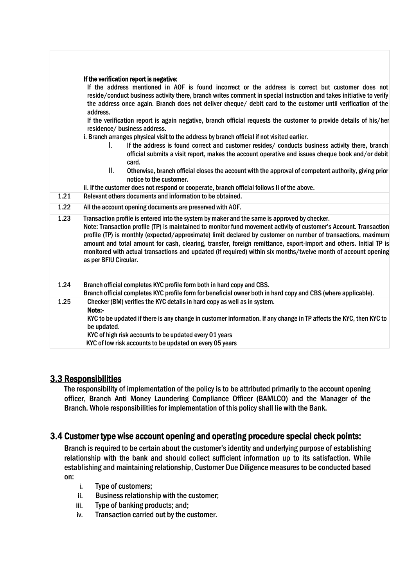|      | If the verification report is negative:<br>If the address mentioned in AOF is found incorrect or the address is correct but customer does not<br>reside/conduct business activity there, branch writes comment in special instruction and takes initiative to verify<br>the address once again. Branch does not deliver cheque/ debit card to the customer until verification of the<br>address.<br>If the verification report is again negative, branch official requests the customer to provide details of his/her<br>residence/ business address.<br>i. Branch arranges physical visit to the address by branch official if not visited earlier.<br>If the address is found correct and customer resides/ conducts business activity there, branch<br>L.<br>official submits a visit report, makes the account operative and issues cheque book and/or debit<br>card. |
|------|---------------------------------------------------------------------------------------------------------------------------------------------------------------------------------------------------------------------------------------------------------------------------------------------------------------------------------------------------------------------------------------------------------------------------------------------------------------------------------------------------------------------------------------------------------------------------------------------------------------------------------------------------------------------------------------------------------------------------------------------------------------------------------------------------------------------------------------------------------------------------|
|      | ΙΙ.<br>Otherwise, branch official closes the account with the approval of competent authority, giving prior<br>notice to the customer.<br>ii. If the customer does not respond or cooperate, branch official follows II of the above.                                                                                                                                                                                                                                                                                                                                                                                                                                                                                                                                                                                                                                     |
| 1.21 | Relevant others documents and information to be obtained.                                                                                                                                                                                                                                                                                                                                                                                                                                                                                                                                                                                                                                                                                                                                                                                                                 |
| 1.22 | All the account opening documents are preserved with AOF.                                                                                                                                                                                                                                                                                                                                                                                                                                                                                                                                                                                                                                                                                                                                                                                                                 |
|      |                                                                                                                                                                                                                                                                                                                                                                                                                                                                                                                                                                                                                                                                                                                                                                                                                                                                           |
| 1.23 | Transaction profile is entered into the system by maker and the same is approved by checker.<br>Note: Transaction profile (TP) is maintained to monitor fund movement activity of customer's Account. Transaction<br>profile (TP) is monthly (expected/approximate) limit declared by customer on number of transactions, maximum<br>amount and total amount for cash, clearing, transfer, foreign remittance, export-import and others. Initial TP is<br>monitored with actual transactions and updated (if required) within six months/twelve month of account opening<br>as per BFIU Circular.                                                                                                                                                                                                                                                                         |
| 1.24 | Branch official completes KYC profile form both in hard copy and CBS.<br>Branch official completes KYC profile form for beneficial owner both in hard copy and CBS (where applicable).                                                                                                                                                                                                                                                                                                                                                                                                                                                                                                                                                                                                                                                                                    |
| 1.25 | Checker (BM) verifies the KYC details in hard copy as well as in system.<br>Note:-<br>KYC to be updated if there is any change in customer information. If any change in TP affects the KYC, then KYC to<br>be updated.<br>KYC of high risk accounts to be updated every 01 years<br>KYC of low risk accounts to be updated on every 05 years                                                                                                                                                                                                                                                                                                                                                                                                                                                                                                                             |

# 3.3 Responsibilities

The responsibility of implementation of the policy is to be attributed primarily to the account opening officer, Branch Anti Money Laundering Compliance Officer (BAMLCO) and the Manager of the Branch. Whole responsibilities for implementation of this policy shall lie with the Bank.

# 3.4 Customer type wise account opening and operating procedure special check points:

Branch is required to be certain about the customer's identity and underlying purpose of establishing relationship with the bank and should collect sufficient information up to its satisfaction. While establishing and maintaining relationship, Customer Due Diligence measures to be conducted based on:

- i. Type of customers;
- ii. Business relationship with the customer;
- iii. Type of banking products; and;
- iv. Transaction carried out by the customer.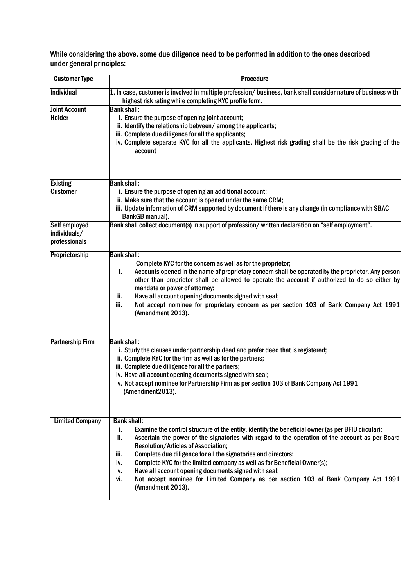While considering the above, some due diligence need to be performed in addition to the ones described under general principles:

| <b>Customer Type</b>                           | <b>Procedure</b>                                                                                                                                                                                                                                                                                                                                                                                                                                                                                                                                                                                                                   |
|------------------------------------------------|------------------------------------------------------------------------------------------------------------------------------------------------------------------------------------------------------------------------------------------------------------------------------------------------------------------------------------------------------------------------------------------------------------------------------------------------------------------------------------------------------------------------------------------------------------------------------------------------------------------------------------|
| Individual                                     | 1. In case, customer is involved in multiple profession/ business, bank shall consider nature of business with<br>highest risk rating while completing KYC profile form.                                                                                                                                                                                                                                                                                                                                                                                                                                                           |
| <b>Joint Account</b><br><b>Holder</b>          | <b>Bank shall:</b><br>i. Ensure the purpose of opening joint account;<br>ii. Identify the relationship between/among the applicants;<br>iii. Complete due diligence for all the applicants;<br>iv. Complete separate KYC for all the applicants. Highest risk grading shall be the risk grading of the<br>account                                                                                                                                                                                                                                                                                                                  |
| <b>Existing</b>                                | <b>Bank shall:</b>                                                                                                                                                                                                                                                                                                                                                                                                                                                                                                                                                                                                                 |
| <b>Customer</b>                                | i. Ensure the purpose of opening an additional account;<br>ii. Make sure that the account is opened under the same CRM;<br>iii. Update information of CRM supported by document if there is any change (in compliance with SBAC<br>BankGB manual).                                                                                                                                                                                                                                                                                                                                                                                 |
| Self employed<br>individuals/<br>professionals | Bank shall collect document(s) in support of profession/written declaration on "self employment".                                                                                                                                                                                                                                                                                                                                                                                                                                                                                                                                  |
| Proprietorship                                 | <b>Bank shall:</b><br>Complete KYC for the concern as well as for the proprietor;<br>Accounts opened in the name of proprietary concern shall be operated by the proprietor. Any person<br>i.<br>other than proprietor shall be allowed to operate the account if authorized to do so either by<br>mandate or power of attorney;<br>Have all account opening documents signed with seal;<br>ii.<br>Not accept nominee for proprietary concern as per section 103 of Bank Company Act 1991<br>iii.<br>(Amendment 2013).                                                                                                             |
| <b>Partnership Firm</b>                        | <b>Bank shall:</b><br>i. Study the clauses under partnership deed and prefer deed that is registered;<br>ii. Complete KYC for the firm as well as for the partners;<br>iii. Complete due diligence for all the partners;<br>iv. Have all account opening documents signed with seal;<br>v. Not accept nominee for Partnership Firm as per section 103 of Bank Company Act 1991<br>(Amendment2013).                                                                                                                                                                                                                                 |
| <b>Limited Company</b>                         | <b>Bank shall:</b><br>Examine the control structure of the entity, identify the beneficial owner (as per BFIU circular);<br>i.<br>ii.<br>Ascertain the power of the signatories with regard to the operation of the account as per Board<br><b>Resolution/Articles of Association;</b><br>Complete due diligence for all the signatories and directors;<br>iii.<br>Complete KYC for the limited company as well as for Beneficial Owner(s);<br>iv.<br>Have all account opening documents signed with seal;<br>۷.<br>Not accept nominee for Limited Company as per section 103 of Bank Company Act 1991<br>vi.<br>(Amendment 2013). |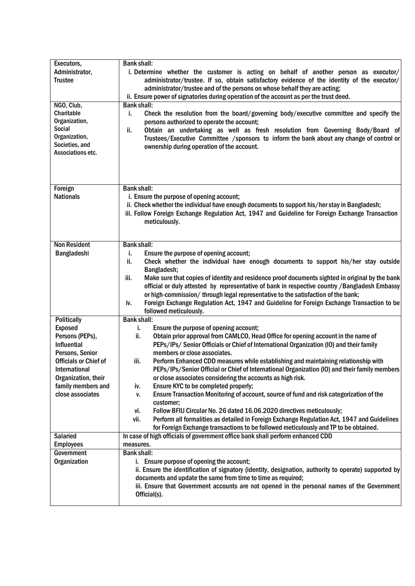| Executors,                   | <b>Bank shall:</b>                                                                                                                                                                          |
|------------------------------|---------------------------------------------------------------------------------------------------------------------------------------------------------------------------------------------|
| Administrator,               | i. Determine whether the customer is acting on behalf of another person as executor/                                                                                                        |
| <b>Trustee</b>               | administrator/trustee. If so, obtain satisfactory evidence of the identity of the executor/                                                                                                 |
|                              | administrator/trustee and of the persons on whose behalf they are acting;                                                                                                                   |
|                              | ii. Ensure power of signatories during operation of the account as per the trust deed.                                                                                                      |
| NGO, Club,                   | <b>Bank shall:</b>                                                                                                                                                                          |
| Charitable                   | Check the resolution from the board/governing body/executive committee and specify the<br>j,                                                                                                |
| Organization,                | persons authorized to operate the account;                                                                                                                                                  |
| Social                       | Obtain an undertaking as well as fresh resolution from Governing Body/Board of<br>ii.                                                                                                       |
| Organization,                | Trustees/Executive Committee /sponsors to inform the bank about any change of control or                                                                                                    |
| Societies, and               | ownership during operation of the account.                                                                                                                                                  |
| Associations etc.            |                                                                                                                                                                                             |
|                              |                                                                                                                                                                                             |
|                              |                                                                                                                                                                                             |
|                              |                                                                                                                                                                                             |
| Foreign                      | <b>Bank shall:</b>                                                                                                                                                                          |
| <b>Nationals</b>             | i. Ensure the purpose of opening account;                                                                                                                                                   |
|                              | ii. Check whether the individual have enough documents to support his/her stay in Bangladesh;                                                                                               |
|                              | iii. Follow Foreign Exchange Regulation Act, 1947 and Guideline for Foreign Exchange Transaction                                                                                            |
|                              | meticulously.                                                                                                                                                                               |
|                              |                                                                                                                                                                                             |
| <b>Non Resident</b>          | <b>Bank shall:</b>                                                                                                                                                                          |
| Bangladeshi                  | Ensure the purpose of opening account;<br>i.                                                                                                                                                |
|                              | Check whether the individual have enough documents to support his/her stay outside<br>ii.                                                                                                   |
|                              | Bangladesh;                                                                                                                                                                                 |
|                              | Make sure that copies of identity and residence proof documents sighted in original by the bank<br>iii.                                                                                     |
|                              | official or duly attested by representative of bank in respective country / Bangladesh Embassy                                                                                              |
|                              | or high-commission/through legal representative to the satisfaction of the bank;                                                                                                            |
|                              | Foreign Exchange Regulation Act, 1947 and Guideline for Foreign Exchange Transaction to be<br>iv.                                                                                           |
|                              | followed meticulously.                                                                                                                                                                      |
| <b>Politically</b>           | <b>Bank shall:</b>                                                                                                                                                                          |
| <b>Exposed</b>               | Ensure the purpose of opening account;<br>j.                                                                                                                                                |
| Persons (PEPs),              | Obtain prior approval from CAMLCO, Head Office for opening account in the name of<br>ii.                                                                                                    |
| <b>Influential</b>           | PEPs/IPs/ Senior Officials or Chief of International Organization (IO) and their family                                                                                                     |
| Persons, Senior              | members or close associates.                                                                                                                                                                |
| <b>Officials or Chief of</b> | Perform Enhanced CDD measures while establishing and maintaining relationship with<br>iii.                                                                                                  |
| International                | PEPs/IPs/Senior Official or Chief of International Organization (IO) and their family members                                                                                               |
| Organization, their          | or close associates considering the accounts as high risk.                                                                                                                                  |
| family members and           | Ensure KYC to be completed properly;<br>iv.                                                                                                                                                 |
| close associates             | Ensure Transaction Monitoring of account, source of fund and risk categorization of the<br>٧.                                                                                               |
|                              | customer;                                                                                                                                                                                   |
|                              | Follow BFIU Circular No. 26 dated 16.06.2020 directives meticulously;<br>vi.                                                                                                                |
|                              | Perform all formalities as detailed in Foreign Exchange Regulation Act, 1947 and Guidelines<br>vii.<br>for Foreign Exchange transactions to be followed meticulously and TP to be obtained. |
| <b>Salaried</b>              | In case of high officials of government office bank shall perform enhanced CDD                                                                                                              |
| <b>Employees</b>             | measures.                                                                                                                                                                                   |
| Government                   | <b>Bank shall:</b>                                                                                                                                                                          |
| <b>Organization</b>          | i. Ensure purpose of opening the account;                                                                                                                                                   |
|                              | ii. Ensure the identification of signatory (identity, designation, authority to operate) supported by                                                                                       |
|                              | documents and update the same from time to time as required;                                                                                                                                |
|                              | iii. Ensure that Government accounts are not opened in the personal names of the Government                                                                                                 |
|                              | Official(s).                                                                                                                                                                                |
|                              |                                                                                                                                                                                             |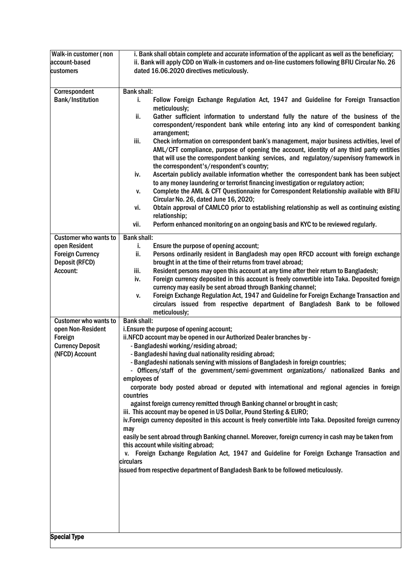| account-based<br>customers                                                                                                       | ii. Bank will apply CDD on Walk-in customers and on-line customers following BFIU Circular No. 26<br>dated 16.06.2020 directives meticulously.                                                                                                                                                                                                                                                                                                                                                                                                                                                                                                                                                                                                                                                                                                                                                                                                                                                                                                                                                                                                                                                                                         |
|----------------------------------------------------------------------------------------------------------------------------------|----------------------------------------------------------------------------------------------------------------------------------------------------------------------------------------------------------------------------------------------------------------------------------------------------------------------------------------------------------------------------------------------------------------------------------------------------------------------------------------------------------------------------------------------------------------------------------------------------------------------------------------------------------------------------------------------------------------------------------------------------------------------------------------------------------------------------------------------------------------------------------------------------------------------------------------------------------------------------------------------------------------------------------------------------------------------------------------------------------------------------------------------------------------------------------------------------------------------------------------|
| Correspondent<br><b>Bank/Institution</b>                                                                                         | <b>Bank shall:</b><br>Follow Foreign Exchange Regulation Act, 1947 and Guideline for Foreign Transaction<br>j.<br>meticulously;<br>ii.<br>Gather sufficient information to understand fully the nature of the business of the<br>correspondent/respondent bank while entering into any kind of correspondent banking<br>arrangement;<br>iii.<br>Check information on correspondent bank's management, major business activities, level of<br>AML/CFT compliance, purpose of opening the account, identity of any third party entities<br>that will use the correspondent banking services, and regulatory/supervisory framework in<br>the correspondent's/respondent's country;<br>Ascertain publicly available information whether the correspondent bank has been subject<br>iv.<br>to any money laundering or terrorist financing investigation or regulatory action;<br>Complete the AML & CFT Questionnaire for Correspondent Relationship available with BFIU<br>٧.<br>Circular No. 26, dated June 16, 2020;<br>Obtain approval of CAMLCO prior to establishing relationship as well as continuing existing<br>vi.<br>relationship;<br>vii.<br>Perform enhanced monitoring on an ongoing basis and KYC to be reviewed regularly. |
| <b>Customer who wants to</b><br>open Resident<br><b>Foreign Currency</b><br><b>Deposit (RFCD)</b><br>Account:                    | <b>Bank shall:</b><br>Ensure the purpose of opening account;<br>j.<br>ii.<br>Persons ordinarily resident in Bangladesh may open RFCD account with foreign exchange<br>brought in at the time of their returns from travel abroad;<br>Resident persons may open this account at any time after their return to Bangladesh;<br>iii.<br>Foreign currency deposited in this account is freely convertible into Taka. Deposited foreign<br>iv.<br>currency may easily be sent abroad through Banking channel;<br>Foreign Exchange Regulation Act, 1947 and Guideline for Foreign Exchange Transaction and<br>٧.<br>circulars issued from respective department of Bangladesh Bank to be followed<br>meticulously;                                                                                                                                                                                                                                                                                                                                                                                                                                                                                                                           |
| <b>Customer who wants to</b><br>open Non-Resident<br>Foreign<br><b>Currency Deposit</b><br>(NFCD) Account<br><b>Special Type</b> | <b>Bank shall:</b><br>i. Ensure the purpose of opening account;<br>ii.NFCD account may be opened in our Authorized Dealer branches by -<br>- Bangladeshi working/residing abroad;<br>- Bangladeshi having dual nationality residing abroad;<br>- Bangladeshi nationals serving with missions of Bangladesh in foreign countries;<br>- Officers/staff of the government/semi-government organizations/ nationalized Banks and<br>employees of<br>corporate body posted abroad or deputed with international and regional agencies in foreign<br>countries<br>against foreign currency remitted through Banking channel or brought in cash;<br>iii. This account may be opened in US Dollar, Pound Sterling & EURO;<br>iv. Foreign currency deposited in this account is freely convertible into Taka. Deposited foreign currency<br>may<br>easily be sent abroad through Banking channel. Moreover, foreign currency in cash may be taken from<br>this account while visiting abroad;<br>v. Foreign Exchange Regulation Act, 1947 and Guideline for Foreign Exchange Transaction and<br>circulars<br>issued from respective department of Bangladesh Bank to be followed meticulously.                                                  |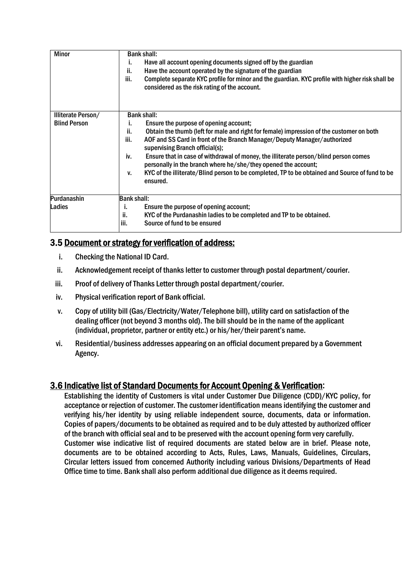| <b>Minor</b>        | <b>Bank shall:</b>                                                                                                                                            |  |  |  |
|---------------------|---------------------------------------------------------------------------------------------------------------------------------------------------------------|--|--|--|
|                     | Have all account opening documents signed off by the guardian<br>ı.                                                                                           |  |  |  |
|                     | ii.<br>Have the account operated by the signature of the guardian                                                                                             |  |  |  |
|                     | iii.<br>Complete separate KYC profile for minor and the guardian. KYC profile with higher risk shall be<br>considered as the risk rating of the account.      |  |  |  |
| Illiterate Person/  | <b>Bank shall:</b>                                                                                                                                            |  |  |  |
| <b>Blind Person</b> | Ensure the purpose of opening account;<br>i.                                                                                                                  |  |  |  |
|                     | Obtain the thumb (left for male and right for female) impression of the customer on both<br>ii.                                                               |  |  |  |
|                     | iii.<br>AOF and SS Card in front of the Branch Manager/Deputy Manager/authorized<br>supervising Branch official(s);                                           |  |  |  |
|                     | Ensure that in case of withdrawal of money, the illiterate person/blind person comes<br>iv.<br>personally in the branch where he/she/they opened the account; |  |  |  |
|                     | KYC of the illiterate/Blind person to be completed, TP to be obtained and Source of fund to be<br>v.<br>ensured.                                              |  |  |  |
| Purdanashin         | <b>Bank shall:</b>                                                                                                                                            |  |  |  |
| Ladies              | i.<br>Ensure the purpose of opening account;                                                                                                                  |  |  |  |
|                     | ii.<br>KYC of the Purdanashin ladies to be completed and TP to be obtained.                                                                                   |  |  |  |
|                     | iii.<br>Source of fund to be ensured                                                                                                                          |  |  |  |

# 3.5 Document or strategy for verification of address:

- i. Checking the National ID Card.
- ii. Acknowledgement receipt of thanks letter to customer through postal department/courier.
- iii. Proof of delivery of Thanks Letter through postal department/courier.
- iv. Physical verification report of Bank official.
- v. Copy of utility bill (Gas/Electricity/Water/Telephone bill), utility card on satisfaction of the dealing officer (not beyond 3 months old). The bill should be in the name of the applicant (individual, proprietor, partner or entity etc.) or his/her/their parent's name.
- vi. Residential/business addresses appearing on an official document prepared by a Government Agency.

# 3.6 Indicative list of Standard Documents for Account Opening & Verification:

Establishing the identity of Customers is vital under Customer Due Diligence (CDD)/KYC policy, for acceptance or rejection of customer. The customer identification means identifying the customer and verifying his/her identity by using reliable independent source, documents, data or information. Copies of papers/documents to be obtained as required and to be duly attested by authorized officer of the branch with official seal and to be preserved with the account opening form very carefully. Customer wise indicative list of required documents are stated below are in brief. Please note, documents are to be obtained according to Acts, Rules, Laws, Manuals, Guidelines, Circulars, Circular letters issued from concerned Authority including various Divisions/Departments of Head Office time to time. Bank shall also perform additional due diligence as it deems required.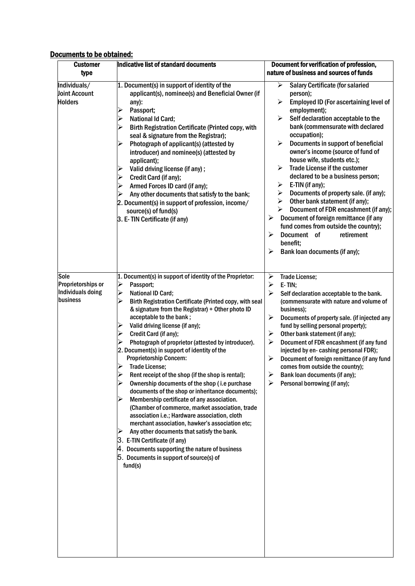# Documents to be obtained:

| <b>Customer</b><br>type                                     | Indicative list of standard documents                                                                                                                                                                                                                                                                                                                                                                                                                                                                                                                                                                                                                                                                                                                                                                                                                                                                                                                                                                                                                                     | Document for verification of profession,<br>nature of business and sources of funds                                                                                                                                                                                                                                                                                                                                                                                                                                                                                                                                                                                                                                                                           |
|-------------------------------------------------------------|---------------------------------------------------------------------------------------------------------------------------------------------------------------------------------------------------------------------------------------------------------------------------------------------------------------------------------------------------------------------------------------------------------------------------------------------------------------------------------------------------------------------------------------------------------------------------------------------------------------------------------------------------------------------------------------------------------------------------------------------------------------------------------------------------------------------------------------------------------------------------------------------------------------------------------------------------------------------------------------------------------------------------------------------------------------------------|---------------------------------------------------------------------------------------------------------------------------------------------------------------------------------------------------------------------------------------------------------------------------------------------------------------------------------------------------------------------------------------------------------------------------------------------------------------------------------------------------------------------------------------------------------------------------------------------------------------------------------------------------------------------------------------------------------------------------------------------------------------|
| Individuals/<br><b>Joint Account</b><br><b>Holders</b>      | 1. Document(s) in support of identity of the<br>applicant(s), nominee(s) and Beneficial Owner (if<br>any):<br>Passport;<br>➤<br>≻<br><b>National Id Card;</b><br>≻<br>Birth Registration Certificate (Printed copy, with<br>seal & signature from the Registrar);<br>≻<br>Photograph of applicant(s) (attested by<br>introducer) and nominee(s) (attested by<br>applicant);<br>Valid driving license (if any);<br>➤<br>Credit Card (if any);<br>➤<br>Armed Forces ID card (if any);<br>➤<br>Any other documents that satisfy to the bank;<br>⋗<br>2. Document(s) in support of profession, income/<br>source(s) of fund(s)<br>3. E- TIN Certificate (if any)                                                                                                                                                                                                                                                                                                                                                                                                              | ➤<br><b>Salary Certificate (for salaried</b><br>person);<br>Employed ID (For ascertaining level of<br>≻<br>employment);<br>≻<br>Self declaration acceptable to the<br>bank (commensurate with declared<br>occupation);<br>≻<br>Documents in support of beneficial<br>owner's income (source of fund of<br>house wife, students etc.);<br><b>Trade License if the customer</b><br>≻<br>declared to be a business person;<br>E-TIN (if any);<br>➤<br>Documents of property sale. (if any);<br>⋗<br>Other bank statement (if any);<br>➤<br>Document of FDR encashment (if any);<br>➤<br>Document of foreign remittance (if any<br>➤<br>fund comes from outside the country);<br>➤<br>Document of<br>retirement<br>benefit;<br>➤<br>Bank loan documents (if any); |
| Sole<br>Proprietorships or<br>Individuals doing<br>business | 1. Document(s) in support of identity of the Proprietor:<br>$\blacktriangleright$<br>Passport;<br><b>National ID Card;</b><br>➤<br>Birth Registration Certificate (Printed copy, with seal<br>& signature from the Registrar) + Other photo ID<br>acceptable to the bank;<br>Valid driving license (if any);<br>⋗<br>Credit Card (if any);<br>➤<br>Photograph of proprietor (attested by introducer).<br>2. Document(s) in support of identity of the<br><b>Proprietorship Concern:</b><br>➤<br>Trade License;<br>Rent receipt of the shop (if the shop is rental);<br>Ownership documents of the shop (i.e purchase<br>documents of the shop or inheritance documents);<br>Membership certificate of any association.<br>(Chamber of commerce, market association, trade<br>association i.e.; Hardware association, cloth<br>merchant association, hawker's association etc;<br>Any other documents that satisfy the bank.<br>➤<br>3. E-TIN Certificate (if any)<br>4. Documents supporting the nature of business<br>5. Documents in support of source(s) of<br>fund(s) | ➤<br><b>Trade License;</b><br>➤<br>E-TIN;<br>$\blacktriangleright$<br>Self declaration acceptable to the bank.<br>(commensurate with nature and volume of<br>business);<br>➤<br>Documents of property sale. (if injected any<br>fund by selling personal property);<br>➤<br>Other bank statement (if any);<br>➤<br>Document of FDR encashment (if any fund<br>injected by en- cashing personal FDR);<br>➤<br>Document of foreign remittance (if any fund<br>comes from outside the country);<br>➤<br>Bank loan documents (if any);<br>➤<br>Personal borrowing (if any);                                                                                                                                                                                       |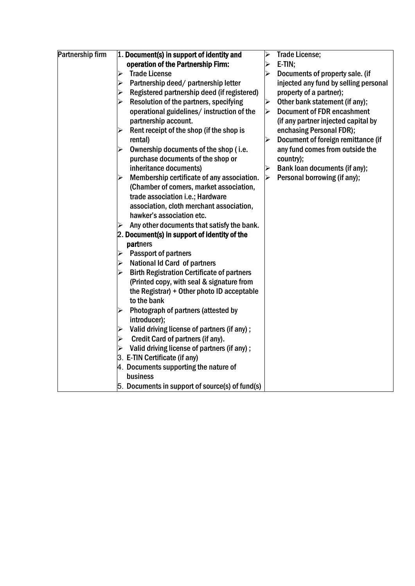| Partnership firm | 1. Document(s) in support of identity and                                  | ⋗                    | Trade License;                        |
|------------------|----------------------------------------------------------------------------|----------------------|---------------------------------------|
|                  | operation of the Partnership Firm:                                         | ➢                    | E-TIN;                                |
|                  | <b>Trade License</b><br>$\blacktriangleright$                              | ➢                    | Documents of property sale. (if       |
|                  | Partnership deed/ partnership letter<br>➤                                  |                      | injected any fund by selling personal |
|                  | Registered partnership deed (if registered)<br>≻                           |                      | property of a partner);               |
|                  | Resolution of the partners, specifying<br>$\blacktriangleright$            | $\blacktriangleleft$ | Other bank statement (if any);        |
|                  | operational guidelines/ instruction of the                                 | ➤                    | <b>Document of FDR encashment</b>     |
|                  | partnership account.                                                       |                      | (if any partner injected capital by   |
|                  | Rent receipt of the shop (if the shop is<br>➤                              |                      | enchasing Personal FDR);              |
|                  | rental)                                                                    |                      | Document of foreign remittance (if    |
|                  | Ownership documents of the shop (i.e.<br>$\blacktriangleright$             |                      | any fund comes from outside the       |
|                  | purchase documents of the shop or                                          |                      | country);                             |
|                  | inheritance documents)                                                     | ➤                    | Bank loan documents (if any);         |
|                  | Membership certificate of any association.<br>➤                            | ➤                    | Personal borrowing (if any);          |
|                  | (Chamber of comers, market association,                                    |                      |                                       |
|                  | trade association i.e.; Hardware                                           |                      |                                       |
|                  | association, cloth merchant association,                                   |                      |                                       |
|                  | hawker's association etc.                                                  |                      |                                       |
|                  | Any other documents that satisfy the bank.<br>$\blacktriangleright$        |                      |                                       |
|                  | $ 2.$ Document(s) in support of identity of the                            |                      |                                       |
|                  | partners                                                                   |                      |                                       |
|                  | Passport of partners<br>$\blacktriangleright$                              |                      |                                       |
|                  | <b>National Id Card of partners</b><br>$\blacktriangleright$               |                      |                                       |
|                  | <b>Birth Registration Certificate of partners</b><br>$\blacktriangleright$ |                      |                                       |
|                  | (Printed copy, with seal & signature from                                  |                      |                                       |
|                  | the Registrar) + Other photo ID acceptable                                 |                      |                                       |
|                  | to the bank                                                                |                      |                                       |
|                  | Photograph of partners (attested by<br>➤                                   |                      |                                       |
|                  | introducer);                                                               |                      |                                       |
|                  | Valid driving license of partners (if any);<br>$\blacktriangleright$       |                      |                                       |
|                  | Credit Card of partners (if any).<br>$\blacktriangleright$                 |                      |                                       |
|                  | Valid driving license of partners (if any);<br>➤                           |                      |                                       |
|                  | 3. E-TIN Certificate (if any)                                              |                      |                                       |
|                  | 4. Documents supporting the nature of                                      |                      |                                       |
|                  | business                                                                   |                      |                                       |
|                  | $ 5.$ Documents in support of source(s) of fund(s)                         |                      |                                       |
|                  |                                                                            |                      |                                       |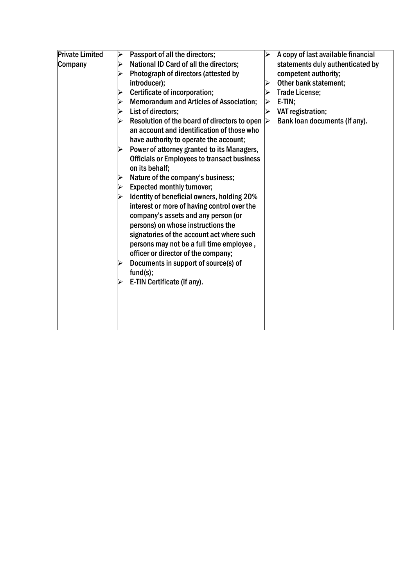| <b>Private Limited</b><br>Company | Passport of all the directors;<br>➤<br>National ID Card of all the directors;<br>➤<br>Photograph of directors (attested by<br>➤<br>introducer);<br>Certificate of incorporation;<br>➤<br><b>Memorandum and Articles of Association;</b><br>➤<br>List of directors;<br>➤<br>Resolution of the board of directors to open<br>⋗<br>an account and identification of those who<br>have authority to operate the account;<br>Power of attorney granted to its Managers,<br><b>Officials or Employees to transact business</b><br>on its behalf;<br>Nature of the company's business;<br>➤<br><b>Expected monthly turnover;</b><br>➤<br>Identity of beneficial owners, holding 20%<br>➤<br>interest or more of having control over the<br>company's assets and any person (or<br>persons) on whose instructions the<br>signatories of the account act where such<br>persons may not be a full time employee,<br>officer or director of the company;<br>Documents in support of source(s) of<br>➤<br>fund(s);<br>E-TIN Certificate (if any). | ⋗<br>▶ | A copy of last available financial<br>statements duly authenticated by<br>competent authority;<br>Other bank statement;<br><b>Trade License;</b><br>E-TIN;<br>VAT registration;<br>Bank loan documents (if any). |
|-----------------------------------|---------------------------------------------------------------------------------------------------------------------------------------------------------------------------------------------------------------------------------------------------------------------------------------------------------------------------------------------------------------------------------------------------------------------------------------------------------------------------------------------------------------------------------------------------------------------------------------------------------------------------------------------------------------------------------------------------------------------------------------------------------------------------------------------------------------------------------------------------------------------------------------------------------------------------------------------------------------------------------------------------------------------------------------|--------|------------------------------------------------------------------------------------------------------------------------------------------------------------------------------------------------------------------|
|-----------------------------------|---------------------------------------------------------------------------------------------------------------------------------------------------------------------------------------------------------------------------------------------------------------------------------------------------------------------------------------------------------------------------------------------------------------------------------------------------------------------------------------------------------------------------------------------------------------------------------------------------------------------------------------------------------------------------------------------------------------------------------------------------------------------------------------------------------------------------------------------------------------------------------------------------------------------------------------------------------------------------------------------------------------------------------------|--------|------------------------------------------------------------------------------------------------------------------------------------------------------------------------------------------------------------------|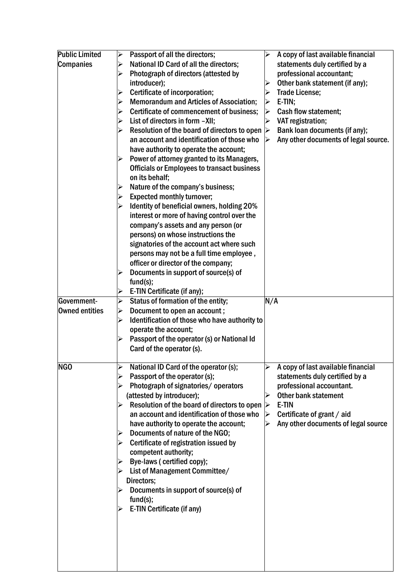| <b>Public Limited</b> | Passport of all the directors;<br>$\blacktriangleright$<br>$\blacktriangleright$          | A copy of last available financial   |
|-----------------------|-------------------------------------------------------------------------------------------|--------------------------------------|
| <b>Companies</b>      | National ID Card of all the directors;<br>➤                                               | statements duly certified by a       |
|                       | professional accountant;<br>Photograph of directors (attested by<br>➤                     |                                      |
|                       | introducer);                                                                              | Other bank statement (if any);       |
|                       | Certificate of incorporation;<br><b>Trade License;</b><br>➤                               |                                      |
|                       | <b>Memorandum and Articles of Association;</b><br>$E-TIN;$<br>$\blacktriangleright$<br>➤  |                                      |
|                       | Certificate of commencement of business;<br>Cash flow statement;<br>$\blacktriangleright$ |                                      |
|                       | List of directors in form -XII;<br>VAT registration;<br>$\blacktriangleright$<br>⋗        |                                      |
|                       | Resolution of the board of directors to open $\triangleright$<br>≻                        | Bank loan documents (if any);        |
|                       | an account and identification of those who<br>➤                                           | Any other documents of legal source. |
|                       | have authority to operate the account;                                                    |                                      |
|                       | Power of attorney granted to its Managers,<br>$\blacktriangleright$                       |                                      |
|                       | <b>Officials or Employees to transact business</b>                                        |                                      |
|                       | on its behalf;                                                                            |                                      |
|                       | Nature of the company's business;<br>➤                                                    |                                      |
|                       | <b>Expected monthly turnover;</b><br>≻                                                    |                                      |
|                       | Identity of beneficial owners, holding 20%<br>≻                                           |                                      |
|                       | interest or more of having control over the                                               |                                      |
|                       | company's assets and any person (or                                                       |                                      |
|                       | persons) on whose instructions the                                                        |                                      |
|                       | signatories of the account act where such                                                 |                                      |
|                       | persons may not be a full time employee,                                                  |                                      |
|                       | officer or director of the company;                                                       |                                      |
|                       | Documents in support of source(s) of                                                      |                                      |
|                       | fund(s);                                                                                  |                                      |
|                       | E-TIN Certificate (if any);<br>➤                                                          |                                      |
| Government-           | Status of formation of the entity;<br>N/A<br>$\blacktriangleright$                        |                                      |
| Owned entities        | Document to open an account;<br>$\blacktriangleright$                                     |                                      |
|                       | Identification of those who have authority to<br>≻                                        |                                      |
|                       | operate the account;                                                                      |                                      |
|                       | Passport of the operator (s) or National Id                                               |                                      |
|                       | Card of the operator (s).                                                                 |                                      |
|                       |                                                                                           |                                      |
| NGO                   | National ID Card of the operator (s);<br>≻                                                | A copy of last available financial   |
|                       | Passport of the operator (s);<br>≻                                                        | statements duly certified by a       |
|                       | Photograph of signatories/operators<br>professional accountant.                           |                                      |
|                       | (attested by introducer);<br><b>Other bank statement</b>                                  |                                      |
|                       | Resolution of the board of directors to open<br>E-TIN<br>➤<br>$\blacktriangleright$       |                                      |
|                       | an account and identification of those who<br>Certificate of grant / aid                  |                                      |
|                       | have authority to operate the account;                                                    | Any other documents of legal source  |
|                       | Documents of nature of the NGO;<br>➤                                                      |                                      |
|                       | Certificate of registration issued by<br>≻                                                |                                      |
|                       | competent authority;                                                                      |                                      |
|                       | Bye-laws (certified copy);                                                                |                                      |
|                       | List of Management Committee/                                                             |                                      |
|                       | Directors;                                                                                |                                      |
|                       | Documents in support of source(s) of                                                      |                                      |
|                       | fund(s);                                                                                  |                                      |
|                       | E-TIN Certificate (if any)                                                                |                                      |
|                       |                                                                                           |                                      |
|                       |                                                                                           |                                      |
|                       |                                                                                           |                                      |
|                       |                                                                                           |                                      |
|                       |                                                                                           |                                      |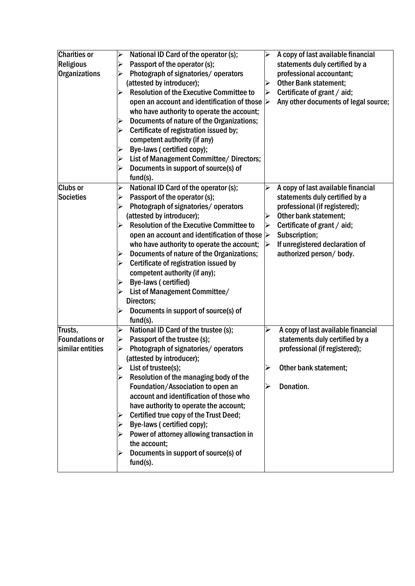| <b>Charities or</b>   | National ID Card of the operator (s);<br>$\blacktriangle$            | $\blacktriangleright$ | A copy of last available financial   |
|-----------------------|----------------------------------------------------------------------|-----------------------|--------------------------------------|
| <b>Religious</b>      | Passport of the operator (s);<br>$\blacktriangleright$               |                       | statements duly certified by a       |
| <b>Organizations</b>  | Photograph of signatories/operators<br>➤                             |                       | professional accountant;             |
|                       | (attested by introducer);                                            | $\blacktriangleright$ | <b>Other Bank statement;</b>         |
|                       | <b>Resolution of the Executive Committee to</b><br>➤                 | $\blacktriangleright$ | Certificate of grant / aid;          |
|                       | open an account and identification of those $\triangleright$         |                       | Any other documents of legal source; |
|                       | who have authority to operate the account;                           |                       |                                      |
|                       | Documents of nature of the Organizations;<br>➤                       |                       |                                      |
|                       | Certificate of registration issued by;<br>$\blacktriangle$           |                       |                                      |
|                       | competent authority (if any)                                         |                       |                                      |
|                       | Bye-laws (certified copy);<br>➤                                      |                       |                                      |
|                       | List of Management Committee/ Directors;<br>$\blacktriangleright$    |                       |                                      |
|                       | Documents in support of source(s) of<br>$\blacktriangleright$        |                       |                                      |
|                       | fund(s).                                                             |                       |                                      |
| <b>Clubs or</b>       | National ID Card of the operator (s);<br>$\blacktriangleright$       | ⋗                     | A copy of last available financial   |
| Societies             | Passport of the operator (s);<br>$\blacktriangleright$               |                       | statements duly certified by a       |
|                       | Photograph of signatories/operators<br>≻                             |                       | professional (if registered);        |
|                       | (attested by introducer);                                            | $\blacktriangleright$ | Other bank statement;                |
|                       | <b>Resolution of the Executive Committee to</b><br>➤                 | ➤                     | Certificate of grant / aid;          |
|                       | open an account and identification of those $\triangleright$         |                       | Subscription;                        |
|                       | who have authority to operate the account;                           |                       | If unregistered declaration of       |
|                       | Documents of nature of the Organizations;<br>$\blacktriangleright$   |                       | authorized person/ body.             |
|                       | Certificate of registration issued by<br>➤                           |                       |                                      |
|                       | competent authority (if any);                                        |                       |                                      |
|                       | Bye-laws (certified)<br>➤                                            |                       |                                      |
|                       | List of Management Committee/<br>➤                                   |                       |                                      |
|                       | Directors;                                                           |                       |                                      |
|                       | Documents in support of source(s) of                                 |                       |                                      |
|                       | fund(s).                                                             |                       |                                      |
| Trusts,               | National ID Card of the trustee (s);<br>$\blacktriangleright$        | ➤                     | A copy of last available financial   |
| <b>Foundations or</b> | Passport of the trustee (s);<br>$\blacktriangle$                     |                       | statements duly certified by a       |
| similar entities      | Photograph of signatories/operators<br>➤                             |                       | professional (if registered);        |
|                       | (attested by introducer);                                            |                       |                                      |
|                       | List of trustee(s);<br>$\blacktriangleright$                         | $\blacktriangle$      | Other bank statement;                |
|                       | Resolution of the managing body of the<br>➤                          |                       |                                      |
|                       | Foundation/Association to open an                                    | ⋗                     | Donation.                            |
|                       | account and identification of those who                              |                       |                                      |
|                       | have authority to operate the account;                               |                       |                                      |
|                       | Certified true copy of the Trust Deed;<br>Bye-laws (certified copy); |                       |                                      |
|                       |                                                                      |                       |                                      |
|                       | Power of attorney allowing transaction in                            |                       |                                      |
|                       | the account;                                                         |                       |                                      |
|                       | Documents in support of source(s) of                                 |                       |                                      |
|                       | $fund(s)$ .                                                          |                       |                                      |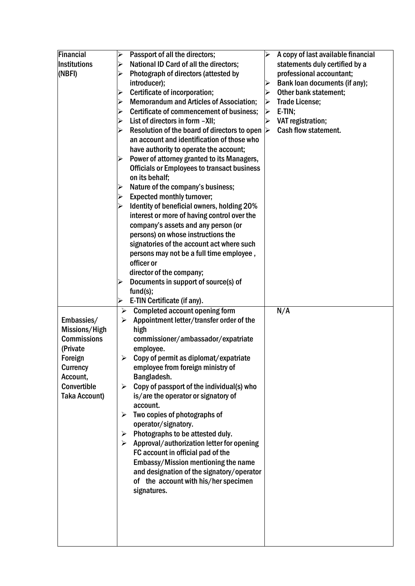| Financial            | $\blacktriangleright$ | Passport of all the directors;                                                 |   | A copy of last available financial |
|----------------------|-----------------------|--------------------------------------------------------------------------------|---|------------------------------------|
| Institutions         | $\blacktriangleright$ | National ID Card of all the directors;                                         |   | statements duly certified by a     |
| (NBFI)               | $\blacktriangleright$ | Photograph of directors (attested by                                           |   | professional accountant;           |
|                      |                       | introducer);                                                                   |   | Bank loan documents (if any);      |
|                      | $\blacktriangleright$ | Certificate of incorporation;                                                  |   | Other bank statement;              |
|                      | $\blacktriangleright$ | <b>Memorandum and Articles of Association;</b>                                 | ➤ | <b>Trade License;</b>              |
|                      | $\blacktriangleright$ | Certificate of commencement of business;                                       | ➤ | $E-TIN;$                           |
|                      | $\blacktriangleright$ | List of directors in form -XII;                                                |   | VAT registration;                  |
|                      | $\blacktriangleright$ | Resolution of the board of directors to open                                   | ➤ | <b>Cash flow statement.</b>        |
|                      |                       | an account and identification of those who                                     |   |                                    |
|                      |                       | have authority to operate the account;                                         |   |                                    |
|                      | ➤                     | Power of attorney granted to its Managers,                                     |   |                                    |
|                      |                       | <b>Officials or Employees to transact business</b>                             |   |                                    |
|                      |                       | on its behalf;                                                                 |   |                                    |
|                      | $\blacktriangleright$ | Nature of the company's business;                                              |   |                                    |
|                      | $\blacktriangle$      | <b>Expected monthly turnover;</b>                                              |   |                                    |
|                      | $\blacktriangleright$ | Identity of beneficial owners, holding 20%                                     |   |                                    |
|                      |                       | interest or more of having control over the                                    |   |                                    |
|                      |                       | company's assets and any person (or                                            |   |                                    |
|                      |                       | persons) on whose instructions the                                             |   |                                    |
|                      |                       | signatories of the account act where such                                      |   |                                    |
|                      |                       | persons may not be a full time employee,                                       |   |                                    |
|                      |                       | officer or                                                                     |   |                                    |
|                      |                       | director of the company;                                                       |   |                                    |
|                      |                       | Documents in support of source(s) of                                           |   |                                    |
|                      |                       | fund(s);                                                                       |   |                                    |
|                      | ≻                     | E-TIN Certificate (if any).                                                    |   |                                    |
|                      | ➤                     | <b>Completed account opening form</b>                                          |   | N/A                                |
| Embassies/           | ➤                     | Appointment letter/transfer order of the                                       |   |                                    |
| Missions/High        |                       | high                                                                           |   |                                    |
| <b>Commissions</b>   |                       | commissioner/ambassador/expatriate                                             |   |                                    |
| (Private             |                       | employee.                                                                      |   |                                    |
| Foreign              | ➤                     | Copy of permit as diplomat/expatriate                                          |   |                                    |
| <b>Currency</b>      |                       | employee from foreign ministry of                                              |   |                                    |
| Account,             |                       | Bangladesh.                                                                    |   |                                    |
| Convertible          | ➤                     | Copy of passport of the individual(s) who                                      |   |                                    |
| <b>Taka Account)</b> |                       | is/are the operator or signatory of                                            |   |                                    |
|                      |                       | account.                                                                       |   |                                    |
|                      | ➤                     | Two copies of photographs of                                                   |   |                                    |
|                      |                       | operator/signatory.                                                            |   |                                    |
|                      | ➤<br>➤                | Photographs to be attested duly.                                               |   |                                    |
|                      |                       | Approval/authorization letter for opening<br>FC account in official pad of the |   |                                    |
|                      |                       | Embassy/Mission mentioning the name                                            |   |                                    |
|                      |                       | and designation of the signatory/operator                                      |   |                                    |
|                      |                       | of the account with his/her specimen                                           |   |                                    |
|                      |                       | signatures.                                                                    |   |                                    |
|                      |                       |                                                                                |   |                                    |
|                      |                       |                                                                                |   |                                    |
|                      |                       |                                                                                |   |                                    |
|                      |                       |                                                                                |   |                                    |
|                      |                       |                                                                                |   |                                    |
|                      |                       |                                                                                |   |                                    |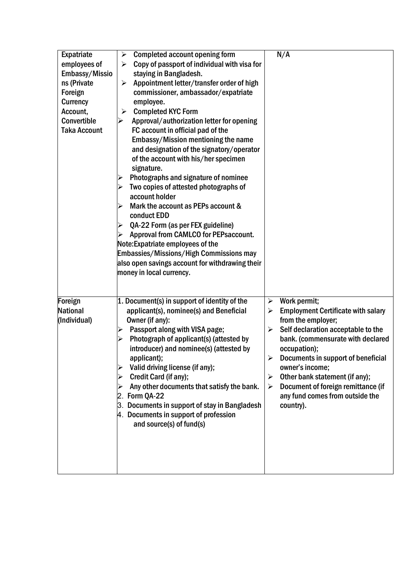| Expatriate          | <b>Completed account opening form</b><br>➤                            | N/A                                                     |
|---------------------|-----------------------------------------------------------------------|---------------------------------------------------------|
| employees of        | Copy of passport of individual with visa for<br>$\blacktriangleright$ |                                                         |
| Embassy/Missio      | staying in Bangladesh.                                                |                                                         |
| ns (Private         | Appointment letter/transfer order of high<br>$\blacktriangleright$    |                                                         |
| Foreign             | commissioner, ambassador/expatriate                                   |                                                         |
| <b>Currency</b>     | employee.                                                             |                                                         |
| Account,            | <b>Completed KYC Form</b><br>➤                                        |                                                         |
| Convertible         | Approval/authorization letter for opening                             |                                                         |
| <b>Taka Account</b> | FC account in official pad of the                                     |                                                         |
|                     | Embassy/Mission mentioning the name                                   |                                                         |
|                     | and designation of the signatory/operator                             |                                                         |
|                     | of the account with his/her specimen                                  |                                                         |
|                     | signature.                                                            |                                                         |
|                     | Photographs and signature of nominee<br>➤                             |                                                         |
|                     | Two copies of attested photographs of                                 |                                                         |
|                     | account holder                                                        |                                                         |
|                     | Mark the account as PEPs account &                                    |                                                         |
|                     | conduct EDD                                                           |                                                         |
|                     | QA-22 Form (as per FEX guideline)<br>$\blacktriangleright$            |                                                         |
|                     | Approval from CAMLCO for PEPsaccount.<br>$\blacktriangleright$        |                                                         |
|                     | Note: Expatriate employees of the                                     |                                                         |
|                     | Embassies/Missions/High Commissions may                               |                                                         |
|                     | also open savings account for withdrawing their                       |                                                         |
|                     | money in local currency.                                              |                                                         |
|                     |                                                                       |                                                         |
|                     |                                                                       |                                                         |
| Foreign             | 1. Document(s) in support of identity of the                          | Work permit;<br>➤                                       |
| <b>National</b>     | applicant(s), nominee(s) and Beneficial                               | <b>Employment Certificate with salary</b><br>➤          |
| (Individual)        | Owner (if any):                                                       | from the employer;                                      |
|                     | Passport along with VISA page;<br>➤                                   | Self declaration acceptable to the<br>➤                 |
|                     | Photograph of applicant(s) (attested by                               | bank. (commensurate with declared                       |
|                     | introducer) and nominee(s) (attested by                               | occupation);                                            |
|                     | applicant);                                                           | Documents in support of beneficial<br>➤                 |
|                     | Valid driving license (if any);                                       | owner's income;                                         |
|                     | Credit Card (if any);                                                 | Other bank statement (if any);<br>$\blacktriangleright$ |
|                     | Any other documents that satisfy the bank.                            | Document of foreign remittance (if<br>➤                 |
|                     | $2.$ Form QA-22                                                       | any fund comes from outside the                         |
|                     | 3. Documents in support of stay in Bangladesh                         | country).                                               |
|                     | 4. Documents in support of profession                                 |                                                         |
|                     | and source(s) of fund(s)                                              |                                                         |
|                     |                                                                       |                                                         |
|                     |                                                                       |                                                         |
|                     |                                                                       |                                                         |
|                     |                                                                       |                                                         |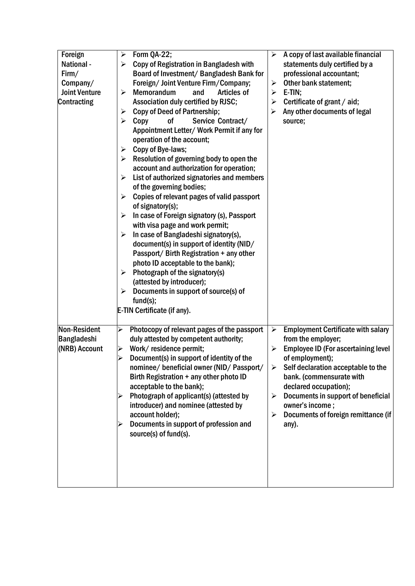| Foreign<br>National -<br>Firm/<br>Company/<br><b>Joint Venture</b><br>Contracting | Form QA-22;<br>➤<br>Copy of Registration in Bangladesh with<br>➤<br>Board of Investment/ Bangladesh Bank for<br>Foreign/ Joint Venture Firm/Company;<br><b>Memorandum</b><br>Articles of<br>and<br>➤<br>Association duly certified by RJSC;<br>Copy of Deed of Partnership;<br>➤<br>Service Contract/<br>Copy<br>0f<br>➤<br>Appointment Letter/ Work Permit if any for<br>operation of the account;<br>Copy of Bye-laws;<br>➤<br>Resolution of governing body to open the<br>➤<br>account and authorization for operation;<br>List of authorized signatories and members<br>➤<br>of the governing bodies;<br>Copies of relevant pages of valid passport<br>➤<br>of signatory(s);<br>In case of Foreign signatory (s), Passport<br>➤<br>with visa page and work permit;<br>In case of Bangladeshi signatory(s),<br>➤<br>document(s) in support of identity (NID/<br>Passport/ Birth Registration + any other<br>photo ID acceptable to the bank);<br>Photograph of the signatory(s)<br>➤<br>(attested by introducer);<br>Documents in support of source(s) of<br>➤<br>fund(s);<br>E-TIN Certificate (if any). | ➤<br>➤<br>➤<br>➤<br>➤                     | A copy of last available financial<br>statements duly certified by a<br>professional accountant;<br>Other bank statement;<br>E-TIN;<br>Certificate of grant / aid;<br>Any other documents of legal<br>source;                                                                                                                         |
|-----------------------------------------------------------------------------------|--------------------------------------------------------------------------------------------------------------------------------------------------------------------------------------------------------------------------------------------------------------------------------------------------------------------------------------------------------------------------------------------------------------------------------------------------------------------------------------------------------------------------------------------------------------------------------------------------------------------------------------------------------------------------------------------------------------------------------------------------------------------------------------------------------------------------------------------------------------------------------------------------------------------------------------------------------------------------------------------------------------------------------------------------------------------------------------------------------------|-------------------------------------------|---------------------------------------------------------------------------------------------------------------------------------------------------------------------------------------------------------------------------------------------------------------------------------------------------------------------------------------|
| Non-Resident<br>Bangladeshi<br>(NRB) Account                                      | Photocopy of relevant pages of the passport<br>$\blacktriangleright$<br>duly attested by competent authority;<br>Work/residence permit;<br>➤<br>Document(s) in support of identity of the<br>➢<br>nominee/ beneficial owner (NID/ Passport/<br>Birth Registration + any other photo ID<br>acceptable to the bank);<br>Photograph of applicant(s) (attested by<br>introducer) and nominee (attested by<br>account holder);<br>Documents in support of profession and<br>source(s) of fund(s).                                                                                                                                                                                                                                                                                                                                                                                                                                                                                                                                                                                                                 | $\blacktriangleright$<br>≻<br>➤<br>➤<br>➤ | <b>Employment Certificate with salary</b><br>from the employer;<br><b>Employee ID (For ascertaining level)</b><br>of employment);<br>Self declaration acceptable to the<br>bank. (commensurate with<br>declared occupation);<br>Documents in support of beneficial<br>owner's income;<br>Documents of foreign remittance (if<br>any). |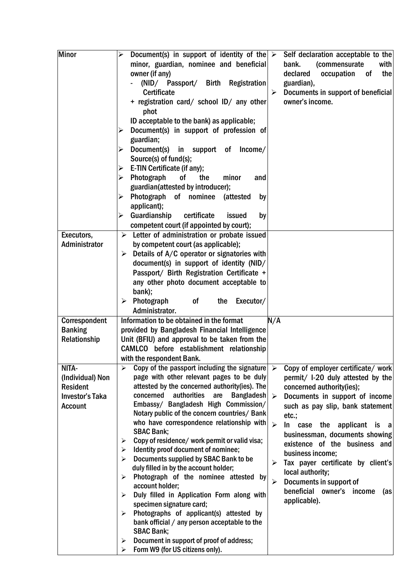| <b>Minor</b>           | Document(s) in support of identity of the $\triangleright$<br>Self declaration acceptable to the<br>➤    |
|------------------------|----------------------------------------------------------------------------------------------------------|
|                        | minor, guardian, nominee and beneficial<br>(commensurate<br>bank.<br>with                                |
|                        |                                                                                                          |
|                        | declared<br>owner (if any)<br>occupation<br>the<br>0f                                                    |
|                        | (NID/ Passport/ Birth Registration<br>guardian),                                                         |
|                        | <b>Certificate</b><br>Documents in support of beneficial<br>$\blacktriangleright$                        |
|                        | owner's income.<br>+ registration card/ school ID/ any other                                             |
|                        | phot                                                                                                     |
|                        |                                                                                                          |
|                        | ID acceptable to the bank) as applicable;                                                                |
|                        | Document(s) in support of profession of                                                                  |
|                        | guardian;                                                                                                |
|                        | Document(s)<br>in support of<br>Income/                                                                  |
|                        | Source(s) of fund(s);                                                                                    |
|                        | E-TIN Certificate (if any);<br>➤                                                                         |
|                        | 0f<br>the<br>➤<br>minor                                                                                  |
|                        | Photograph<br>and                                                                                        |
|                        | guardian(attested by introducer);                                                                        |
|                        | Photograph of nominee<br>(attested<br>➤<br>by                                                            |
|                        | applicant);                                                                                              |
|                        | Guardianship<br>certificate<br>issued<br>by<br>➤                                                         |
|                        | competent court (if appointed by court);                                                                 |
|                        |                                                                                                          |
| Executors,             | $\triangleright$ Letter of administration or probate issued                                              |
| <b>Administrator</b>   | by competent court (as applicable);                                                                      |
|                        | Details of A/C operator or signatories with<br>➤                                                         |
|                        | document(s) in support of identity (NID/                                                                 |
|                        | Passport/ Birth Registration Certificate +                                                               |
|                        |                                                                                                          |
|                        | any other photo document acceptable to                                                                   |
|                        | bank);                                                                                                   |
|                        | Photograph<br>Executor/<br>0f<br>the<br>➤                                                                |
|                        | Administrator.                                                                                           |
| Correspondent          | Information to be obtained in the format<br>N/A                                                          |
| <b>Banking</b>         | provided by Bangladesh Financial Intelligence                                                            |
|                        |                                                                                                          |
| Relationship           | Unit (BFIU) and approval to be taken from the                                                            |
|                        | CAMLCO before establishment relationship                                                                 |
|                        | with the respondent Bank.                                                                                |
| NITA-                  | Copy of the passport including the signature $\triangleright$<br>Copy of employer certificate/ work<br>≻ |
| (Individual) Non       | page with other relevant pages to be duly<br>permit/ I-20 duly attested by the                           |
| <b>Resident</b>        | attested by the concerned authority(ies). The<br>concerned authority(ies);                               |
|                        | authorities<br>concerned<br><b>Bangladesh</b><br>are                                                     |
| <b>Investor's Taka</b> | Documents in support of income<br>$\blacktriangleright$                                                  |
| <b>Account</b>         | Embassy/ Bangladesh High Commission/<br>such as pay slip, bank statement                                 |
|                        | Notary public of the concern countries/ Bank<br>etc.;                                                    |
|                        | who have correspondence relationship with<br>$\blacktriangleright$<br>In case the applicant is<br>a a    |
|                        | <b>SBAC Bank;</b><br>businessman, documents showing                                                      |
|                        | Copy of residence/ work permit or valid visa;<br>➤<br>existence of the business and                      |
|                        | Identity proof document of nominee;<br>➤                                                                 |
|                        | business income;<br>Documents supplied by SBAC Bank to be<br>⋗                                           |
|                        | Tax payer certificate by client's<br>≻<br>duly filled in by the account holder;                          |
|                        | local authority;                                                                                         |
|                        | Photograph of the nominee attested by<br>≻<br>Documents in support of<br>➤                               |
|                        | account holder;<br>beneficial owner's<br>income<br>(as                                                   |
|                        | Duly filled in Application Form along with<br>➤<br>applicable).                                          |
|                        | specimen signature card;                                                                                 |
|                        | Photographs of applicant(s) attested by<br>➤                                                             |
|                        | bank official / any person acceptable to the                                                             |
|                        | <b>SBAC Bank;</b>                                                                                        |
|                        | Document in support of proof of address;<br>➤                                                            |
|                        | Form W9 (for US citizens only).<br>➤                                                                     |
|                        |                                                                                                          |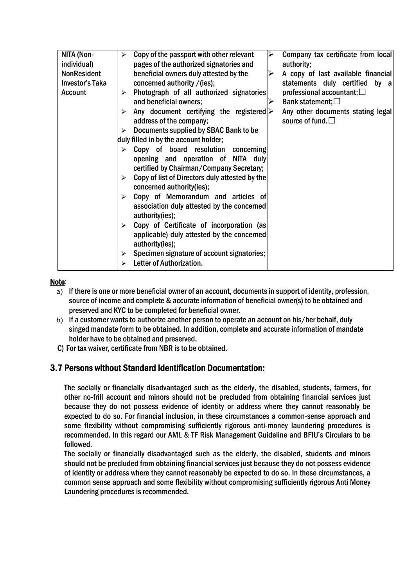| NITA (Non-             | Copy of the passport with other relevant<br>$\blacktriangleright$ | Company tax certificate from local      |
|------------------------|-------------------------------------------------------------------|-----------------------------------------|
| individual)            | pages of the authorized signatories and                           | authority;                              |
| <b>NonResident</b>     | beneficial owners duly attested by the                            | A copy of last available financial<br>⋗ |
| <b>Investor's Taka</b> | concerned authority / (ies);                                      | statements duly certified by a          |
| <b>Account</b>         | Photograph of all authorized signatories<br>$\blacktriangleright$ | professional accountant; $\square$      |
|                        | and beneficial owners;                                            | Bank statement; $\square$               |
|                        | Any document certifying the registered $\triangleright$           | Any other documents stating legal       |
|                        | address of the company;                                           | source of fund. $\square$               |
|                        | Documents supplied by SBAC Bank to be<br>$\blacktriangleright$    |                                         |
|                        | duly filled in by the account holder;                             |                                         |
|                        | Copy of board resolution concerning                               |                                         |
|                        | opening and operation of NITA duly                                |                                         |
|                        | certified by Chairman/Company Secretary;                          |                                         |
|                        | Copy of list of Directors duly attested by the                    |                                         |
|                        | concerned authority(ies);                                         |                                         |
|                        | Copy of Memorandum and articles of<br>$\blacktriangleright$       |                                         |
|                        | association duly attested by the concerned                        |                                         |
|                        |                                                                   |                                         |
|                        | authority(ies);                                                   |                                         |
|                        | Copy of Certificate of incorporation (as<br>➤                     |                                         |
|                        | applicable) duly attested by the concerned                        |                                         |
|                        | authority(ies);                                                   |                                         |
|                        | Specimen signature of account signatories;<br>≻                   |                                         |
|                        | Letter of Authorization.                                          |                                         |

## Note:

- a) If there is one or more beneficial owner of an account, documents in support of identity, profession, source of income and complete & accurate information of beneficial owner(s) to be obtained and preserved and KYC to be completed for beneficial owner.
- b) If a customer wants to authorize another person to operate an account on his/her behalf, duly singed mandate form to be obtained. In addition, complete and accurate information of mandate holder have to be obtained and preserved.
- C) For tax waiver, certificate from NBR is to be obtained.

# 3.7 Persons without Standard Identification Documentation:

The socially or financially disadvantaged such as the elderly, the disabled, students, farmers, for other no-frill account and minors should not be precluded from obtaining financial services just because they do not possess evidence of identity or address where they cannot reasonably be expected to do so. For financial inclusion, in these circumstances a common-sense approach and some flexibility without compromising sufficiently rigorous anti-money laundering procedures is recommended. In this regard our AML & TF Risk Management Guideline and BFIU's Circulars to be followed.

The socially or financially disadvantaged such as the elderly, the disabled, students and minors should not be precluded from obtaining financial services just because they do not possess evidence of identity or address where they cannot reasonably be expected to do so. In these circumstances, a common sense approach and some flexibility without compromising sufficiently rigorous Anti Money Laundering procedures is recommended.